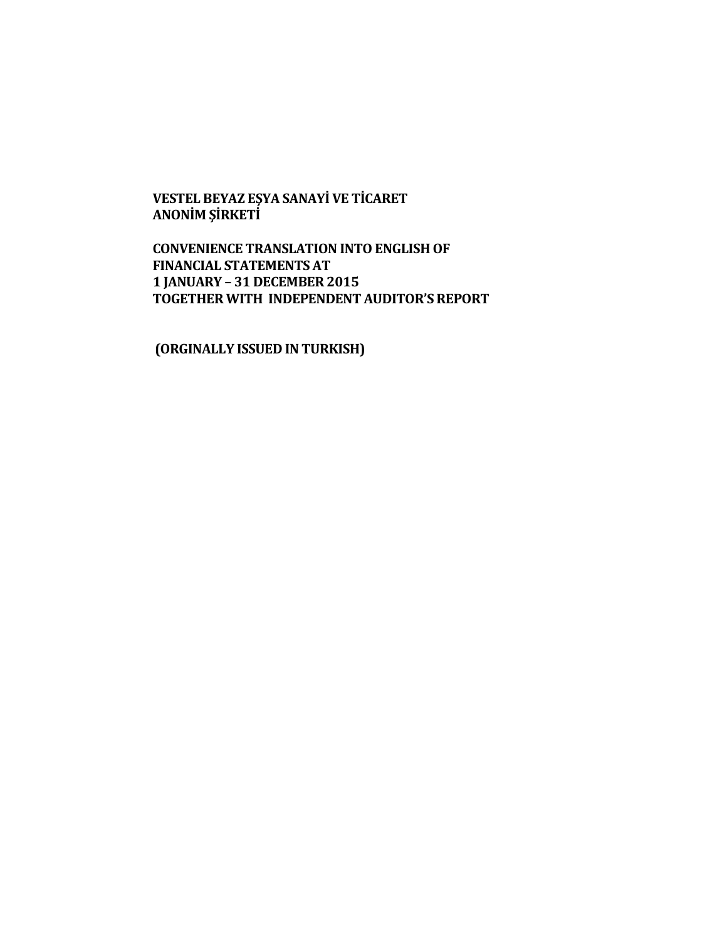**VESTEL BEYAZ EŞYA SANAYİ VE TİCARET ANONİM ŞİRKETİ**

**CONVENIENCE TRANSLATION INTO ENGLISH OF FINANCIAL STATEMENTS AT 1 JANUARY – 31 DECEMBER 2015 TOGETHER WITH INDEPENDENT AUDITOR'S REPORT** 

 **(ORGINALLY ISSUED IN TURKISH)**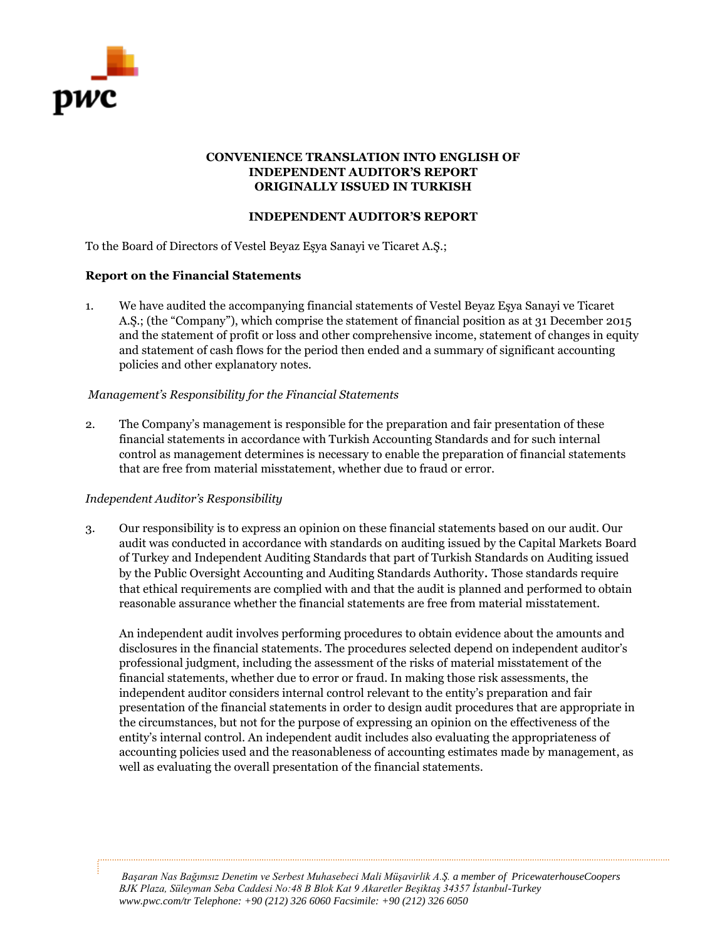

#### **CONVENIENCE TRANSLATION INTO ENGLISH OF INDEPENDENT AUDITOR'S REPORT ORIGINALLY ISSUED IN TURKISH**

#### **INDEPENDENT AUDITOR'S REPORT**

To the Board of Directors of Vestel Beyaz Eşya Sanayi ve Ticaret A.Ş.;

#### **Report on the Financial Statements**

1. We have audited the accompanying financial statements of Vestel Beyaz Eşya Sanayi ve Ticaret A.Ş.; (the "Company"), which comprise the statement of financial position as at 31 December 2015 and the statement of profit or loss and other comprehensive income, statement of changes in equity and statement of cash flows for the period then ended and a summary of significant accounting policies and other explanatory notes.

#### *Management's Responsibility for the Financial Statements*

2. The Company's management is responsible for the preparation and fair presentation of these financial statements in accordance with Turkish Accounting Standards and for such internal control as management determines is necessary to enable the preparation of financial statements that are free from material misstatement, whether due to fraud or error.

#### *Independent Auditor's Responsibility*

3. Our responsibility is to express an opinion on these financial statements based on our audit. Our audit was conducted in accordance with standards on auditing issued by the Capital Markets Board of Turkey and Independent Auditing Standards that part of Turkish Standards on Auditing issued by the Public Oversight Accounting and Auditing Standards Authority. Those standards require that ethical requirements are complied with and that the audit is planned and performed to obtain reasonable assurance whether the financial statements are free from material misstatement.

An independent audit involves performing procedures to obtain evidence about the amounts and disclosures in the financial statements. The procedures selected depend on independent auditor's professional judgment, including the assessment of the risks of material misstatement of the financial statements, whether due to error or fraud. In making those risk assessments, the independent auditor considers internal control relevant to the entity's preparation and fair presentation of the financial statements in order to design audit procedures that are appropriate in the circumstances, but not for the purpose of expressing an opinion on the effectiveness of the entity's internal control. An independent audit includes also evaluating the appropriateness of accounting policies used and the reasonableness of accounting estimates made by management, as well as evaluating the overall presentation of the financial statements.

*Başaran Nas Bağımsız Denetim ve Serbest Muhasebeci Mali Müşavirlik A.Ş. a member of PricewaterhouseCoopers BJK Plaza, Süleyman Seba Caddesi No:48 B Blok Kat 9 Akaretler Beşiktaş 34357 İstanbul-Turkey www.pwc.com/tr Telephone: +90 (212) 326 6060 Facsimile: +90 (212) 326 6050*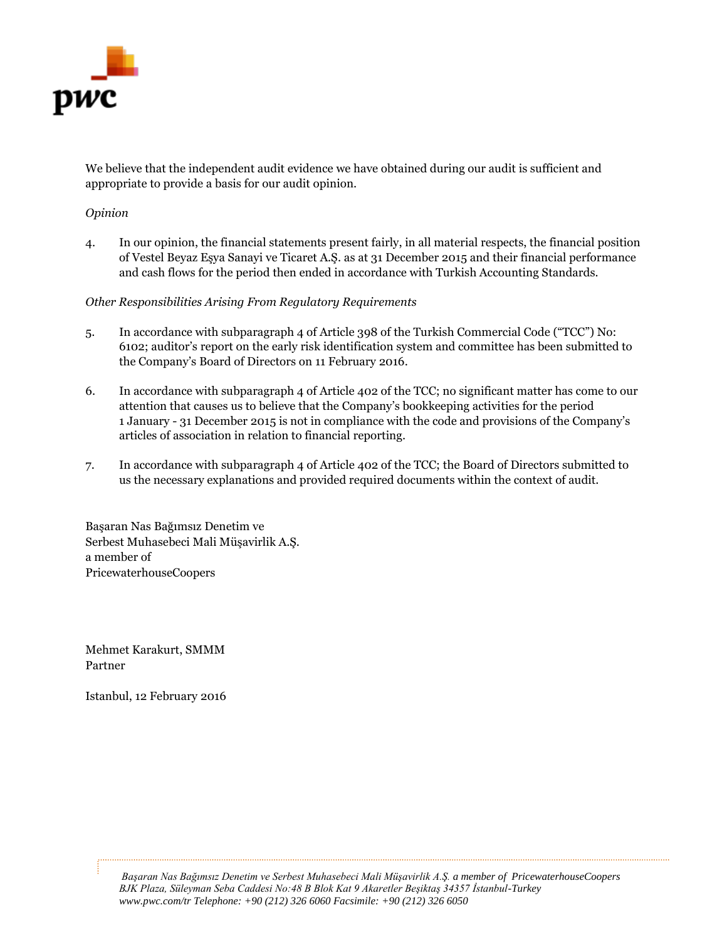

We believe that the independent audit evidence we have obtained during our audit is sufficient and appropriate to provide a basis for our audit opinion.

#### *Opinion*

4. In our opinion, the financial statements present fairly, in all material respects, the financial position of Vestel Beyaz Eşya Sanayi ve Ticaret A.Ş. as at 31 December 2015 and their financial performance and cash flows for the period then ended in accordance with Turkish Accounting Standards.

#### *Other Responsibilities Arising From Regulatory Requirements*

- 5. In accordance with subparagraph 4 of Article 398 of the Turkish Commercial Code ("TCC") No: 6102; auditor's report on the early risk identification system and committee has been submitted to the Company's Board of Directors on 11 February 2016.
- 6. In accordance with subparagraph 4 of Article 402 of the TCC; no significant matter has come to our attention that causes us to believe that the Company's bookkeeping activities for the period 1 January - 31 December 2015 is not in compliance with the code and provisions of the Company's articles of association in relation to financial reporting.
- 7. In accordance with subparagraph 4 of Article 402 of the TCC; the Board of Directors submitted to us the necessary explanations and provided required documents within the context of audit.

Başaran Nas Bağımsız Denetim ve Serbest Muhasebeci Mali Müşavirlik A.Ş. a member of PricewaterhouseCoopers

Mehmet Karakurt, SMMM Partner

Istanbul, 12 February 2016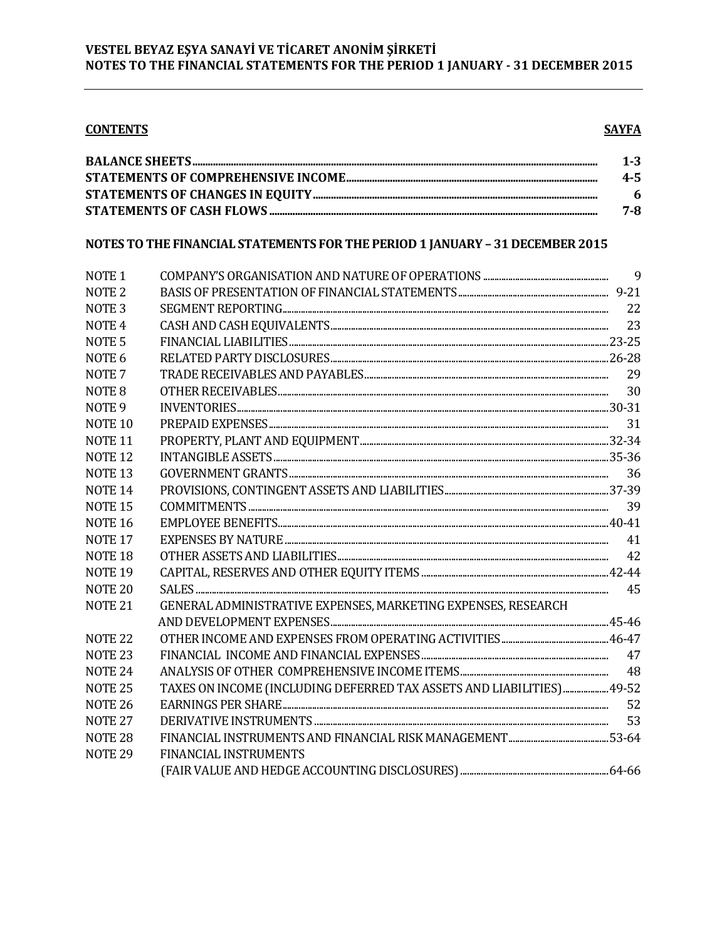## **CONTENTS**

| $1 - 3$ |
|---------|
| $4 - 5$ |
| 6       |
| 7-8     |

# NOTES TO THE FINANCIAL STATEMENTS FOR THE PERIOD 1 JANUARY - 31 DECEMBER 2015

| NOTE <sub>1</sub>  |                                                                        | 9  |
|--------------------|------------------------------------------------------------------------|----|
| NOTE <sub>2</sub>  |                                                                        |    |
| NOTE <sub>3</sub>  |                                                                        |    |
| NOTE <sub>4</sub>  |                                                                        |    |
| NOTE <sub>5</sub>  |                                                                        |    |
| NOTE <sub>6</sub>  |                                                                        |    |
| NOTE <sub>7</sub>  |                                                                        | 29 |
| NOTE <sub>8</sub>  |                                                                        |    |
| NOTE <sub>9</sub>  |                                                                        |    |
| NOTE <sub>10</sub> |                                                                        | 31 |
| NOTE <sub>11</sub> |                                                                        |    |
| NOTE <sub>12</sub> |                                                                        |    |
| NOTE <sub>13</sub> |                                                                        | 36 |
| NOTE <sub>14</sub> |                                                                        |    |
| NOTE <sub>15</sub> |                                                                        | 39 |
| NOTE <sub>16</sub> |                                                                        |    |
| NOTE <sub>17</sub> |                                                                        | 41 |
| NOTE <sub>18</sub> |                                                                        |    |
| NOTE <sub>19</sub> |                                                                        |    |
| NOTE <sub>20</sub> |                                                                        | 45 |
| NOTE <sub>21</sub> | GENERAL ADMINISTRATIVE EXPENSES, MARKETING EXPENSES, RESEARCH          |    |
|                    |                                                                        |    |
| NOTE <sub>22</sub> |                                                                        |    |
| NOTE <sub>23</sub> |                                                                        |    |
| NOTE <sub>24</sub> |                                                                        | 48 |
| NOTE <sub>25</sub> | TAXES ON INCOME (INCLUDING DEFERRED TAX ASSETS AND LIABILITIES)  49-52 |    |
| NOTE <sub>26</sub> |                                                                        | 52 |
| NOTE <sub>27</sub> |                                                                        | 53 |
| NOTE <sub>28</sub> |                                                                        |    |
| NOTE <sub>29</sub> | <b>FINANCIAL INSTRUMENTS</b>                                           |    |
|                    |                                                                        |    |
|                    |                                                                        |    |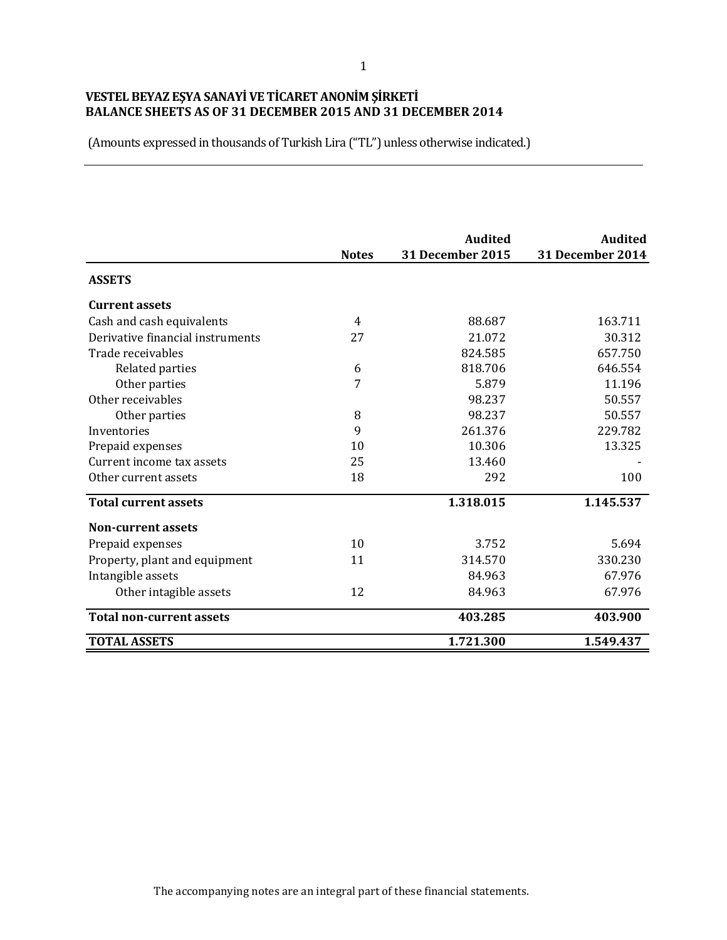# **VESTEL BEYAZ EŞYA SANAYİ VE TİCARET ANONİM ŞİRKETİ BALANCE SHEETS AS OF 31 DECEMBER 2015 AND 31 DECEMBER 2014**

(Amounts expressed in thousands of Turkish Lira ("TL") unless otherwise indicated.)

|                                  | <b>Notes</b> | <b>Audited</b><br><b>31 December 2015</b> | Audited<br><b>31 December 2014</b> |
|----------------------------------|--------------|-------------------------------------------|------------------------------------|
| <b>ASSETS</b>                    |              |                                           |                                    |
| <b>Current assets</b>            |              |                                           |                                    |
| Cash and cash equivalents        | 4            | 88.687                                    | 163.711                            |
| Derivative financial instruments | 27           | 21.072                                    | 30.312                             |
| Trade receivables                |              | 824.585                                   | 657.750                            |
| Related parties                  | 6            | 818.706                                   | 646.554                            |
| Other parties                    | 7            | 5.879                                     | 11.196                             |
| Other receivables                |              | 98.237                                    | 50.557                             |
| Other parties                    | 8            | 98.237                                    | 50.557                             |
| Inventories                      | 9            | 261.376                                   | 229.782                            |
| Prepaid expenses                 | 10           | 10.306                                    | 13.325                             |
| Current income tax assets        | 25           | 13.460                                    |                                    |
| Other current assets             | 18           | 292                                       | 100                                |
| <b>Total current assets</b>      |              | 1.318.015                                 | 1.145.537                          |
| <b>Non-current assets</b>        |              |                                           |                                    |
| Prepaid expenses                 | 10           | 3.752                                     | 5.694                              |
| Property, plant and equipment    | 11           | 314.570                                   | 330.230                            |
| Intangible assets                |              | 84.963                                    | 67.976                             |
| Other intagible assets           | 12           | 84.963                                    | 67.976                             |
| <b>Total non-current assets</b>  |              | 403.285                                   | 403.900                            |
| <b>TOTAL ASSETS</b>              |              | 1.721.300                                 | 1.549.437                          |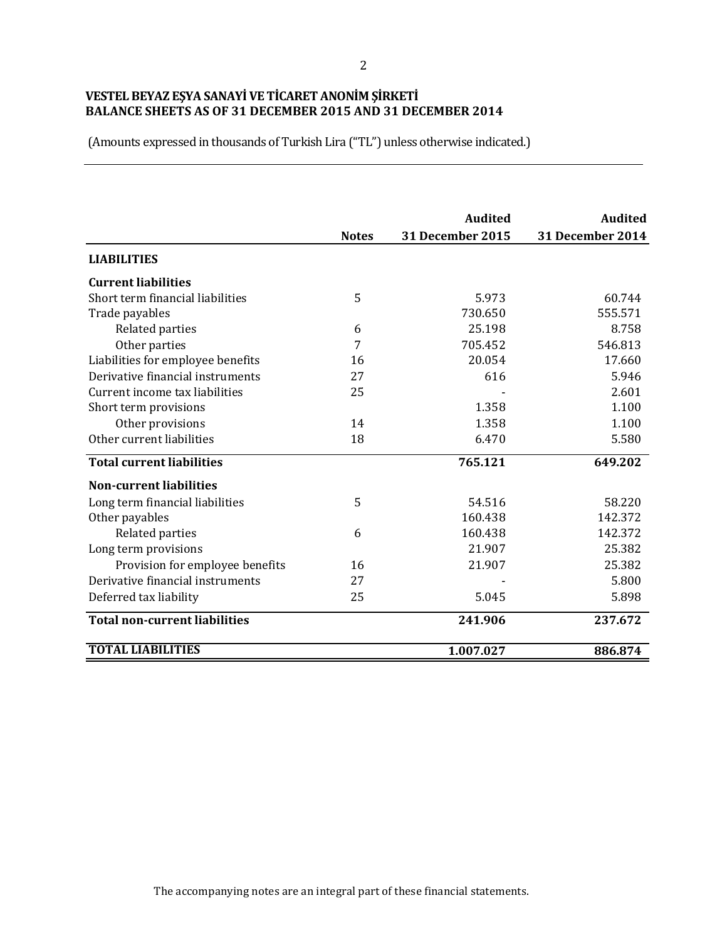## **VESTEL BEYAZ EŞYA SANAYİ VE TİCARET ANONİM ŞİRKETİ BALANCE SHEETS AS OF 31 DECEMBER 2015 AND 31 DECEMBER 2014**

(Amounts expressed in thousands of Turkish Lira ("TL") unless otherwise indicated.)

|                                      |              | <b>Audited</b>          | Audited                 |
|--------------------------------------|--------------|-------------------------|-------------------------|
|                                      | <b>Notes</b> | <b>31 December 2015</b> | <b>31 December 2014</b> |
| <b>LIABILITIES</b>                   |              |                         |                         |
| <b>Current liabilities</b>           |              |                         |                         |
| Short term financial liabilities     | 5            | 5.973                   | 60.744                  |
| Trade payables                       |              | 730.650                 | 555.571                 |
| Related parties                      | 6            | 25.198                  | 8.758                   |
| Other parties                        | 7            | 705.452                 | 546.813                 |
| Liabilities for employee benefits    | 16           | 20.054                  | 17.660                  |
| Derivative financial instruments     | 27           | 616                     | 5.946                   |
| Current income tax liabilities       | 25           |                         | 2.601                   |
| Short term provisions                |              | 1.358                   | 1.100                   |
| Other provisions                     | 14           | 1.358                   | 1.100                   |
| Other current liabilities            | 18           | 6.470                   | 5.580                   |
| <b>Total current liabilities</b>     |              | 765.121                 | 649.202                 |
| <b>Non-current liabilities</b>       |              |                         |                         |
| Long term financial liabilities      | 5            | 54.516                  | 58.220                  |
| Other payables                       |              | 160.438                 | 142.372                 |
| Related parties                      | 6            | 160.438                 | 142.372                 |
| Long term provisions                 |              | 21.907                  | 25.382                  |
| Provision for employee benefits      | 16           | 21.907                  | 25.382                  |
| Derivative financial instruments     | 27           |                         | 5.800                   |
| Deferred tax liability               | 25           | 5.045                   | 5.898                   |
| <b>Total non-current liabilities</b> |              | 241.906                 | 237.672                 |
| <b>TOTAL LIABILITIES</b>             |              | 1.007.027               | 886.874                 |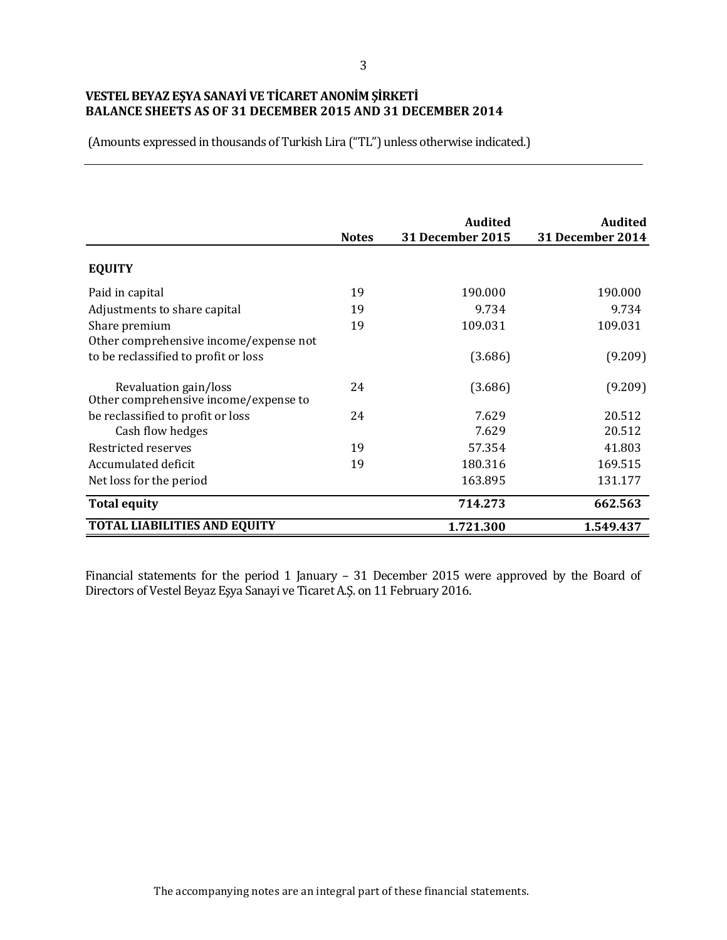# **VESTEL BEYAZ EŞYA SANAYİ VE TİCARET ANONİM ŞİRKETİ BALANCE SHEETS AS OF 31 DECEMBER 2015 AND 31 DECEMBER 2014**

(Amounts expressed in thousands of Turkish Lira ("TL") unless otherwise indicated.)

|                                                                | <b>Notes</b> | <b>Audited</b><br><b>31 December 2015</b> | <b>Audited</b><br>31 December 2014 |
|----------------------------------------------------------------|--------------|-------------------------------------------|------------------------------------|
| <b>EQUITY</b>                                                  |              |                                           |                                    |
| Paid in capital                                                | 19           | 190.000                                   | 190.000                            |
| Adjustments to share capital                                   | 19           | 9.734                                     | 9.734                              |
| Share premium                                                  | 19           | 109.031                                   | 109.031                            |
| Other comprehensive income/expense not                         |              |                                           |                                    |
| to be reclassified to profit or loss                           |              | (3.686)                                   | (9.209)                            |
| Revaluation gain/loss<br>Other comprehensive income/expense to | 24           | (3.686)                                   | (9.209)                            |
| be reclassified to profit or loss                              | 24           | 7.629                                     | 20.512                             |
| Cash flow hedges                                               |              | 7.629                                     | 20.512                             |
| Restricted reserves                                            | 19           | 57.354                                    | 41.803                             |
| Accumulated deficit                                            | 19           | 180.316                                   | 169.515                            |
| Net loss for the period                                        |              | 163.895                                   | 131.177                            |
| <b>Total equity</b>                                            |              | 714.273                                   | 662.563                            |
| <b>TOTAL LIABILITIES AND EQUITY</b>                            |              | 1.721.300                                 | 1.549.437                          |

Financial statements for the period 1 January – 31 December 2015 were approved by the Board of Directors of Vestel Beyaz Eşya Sanayi ve Ticaret A.Ş. on 11 February 2016.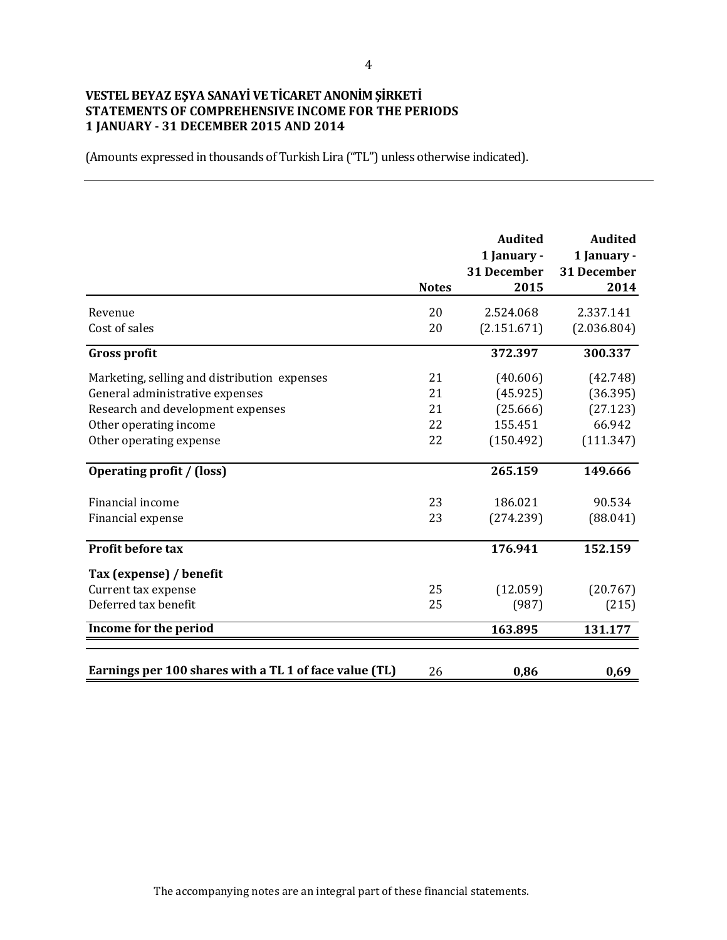# **VESTEL BEYAZ EŞYA SANAYİ VE TİCARET ANONİM ŞİRKETİ STATEMENTS OF COMPREHENSIVE INCOME FOR THE PERIODS 1 JANUARY - 31 DECEMBER 2015 AND 2014**

(Amounts expressed in thousands of Turkish Lira ("TL") unless otherwise indicated).

|    | <b>Audited</b><br>1 January -<br><b>31 December</b> | <b>Audited</b><br>1 January -<br>31 December<br>2014 |
|----|-----------------------------------------------------|------------------------------------------------------|
|    |                                                     |                                                      |
| 20 | 2.524.068                                           | 2.337.141                                            |
| 20 | (2.151.671)                                         | (2.036.804)                                          |
|    | 372.397                                             | 300.337                                              |
| 21 | (40.606)                                            | (42.748)                                             |
| 21 | (45.925)                                            | (36.395)                                             |
| 21 | (25.666)                                            | (27.123)                                             |
| 22 | 155.451                                             | 66.942                                               |
| 22 | (150.492)                                           | (111.347)                                            |
|    | 265.159                                             | 149.666                                              |
| 23 | 186.021                                             | 90.534                                               |
| 23 | (274.239)                                           | (88.041)                                             |
|    | 176.941                                             | 152.159                                              |
|    |                                                     |                                                      |
| 25 | (12.059)                                            | (20.767)                                             |
| 25 | (987)                                               | (215)                                                |
|    | 163.895                                             | 131.177                                              |
|    |                                                     | 0,69                                                 |
|    | <b>Notes</b><br>26                                  | 2015<br>0,86                                         |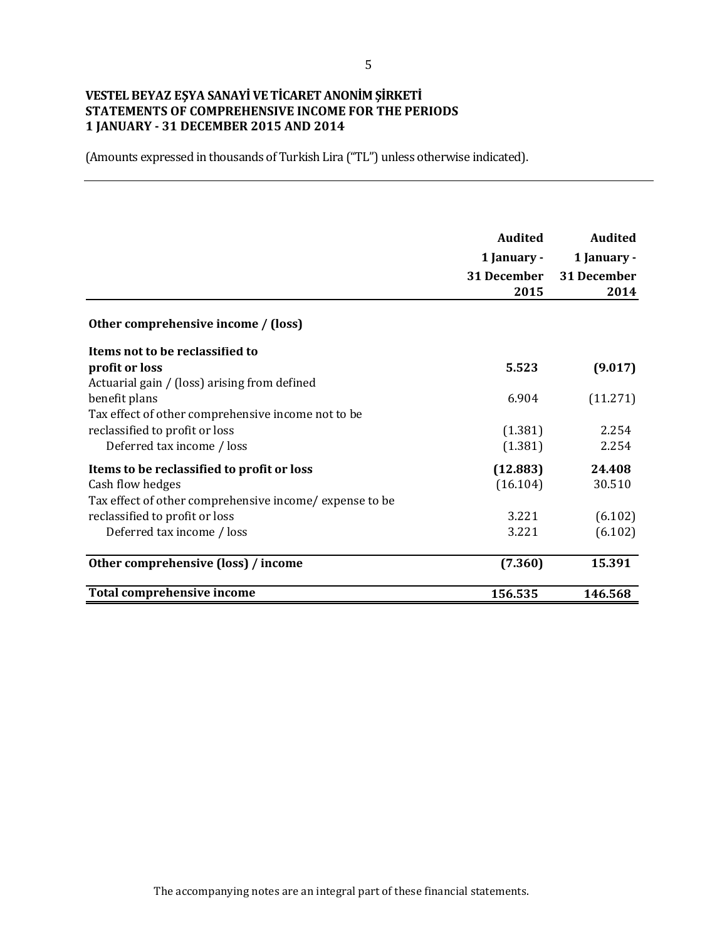# **VESTEL BEYAZ EŞYA SANAYİ VE TİCARET ANONİM ŞİRKETİ STATEMENTS OF COMPREHENSIVE INCOME FOR THE PERIODS 1 JANUARY - 31 DECEMBER 2015 AND 2014**

(Amounts expressed in thousands of Turkish Lira ("TL") unless otherwise indicated).

|                                                                                                                        | <b>Audited</b><br>1 January -<br>31 December<br>2015 | <b>Audited</b><br>1 January -<br>31 December<br>2014 |
|------------------------------------------------------------------------------------------------------------------------|------------------------------------------------------|------------------------------------------------------|
| Other comprehensive income / (loss)                                                                                    |                                                      |                                                      |
| Items not to be reclassified to<br>profit or loss<br>Actuarial gain / (loss) arising from defined                      | 5.523                                                | (9.017)                                              |
| benefit plans<br>Tax effect of other comprehensive income not to be                                                    | 6.904                                                | (11.271)                                             |
| reclassified to profit or loss<br>Deferred tax income / loss                                                           | (1.381)<br>(1.381)                                   | 2.254<br>2.254                                       |
| Items to be reclassified to profit or loss<br>Cash flow hedges                                                         | (12.883)<br>(16.104)                                 | 24.408<br>30.510                                     |
| Tax effect of other comprehensive income/expense to be<br>reclassified to profit or loss<br>Deferred tax income / loss | 3.221<br>3.221                                       | (6.102)<br>(6.102)                                   |
| Other comprehensive (loss) / income                                                                                    | (7.360)                                              | 15.391                                               |
| <b>Total comprehensive income</b>                                                                                      | 156.535                                              | 146.568                                              |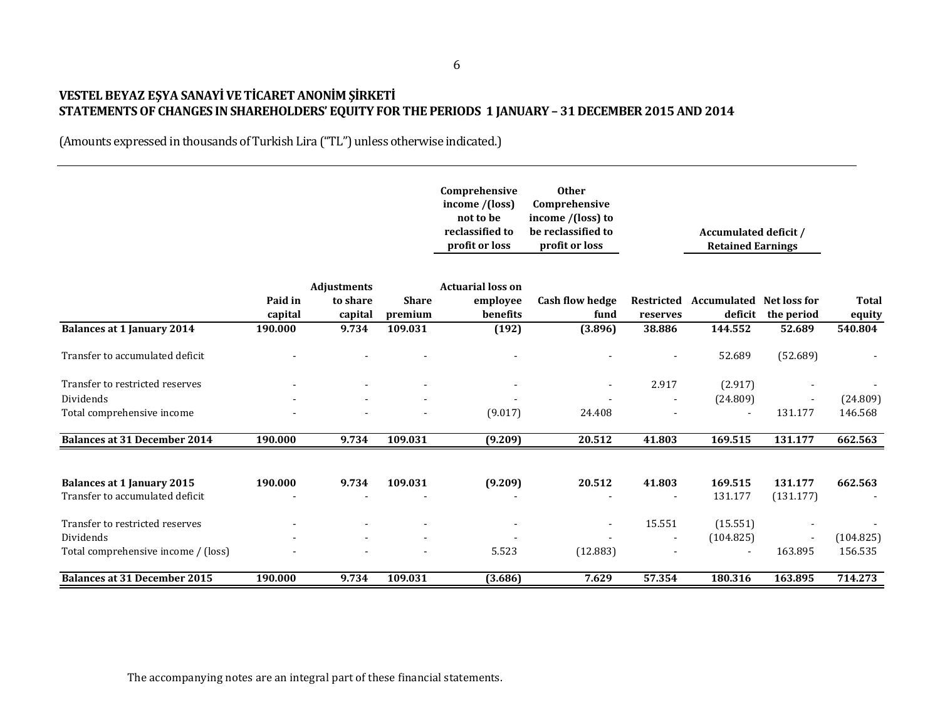## **VESTEL BEYAZ EŞYA SANAYİ VE TİCARET ANONİM ŞİRKETİ STATEMENTS OF CHANGES IN SHAREHOLDERS' EQUITY FOR THE PERIODS 1 JANUARY – 31 DECEMBER 2015 AND 2014**

(Amounts expressed in thousands of Turkish Lira ("TL") unless otherwise indicated.)

|                                                                                     |                               |                                                    |                                    |                                                           | Comprehensive<br>income /(loss)<br>not to be<br>reclassified to<br>profit or loss | <b>Other</b><br>Comprehensive<br>income $/$ (loss) to<br>be reclassified to<br>profit or loss |                                   | Accumulated deficit /<br><b>Retained Earnings</b> |                                   |  |
|-------------------------------------------------------------------------------------|-------------------------------|----------------------------------------------------|------------------------------------|-----------------------------------------------------------|-----------------------------------------------------------------------------------|-----------------------------------------------------------------------------------------------|-----------------------------------|---------------------------------------------------|-----------------------------------|--|
| <b>Balances at 1 January 2014</b>                                                   | Paid in<br>capital<br>190.000 | <b>Adjustments</b><br>to share<br>capital<br>9.734 | <b>Share</b><br>premium<br>109.031 | <b>Actuarial loss on</b><br>employee<br>benefits<br>(192) | <b>Cash flow hedge</b><br>fund<br>(3.896)                                         | Restricted<br>reserves<br>38.886                                                              | Accumulated<br>deficit<br>144.552 | Net loss for<br>the period<br>52.689              | <b>Total</b><br>equity<br>540.804 |  |
| Transfer to accumulated deficit                                                     |                               |                                                    |                                    |                                                           |                                                                                   |                                                                                               | 52.689                            | (52.689)                                          |                                   |  |
| Transfer to restricted reserves<br>Dividends<br>Total comprehensive income          |                               |                                                    |                                    | (9.017)                                                   | 24.408                                                                            | 2.917                                                                                         | (2.917)<br>(24.809)               | $\overline{\phantom{a}}$<br>131.177               | (24.809)<br>146.568               |  |
| <b>Balances at 31 December 2014</b>                                                 | 190.000                       | 9.734                                              | 109.031                            | (9.209)                                                   | 20.512                                                                            | 41.803                                                                                        | 169.515                           | 131.177                                           | 662.563                           |  |
| <b>Balances at 1 January 2015</b><br>Transfer to accumulated deficit                | 190.000                       | 9.734                                              | 109.031                            | (9.209)                                                   | 20.512                                                                            | 41.803                                                                                        | 169.515<br>131.177                | 131.177<br>(131.177)                              | 662.563                           |  |
| Transfer to restricted reserves<br>Dividends<br>Total comprehensive income / (loss) |                               |                                                    |                                    | 5.523                                                     | (12.883)                                                                          | 15.551                                                                                        | (15.551)<br>(104.825)             | $\overline{\phantom{a}}$<br>163.895               | (104.825)<br>156.535              |  |
| <b>Balances at 31 December 2015</b>                                                 | 190.000                       | 9.734                                              | 109.031                            | (3.686)                                                   | 7.629                                                                             | 57.354                                                                                        | 180.316                           | 163.895                                           | 714.273                           |  |

The accompanying notes are an integral part of these financial statements.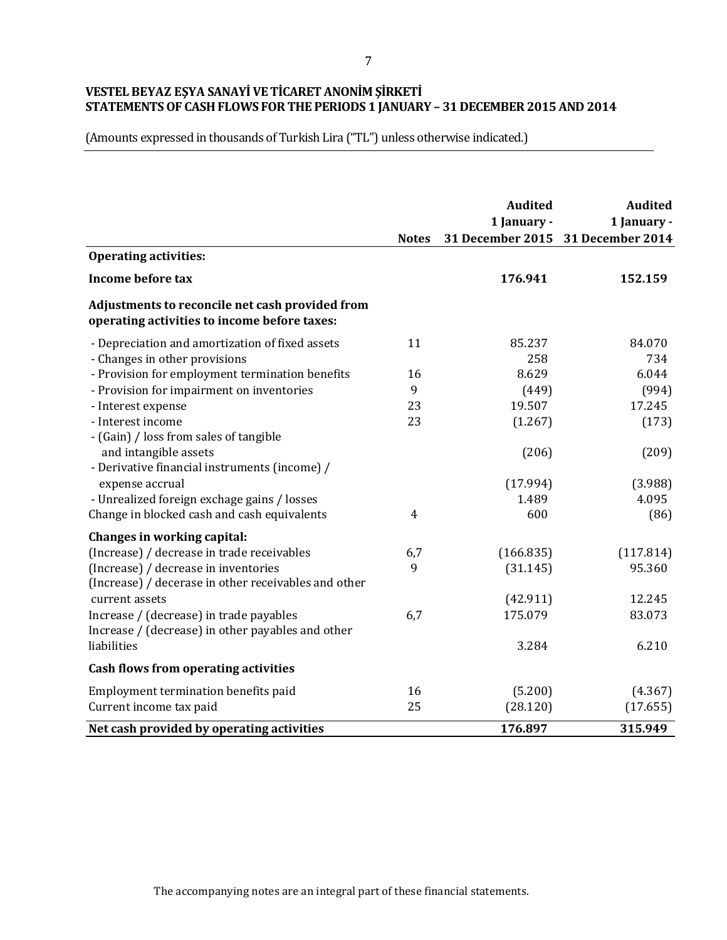## **VESTEL BEYAZ EŞYA SANAYİ VE TİCARET ANONİM ŞİRKETİ STATEMENTS OF CASH FLOWS FOR THE PERIODS 1 JANUARY – 31 DECEMBER 2015 AND 2014**

(Amounts expressed in thousands of Turkish Lira ("TL") unless otherwise indicated.)

|                                                                                                 | <b>Notes</b> | <b>Audited</b><br>1 January - | <b>Audited</b><br>1 January -<br>31 December 2015 31 December 2014 |
|-------------------------------------------------------------------------------------------------|--------------|-------------------------------|--------------------------------------------------------------------|
| <b>Operating activities:</b>                                                                    |              |                               |                                                                    |
| Income before tax                                                                               |              | 176.941                       | 152.159                                                            |
| Adjustments to reconcile net cash provided from<br>operating activities to income before taxes: |              |                               |                                                                    |
| - Depreciation and amortization of fixed assets                                                 | 11           | 85.237                        | 84.070                                                             |
| - Changes in other provisions                                                                   |              | 258                           | 734                                                                |
| - Provision for employment termination benefits                                                 | 16           | 8.629                         | 6.044                                                              |
| - Provision for impairment on inventories                                                       | 9            | (449)                         | (994)                                                              |
| - Interest expense                                                                              | 23           | 19.507                        | 17.245                                                             |
| - Interest income                                                                               | 23           | (1.267)                       | (173)                                                              |
| - (Gain) / loss from sales of tangible                                                          |              |                               |                                                                    |
| and intangible assets                                                                           |              | (206)                         | (209)                                                              |
| - Derivative financial instruments (income) /                                                   |              |                               |                                                                    |
| expense accrual                                                                                 |              | (17.994)                      | (3.988)                                                            |
| - Unrealized foreign exchage gains / losses                                                     |              | 1.489                         | 4.095                                                              |
| Change in blocked cash and cash equivalents                                                     | 4            | 600                           | (86)                                                               |
| Changes in working capital:                                                                     |              |                               |                                                                    |
| (Increase) / decrease in trade receivables                                                      | 6,7          | (166.835)                     | (117.814)                                                          |
| (Increase) / decrease in inventories                                                            | 9            | (31.145)                      | 95.360                                                             |
| (Increase) / decerase in other receivables and other                                            |              |                               |                                                                    |
| current assets                                                                                  |              | (42.911)                      | 12.245                                                             |
| Increase / (decrease) in trade payables                                                         | 6,7          | 175.079                       | 83.073                                                             |
| Increase / (decrease) in other payables and other                                               |              |                               |                                                                    |
| liabilities                                                                                     |              | 3.284                         | 6.210                                                              |
| <b>Cash flows from operating activities</b>                                                     |              |                               |                                                                    |
| Employment termination benefits paid                                                            | 16           | (5.200)                       | (4.367)                                                            |
| Current income tax paid                                                                         | 25           | (28.120)                      | (17.655)                                                           |
| Net cash provided by operating activities                                                       |              | 176.897                       | 315.949                                                            |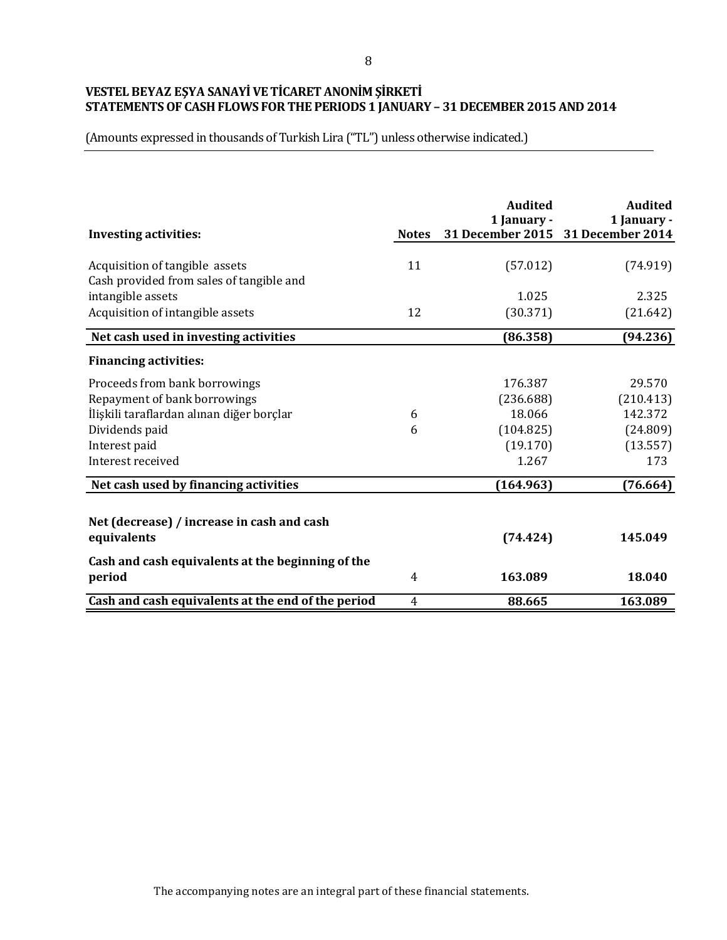## **VESTEL BEYAZ EŞYA SANAYİ VE TİCARET ANONİM ŞİRKETİ STATEMENTS OF CASH FLOWS FOR THE PERIODS 1 JANUARY – 31 DECEMBER 2015 AND 2014**

(Amounts expressed in thousands of Turkish Lira ("TL") unless otherwise indicated.)

| <b>Investing activities:</b>                              | <b>Notes</b>   | <b>Audited</b><br>1 January - | <b>Audited</b><br>1 January -<br>31 December 2015 31 December 2014 |
|-----------------------------------------------------------|----------------|-------------------------------|--------------------------------------------------------------------|
|                                                           |                |                               |                                                                    |
| Acquisition of tangible assets                            | 11             | (57.012)                      | (74.919)                                                           |
| Cash provided from sales of tangible and                  |                |                               |                                                                    |
| intangible assets                                         |                | 1.025                         | 2.325                                                              |
| Acquisition of intangible assets                          | 12             | (30.371)                      | (21.642)                                                           |
| Net cash used in investing activities                     |                | (86.358)                      | (94.236)                                                           |
| <b>Financing activities:</b>                              |                |                               |                                                                    |
| Proceeds from bank borrowings                             |                | 176.387                       | 29.570                                                             |
| Repayment of bank borrowings                              |                | (236.688)                     | (210.413)                                                          |
| İlişkili taraflardan alınan diğer borçlar                 | 6              | 18.066                        | 142.372                                                            |
| Dividends paid                                            | 6              | (104.825)                     | (24.809)                                                           |
| Interest paid                                             |                | (19.170)                      | (13.557)                                                           |
| Interest received                                         |                | 1.267                         | 173                                                                |
| Net cash used by financing activities                     |                | (164.963)                     | (76.664)                                                           |
| Net (decrease) / increase in cash and cash<br>equivalents |                | (74.424)                      | 145.049                                                            |
| Cash and cash equivalents at the beginning of the         |                |                               |                                                                    |
| period                                                    | 4              | 163.089                       | 18.040                                                             |
| Cash and cash equivalents at the end of the period        | $\overline{4}$ | 88.665                        | 163.089                                                            |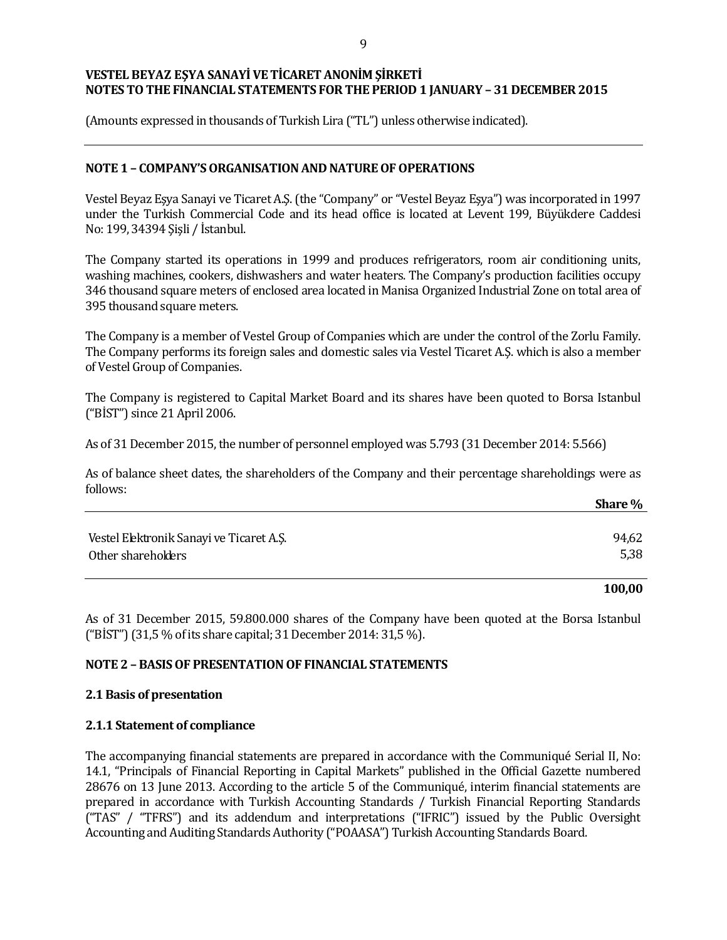(Amounts expressed in thousands of Turkish Lira ("TL") unless otherwise indicated).

#### **NOTE 1 – COMPANY'S ORGANISATION AND NATURE OF OPERATIONS**

Vestel Beyaz Eşya Sanayi ve Ticaret A.Ş. (the "Company" or "Vestel Beyaz Eşya") was incorporated in 1997 under the Turkish Commercial Code and its head office is located at Levent 199, Büyükdere Caddesi No: 199, 34394 Şişli / İstanbul.

The Company started its operations in 1999 and produces refrigerators, room air conditioning units, washing machines, cookers, dishwashers and water heaters. The Company's production facilities occupy 346 thousand square meters of enclosed area located in Manisa Organized Industrial Zone on total area of 395 thousand square meters.

The Company is a member of Vestel Group of Companies which are under the control of the Zorlu Family. The Company performs its foreign sales and domestic sales via Vestel Ticaret A.Ş. which is also a member of Vestel Group of Companies.

The Company is registered to Capital Market Board and its shares have been quoted to Borsa Istanbul ("BİST") since 21 April 2006.

As of 31 December 2015, the number of personnel employed was 5.793 (31 December 2014: 5.566)

As of balance sheet dates, the shareholders of the Company and their percentage shareholdings were as follows:

|                                          | Share % |
|------------------------------------------|---------|
|                                          |         |
| Vestel Elektronik Sanayi ve Ticaret A.S. | 94,62   |
| Other shareholders                       | 5,38    |

#### **100,00**

As of 31 December 2015, 59.800.000 shares of the Company have been quoted at the Borsa Istanbul ("BİST") (31,5 % of its share capital; 31 December 2014: 31,5 %).

#### **NOTE 2 – BASIS OF PRESENTATION OF FINANCIAL STATEMENTS**

#### **2.1 Basis of presentation**

#### **2.1.1 Statement of compliance**

The accompanying financial statements are prepared in accordance with the Communiqué Serial II, No: 14.1, "Principals of Financial Reporting in Capital Markets" published in the Official Gazette numbered 28676 on 13 June 2013. According to the article 5 of the Communiqué, interim financial statements are prepared in accordance with Turkish Accounting Standards / Turkish Financial Reporting Standards ("TAS" / "TFRS") and its addendum and interpretations ("IFRIC") issued by the Public Oversight Accounting and Auditing Standards Authority ("POAASA") Turkish Accounting Standards Board.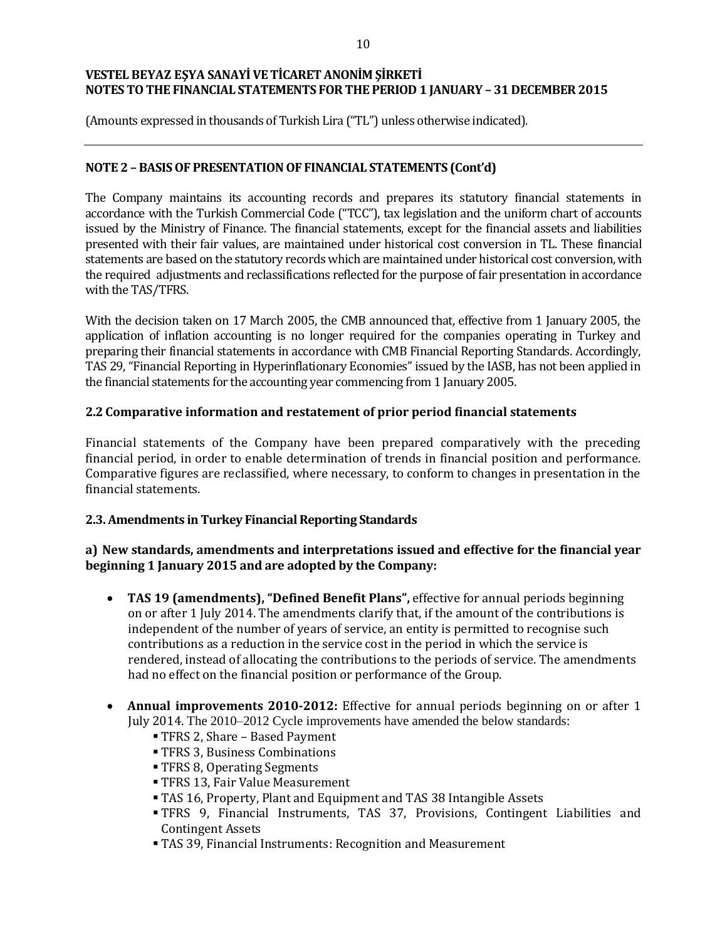(Amounts expressed in thousands of Turkish Lira ("TL") unless otherwise indicated).

# **NOTE 2 – BASIS OF PRESENTATION OF FINANCIAL STATEMENTS (Cont'd)**

The Company maintains its accounting records and prepares its statutory financial statements in accordance with the Turkish Commercial Code ("TCC"), tax legislation and the uniform chart of accounts issued by the Ministry of Finance. The financial statements, except for the financial assets and liabilities presented with their fair values, are maintained under historical cost conversion in TL. These financial statements are based on the statutory records which are maintained under historical cost conversion, with the required adjustments and reclassifications reflected for the purpose of fair presentation in accordance with the TAS/TFRS.

With the decision taken on 17 March 2005, the CMB announced that, effective from 1 January 2005, the application of inflation accounting is no longer required for the companies operating in Turkey and preparing their financial statements in accordance with CMB Financial Reporting Standards. Accordingly, TAS 29, "Financial Reporting in Hyperinflationary Economies" issued by the IASB, has not been applied in the financial statements for the accounting year commencing from 1 January 2005.

# **2.2 Comparative information and restatement of prior period financial statements**

Financial statements of the Company have been prepared comparatively with the preceding financial period, in order to enable determination of trends in financial position and performance. Comparative figures are reclassified, where necessary, to conform to changes in presentation in the financial statements.

# **2.3. Amendments in Turkey Financial Reporting Standards**

# **a) New standards, amendments and interpretations issued and effective for the financial year beginning 1 January 2015 and are adopted by the Company:**

- **TAS 19 (amendments), "Defined Benefit Plans",** effective for annual periods beginning on or after 1 July 2014. The amendments clarify that, if the amount of the contributions is independent of the number of years of service, an entity is permitted to recognise such contributions as a reduction in the service cost in the period in which the service is rendered, instead of allocating the contributions to the periods of service. The amendments had no effect on the financial position or performance of the Group.
- **Annual improvements 2010-2012:** Effective for annual periods beginning on or after 1 July 2014. The 2010–2012 Cycle improvements have amended the below standards:
	- TFRS 2, Share Based Payment
	- TFRS 3, Business Combinations
	- TFRS 8, Operating Segments
	- TFRS 13, Fair Value Measurement
	- TAS 16, Property, Plant and Equipment and TAS 38 Intangible Assets
	- TFRS 9, Financial Instruments, TAS 37, Provisions, Contingent Liabilities and Contingent Assets
	- TAS 39, Financial Instruments: Recognition and Measurement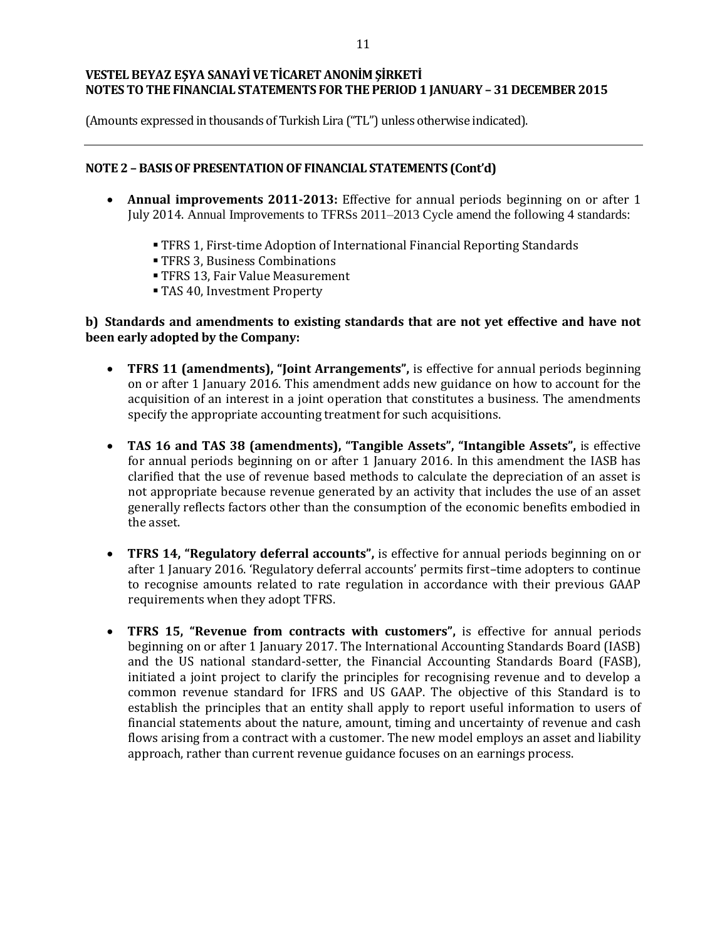(Amounts expressed in thousands of Turkish Lira ("TL") unless otherwise indicated).

## **NOTE 2 – BASIS OF PRESENTATION OF FINANCIAL STATEMENTS (Cont'd)**

- **Annual improvements 2011-2013:** Effective for annual periods beginning on or after 1 July 2014. Annual Improvements to TFRSs 2011–2013 Cycle amend the following 4 standards:
	- TFRS 1, First-time Adoption of International Financial Reporting Standards
	- TFRS 3, Business Combinations
	- TFRS 13, Fair Value Measurement
	- TAS 40, Investment Property

## **b) Standards and amendments to existing standards that are not yet effective and have not been early adopted by the Company:**

- **TFRS 11 (amendments), "Joint Arrangements",** is effective for annual periods beginning on or after 1 January 2016. This amendment adds new guidance on how to account for the acquisition of an interest in a joint operation that constitutes a business. The amendments specify the appropriate accounting treatment for such acquisitions.
- **TAS 16 and TAS 38 (amendments), "Tangible Assets", "Intangible Assets",** is effective for annual periods beginning on or after 1 January 2016. In this amendment the IASB has clarified that the use of revenue based methods to calculate the depreciation of an asset is not appropriate because revenue generated by an activity that includes the use of an asset generally reflects factors other than the consumption of the economic benefits embodied in the asset.
- **TFRS 14, "Regulatory deferral accounts",** is effective for annual periods beginning on or after 1 January 2016. 'Regulatory deferral accounts' permits first–time adopters to continue to recognise amounts related to rate regulation in accordance with their previous GAAP requirements when they adopt TFRS.
- **TFRS 15, "Revenue from contracts with customers",** is effective for annual periods beginning on or after 1 January 2017. The International Accounting Standards Board (IASB) and the US national standard-setter, the Financial Accounting Standards Board (FASB), initiated a joint project to clarify the principles for recognising revenue and to develop a common revenue standard for IFRS and US GAAP. The objective of this Standard is to establish the principles that an entity shall apply to report useful information to users of financial statements about the nature, amount, timing and uncertainty of revenue and cash flows arising from a contract with a customer. The new model employs an asset and liability approach, rather than current revenue guidance focuses on an earnings process.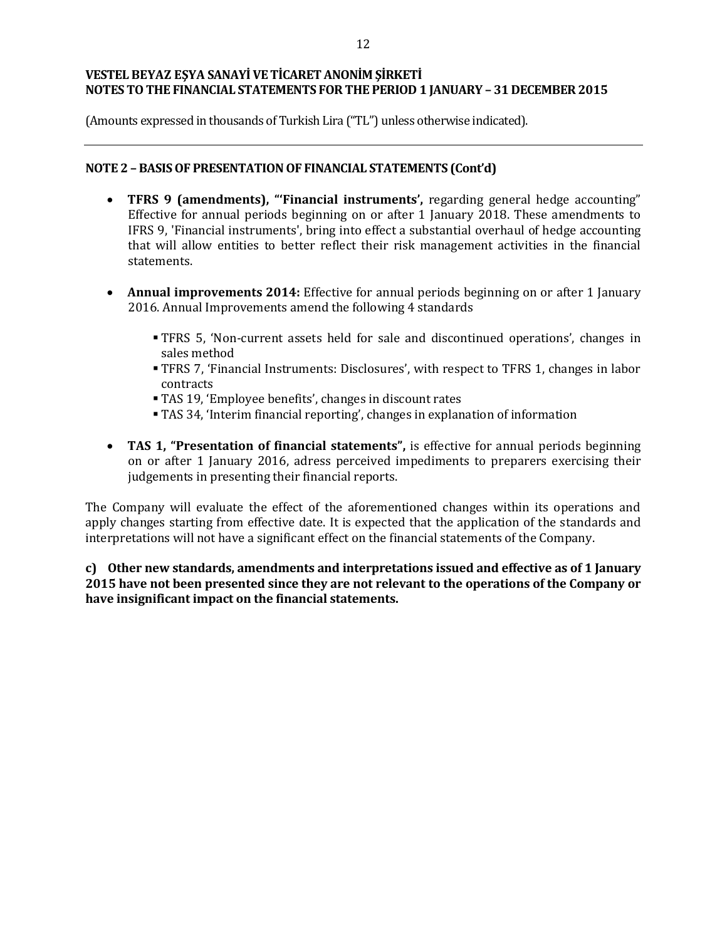(Amounts expressed in thousands of Turkish Lira ("TL") unless otherwise indicated).

#### **NOTE 2 – BASIS OF PRESENTATION OF FINANCIAL STATEMENTS (Cont'd)**

- **TFRS 9 (amendments), "'Financial instruments',** regarding general hedge accounting" Effective for annual periods beginning on or after 1 January 2018. These amendments to IFRS 9, 'Financial instruments', bring into effect a substantial overhaul of hedge accounting that will allow entities to better reflect their risk management activities in the financial statements.
- **Annual improvements 2014:** Effective for annual periods beginning on or after 1 January 2016. Annual Improvements amend the following 4 standards
	- TFRS 5, 'Non-current assets held for sale and discontinued operations', changes in sales method
	- TFRS 7, 'Financial Instruments: Disclosures', with respect to TFRS 1, changes in labor contracts
	- TAS 19, 'Employee benefits', changes in discount rates
	- TAS 34, 'Interim financial reporting', changes in explanation of information
- **TAS 1, "Presentation of financial statements",** is effective for annual periods beginning on or after 1 January 2016, adress perceived impediments to preparers exercising their judgements in presenting their financial reports.

The Company will evaluate the effect of the aforementioned changes within its operations and apply changes starting from effective date. It is expected that the application of the standards and interpretations will not have a significant effect on the financial statements of the Company.

**c) Other new standards, amendments and interpretations issued and effective as of 1 January 2015 have not been presented since they are not relevant to the operations of the Company or have insignificant impact on the financial statements.**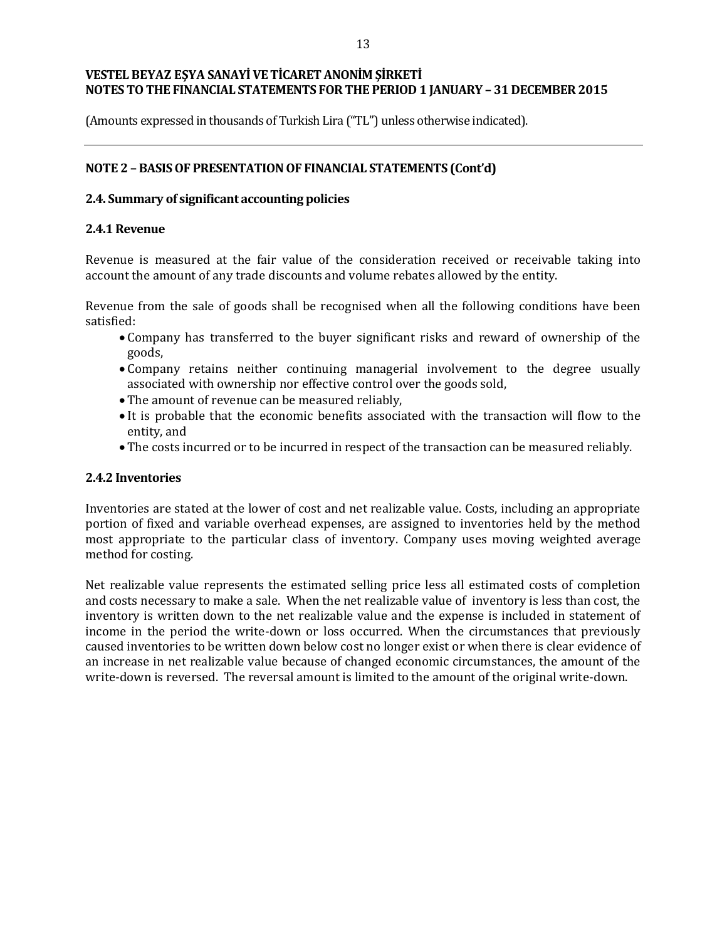(Amounts expressed in thousands of Turkish Lira ("TL") unless otherwise indicated).

### **NOTE 2 – BASIS OF PRESENTATION OF FINANCIAL STATEMENTS (Cont'd)**

#### **2.4. Summary of significant accounting policies**

#### **2.4.1 Revenue**

Revenue is measured at the fair value of the consideration received or receivable taking into account the amount of any trade discounts and volume rebates allowed by the entity.

Revenue from the sale of goods shall be recognised when all the following conditions have been satisfied:

- Company has transferred to the buyer significant risks and reward of ownership of the goods,
- Company retains neither continuing managerial involvement to the degree usually associated with ownership nor effective control over the goods sold,
- The amount of revenue can be measured reliably,
- It is probable that the economic benefits associated with the transaction will flow to the entity, and
- The costs incurred or to be incurred in respect of the transaction can be measured reliably.

#### **2.4.2 Inventories**

Inventories are stated at the lower of cost and net realizable value. Costs, including an appropriate portion of fixed and variable overhead expenses, are assigned to inventories held by the method most appropriate to the particular class of inventory. Company uses moving weighted average method for costing.

Net realizable value represents the estimated selling price less all estimated costs of completion and costs necessary to make a sale. When the net realizable value of inventory is less than cost, the inventory is written down to the net realizable value and the expense is included in statement of income in the period the write-down or loss occurred. When the circumstances that previously caused inventories to be written down below cost no longer exist or when there is clear evidence of an increase in net realizable value because of changed economic circumstances, the amount of the write-down is reversed. The reversal amount is limited to the amount of the original write-down.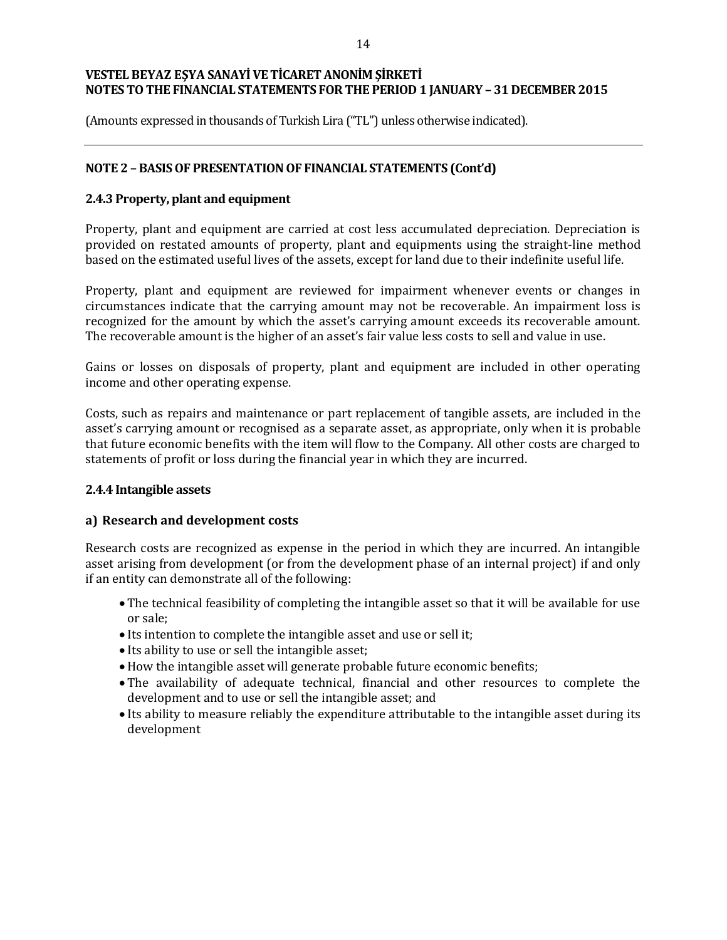(Amounts expressed in thousands of Turkish Lira ("TL") unless otherwise indicated).

## **NOTE 2 – BASIS OF PRESENTATION OF FINANCIAL STATEMENTS (Cont'd)**

### **2.4.3 Property, plant and equipment**

Property, plant and equipment are carried at cost less accumulated depreciation. Depreciation is provided on restated amounts of property, plant and equipments using the straight-line method based on the estimated useful lives of the assets, except for land due to their indefinite useful life.

Property, plant and equipment are reviewed for impairment whenever events or changes in circumstances indicate that the carrying amount may not be recoverable. An impairment loss is recognized for the amount by which the asset's carrying amount exceeds its recoverable amount. The recoverable amount is the higher of an asset's fair value less costs to sell and value in use.

Gains or losses on disposals of property, plant and equipment are included in other operating income and other operating expense.

Costs, such as repairs and maintenance or part replacement of tangible assets, are included in the asset's carrying amount or recognised as a separate asset, as appropriate, only when it is probable that future economic benefits with the item will flow to the Company. All other costs are charged to statements of profit or loss during the financial year in which they are incurred.

#### **2.4.4 Intangible assets**

#### **a) Research and development costs**

Research costs are recognized as expense in the period in which they are incurred. An intangible asset arising from development (or from the development phase of an internal project) if and only if an entity can demonstrate all of the following:

- The technical feasibility of completing the intangible asset so that it will be available for use or sale;
- Its intention to complete the intangible asset and use or sell it;
- Its ability to use or sell the intangible asset;
- How the intangible asset will generate probable future economic benefits;
- The availability of adequate technical, financial and other resources to complete the development and to use or sell the intangible asset; and
- Its ability to measure reliably the expenditure attributable to the intangible asset during its development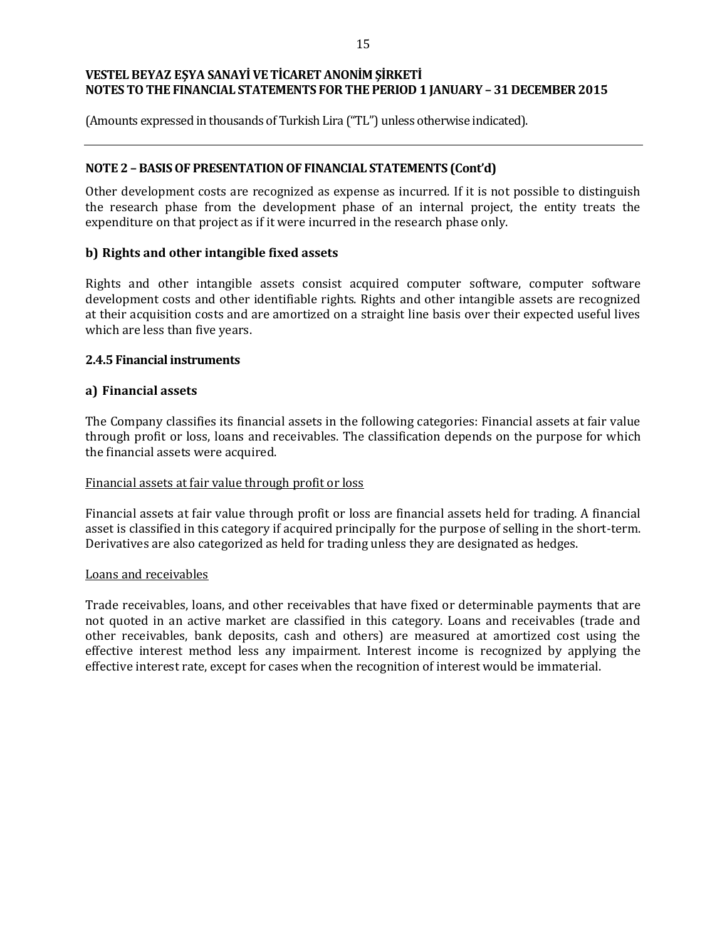(Amounts expressed in thousands of Turkish Lira ("TL") unless otherwise indicated).

# **NOTE 2 – BASIS OF PRESENTATION OF FINANCIAL STATEMENTS (Cont'd)**

Other development costs are recognized as expense as incurred. If it is not possible to distinguish the research phase from the development phase of an internal project, the entity treats the expenditure on that project as if it were incurred in the research phase only.

# **b) Rights and other intangible fixed assets**

Rights and other intangible assets consist acquired computer software, computer software development costs and other identifiable rights. Rights and other intangible assets are recognized at their acquisition costs and are amortized on a straight line basis over their expected useful lives which are less than five years.

# **2.4.5 Financial instruments**

# **a) Financial assets**

The Company classifies its financial assets in the following categories: Financial assets at fair value through profit or loss, loans and receivables. The classification depends on the purpose for which the financial assets were acquired.

# Financial assets at fair value through profit or loss

Financial assets at fair value through profit or loss are financial assets held for trading. A financial asset is classified in this category if acquired principally for the purpose of selling in the short-term. Derivatives are also categorized as held for trading unless they are designated as hedges.

# Loans and receivables

Trade receivables, loans, and other receivables that have fixed or determinable payments that are not quoted in an active market are classified in this category. Loans and receivables (trade and other receivables, bank deposits, cash and others) are measured at amortized cost using the effective interest method less any impairment. Interest income is recognized by applying the effective interest rate, except for cases when the recognition of interest would be immaterial.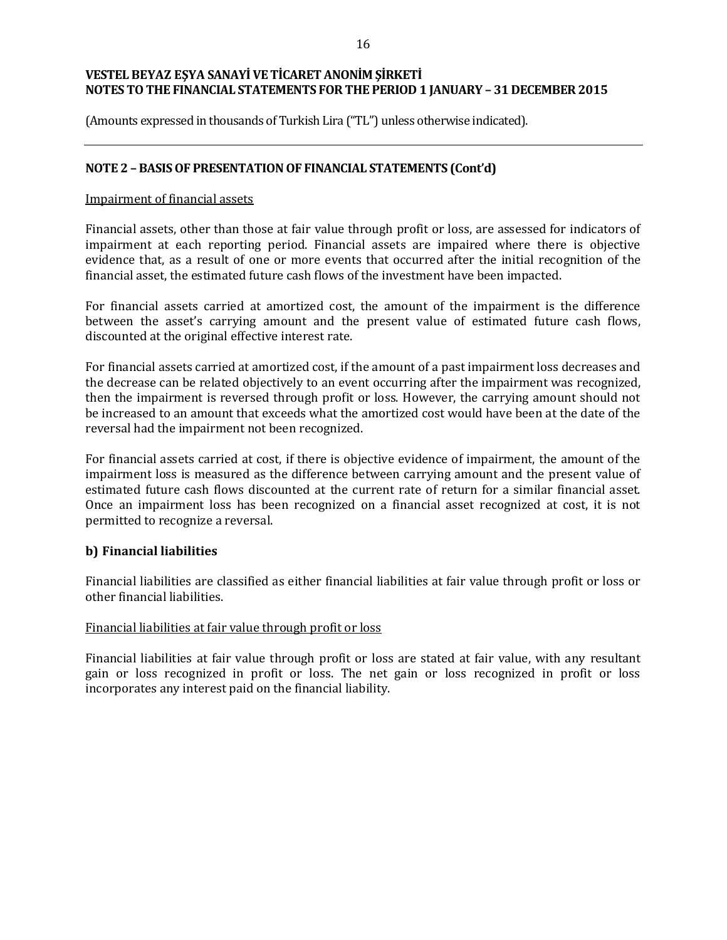(Amounts expressed in thousands of Turkish Lira ("TL") unless otherwise indicated).

## **NOTE 2 – BASIS OF PRESENTATION OF FINANCIAL STATEMENTS (Cont'd)**

## Impairment of financial assets

Financial assets, other than those at fair value through profit or loss, are assessed for indicators of impairment at each reporting period. Financial assets are impaired where there is objective evidence that, as a result of one or more events that occurred after the initial recognition of the financial asset, the estimated future cash flows of the investment have been impacted.

For financial assets carried at amortized cost, the amount of the impairment is the difference between the asset's carrying amount and the present value of estimated future cash flows, discounted at the original effective interest rate.

For financial assets carried at amortized cost, if the amount of a past impairment loss decreases and the decrease can be related objectively to an event occurring after the impairment was recognized, then the impairment is reversed through profit or loss. However, the carrying amount should not be increased to an amount that exceeds what the amortized cost would have been at the date of the reversal had the impairment not been recognized.

For financial assets carried at cost, if there is objective evidence of impairment, the amount of the impairment loss is measured as the difference between carrying amount and the present value of estimated future cash flows discounted at the current rate of return for a similar financial asset. Once an impairment loss has been recognized on a financial asset recognized at cost, it is not permitted to recognize a reversal.

#### **b) Financial liabilities**

Financial liabilities are classified as either financial liabilities at fair value through profit or loss or other financial liabilities.

#### Financial liabilities at fair value through profit or loss

Financial liabilities at fair value through profit or loss are stated at fair value, with any resultant gain or loss recognized in profit or loss. The net gain or loss recognized in profit or loss incorporates any interest paid on the financial liability.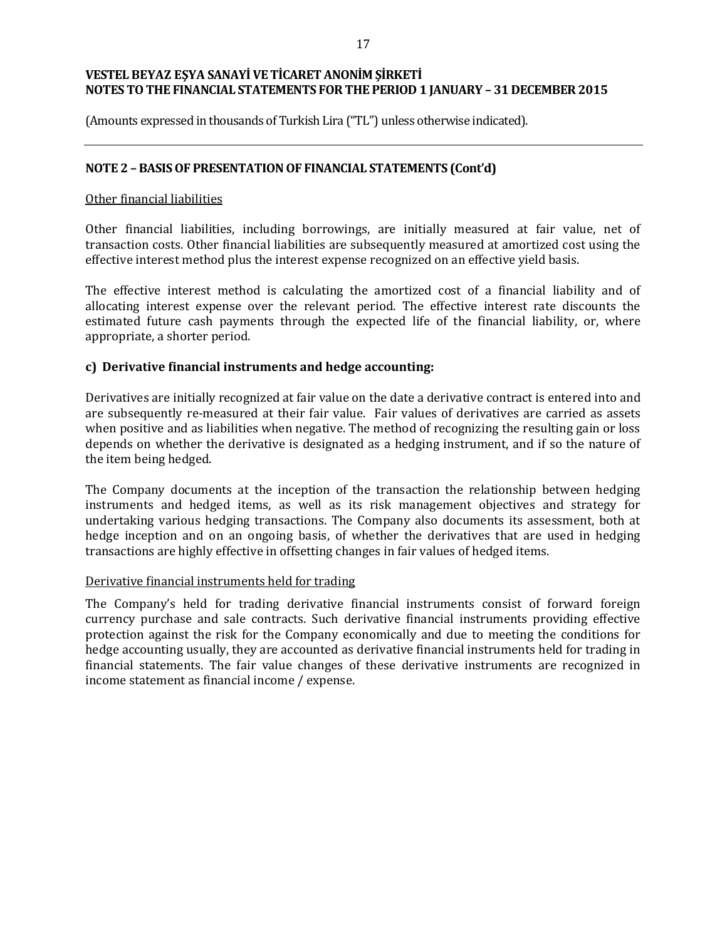(Amounts expressed in thousands of Turkish Lira ("TL") unless otherwise indicated).

### **NOTE 2 – BASIS OF PRESENTATION OF FINANCIAL STATEMENTS (Cont'd)**

#### Other financial liabilities

Other financial liabilities, including borrowings, are initially measured at fair value, net of transaction costs. Other financial liabilities are subsequently measured at amortized cost using the effective interest method plus the interest expense recognized on an effective yield basis.

The effective interest method is calculating the amortized cost of a financial liability and of allocating interest expense over the relevant period. The effective interest rate discounts the estimated future cash payments through the expected life of the financial liability, or, where appropriate, a shorter period.

## **c) Derivative financial instruments and hedge accounting:**

Derivatives are initially recognized at fair value on the date a derivative contract is entered into and are subsequently re-measured at their fair value. Fair values of derivatives are carried as assets when positive and as liabilities when negative. The method of recognizing the resulting gain or loss depends on whether the derivative is designated as a hedging instrument, and if so the nature of the item being hedged.

The Company documents at the inception of the transaction the relationship between hedging instruments and hedged items, as well as its risk management objectives and strategy for undertaking various hedging transactions. The Company also documents its assessment, both at hedge inception and on an ongoing basis, of whether the derivatives that are used in hedging transactions are highly effective in offsetting changes in fair values of hedged items.

#### Derivative financial instruments held for trading

The Company's held for trading derivative financial instruments consist of forward foreign currency purchase and sale contracts. Such derivative financial instruments providing effective protection against the risk for the Company economically and due to meeting the conditions for hedge accounting usually, they are accounted as derivative financial instruments held for trading in financial statements. The fair value changes of these derivative instruments are recognized in income statement as financial income / expense.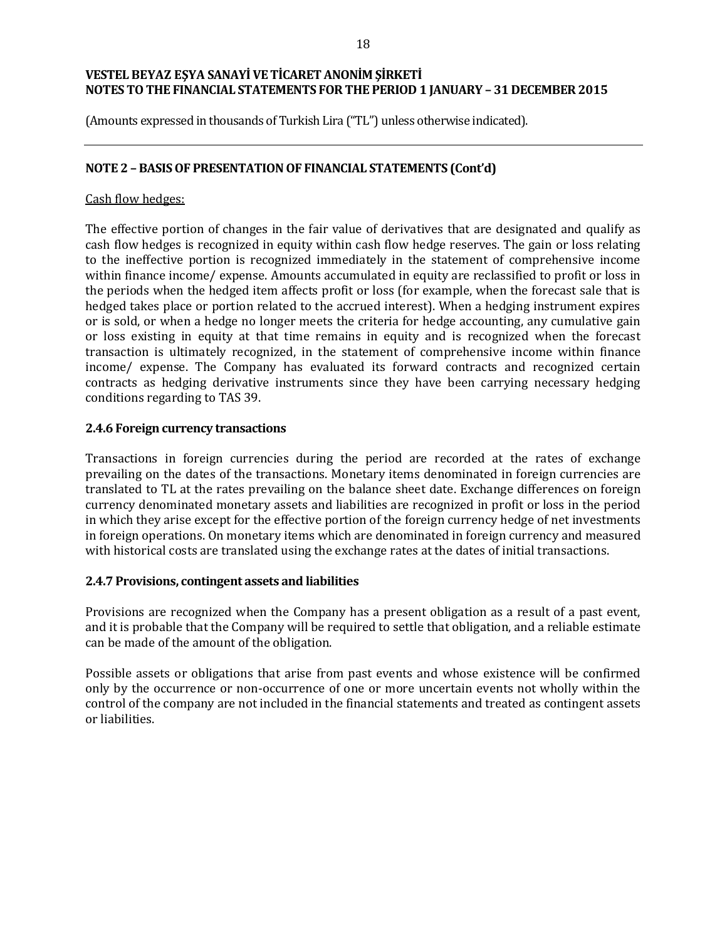(Amounts expressed in thousands of Turkish Lira ("TL") unless otherwise indicated).

## **NOTE 2 – BASIS OF PRESENTATION OF FINANCIAL STATEMENTS (Cont'd)**

### Cash flow hedges:

The effective portion of changes in the fair value of derivatives that are designated and qualify as cash flow hedges is recognized in equity within cash flow hedge reserves. The gain or loss relating to the ineffective portion is recognized immediately in the statement of comprehensive income within finance income/ expense. Amounts accumulated in equity are reclassified to profit or loss in the periods when the hedged item affects profit or loss (for example, when the forecast sale that is hedged takes place or portion related to the accrued interest). When a hedging instrument expires or is sold, or when a hedge no longer meets the criteria for hedge accounting, any cumulative gain or loss existing in equity at that time remains in equity and is recognized when the forecast transaction is ultimately recognized, in the statement of comprehensive income within finance income/ expense. The Company has evaluated its forward contracts and recognized certain contracts as hedging derivative instruments since they have been carrying necessary hedging conditions regarding to TAS 39.

## **2.4.6 Foreign currency transactions**

Transactions in foreign currencies during the period are recorded at the rates of exchange prevailing on the dates of the transactions. Monetary items denominated in foreign currencies are translated to TL at the rates prevailing on the balance sheet date. Exchange differences on foreign currency denominated monetary assets and liabilities are recognized in profit or loss in the period in which they arise except for the effective portion of the foreign currency hedge of net investments in foreign operations. On monetary items which are denominated in foreign currency and measured with historical costs are translated using the exchange rates at the dates of initial transactions.

#### **2.4.7 Provisions, contingent assets and liabilities**

Provisions are recognized when the Company has a present obligation as a result of a past event, and it is probable that the Company will be required to settle that obligation, and a reliable estimate can be made of the amount of the obligation.

Possible assets or obligations that arise from past events and whose existence will be confirmed only by the occurrence or non-occurrence of one or more uncertain events not wholly within the control of the company are not included in the financial statements and treated as contingent assets or liabilities.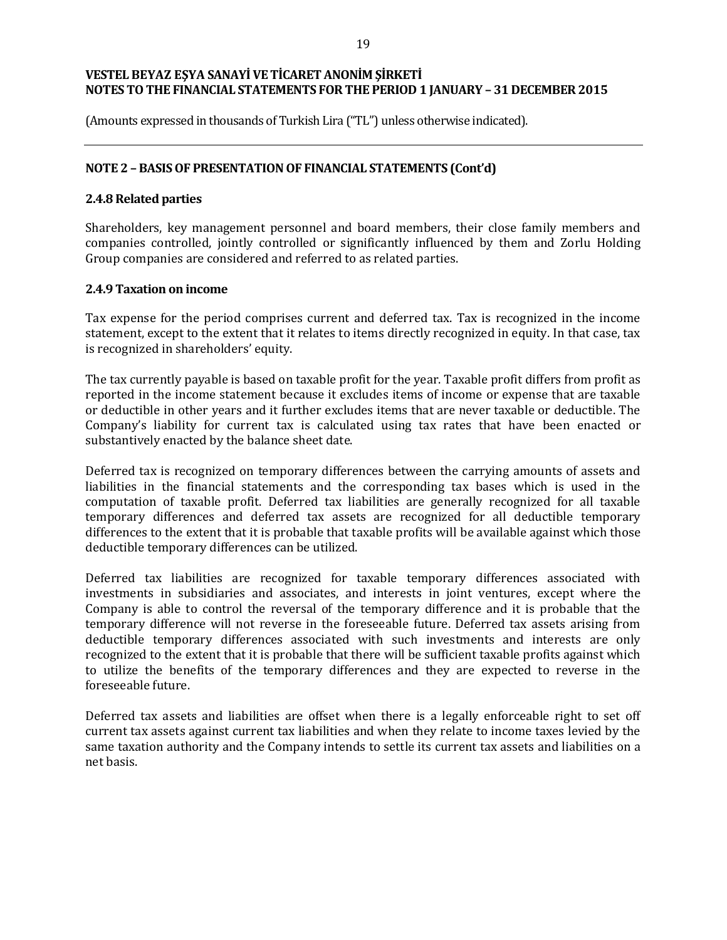(Amounts expressed in thousands of Turkish Lira ("TL") unless otherwise indicated).

### **NOTE 2 – BASIS OF PRESENTATION OF FINANCIAL STATEMENTS (Cont'd)**

### **2.4.8Related parties**

Shareholders, key management personnel and board members, their close family members and companies controlled, jointly controlled or significantly influenced by them and Zorlu Holding Group companies are considered and referred to as related parties.

#### **2.4.9Taxation on income**

Tax expense for the period comprises current and deferred tax. Tax is recognized in the income statement, except to the extent that it relates to items directly recognized in equity. In that case, tax is recognized in shareholders' equity.

The tax currently payable is based on taxable profit for the year. Taxable profit differs from profit as reported in the income statement because it excludes items of income or expense that are taxable or deductible in other years and it further excludes items that are never taxable or deductible. The Company's liability for current tax is calculated using tax rates that have been enacted or substantively enacted by the balance sheet date.

Deferred tax is recognized on temporary differences between the carrying amounts of assets and liabilities in the financial statements and the corresponding tax bases which is used in the computation of taxable profit. Deferred tax liabilities are generally recognized for all taxable temporary differences and deferred tax assets are recognized for all deductible temporary differences to the extent that it is probable that taxable profits will be available against which those deductible temporary differences can be utilized.

Deferred tax liabilities are recognized for taxable temporary differences associated with investments in subsidiaries and associates, and interests in joint ventures, except where the Company is able to control the reversal of the temporary difference and it is probable that the temporary difference will not reverse in the foreseeable future. Deferred tax assets arising from deductible temporary differences associated with such investments and interests are only recognized to the extent that it is probable that there will be sufficient taxable profits against which to utilize the benefits of the temporary differences and they are expected to reverse in the foreseeable future.

Deferred tax assets and liabilities are offset when there is a legally enforceable right to set off current tax assets against current tax liabilities and when they relate to income taxes levied by the same taxation authority and the Company intends to settle its current tax assets and liabilities on a net basis.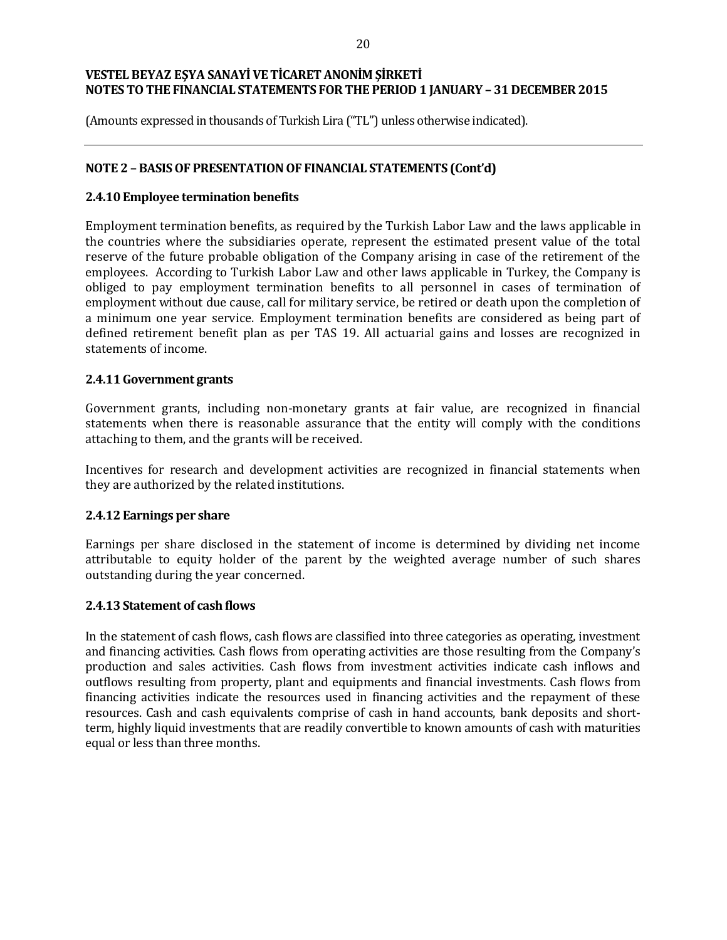(Amounts expressed in thousands of Turkish Lira ("TL") unless otherwise indicated).

# **NOTE 2 – BASIS OF PRESENTATION OF FINANCIAL STATEMENTS (Cont'd)**

# **2.4.10 Employee termination benefits**

Employment termination benefits, as required by the Turkish Labor Law and the laws applicable in the countries where the subsidiaries operate, represent the estimated present value of the total reserve of the future probable obligation of the Company arising in case of the retirement of the employees. According to Turkish Labor Law and other laws applicable in Turkey, the Company is obliged to pay employment termination benefits to all personnel in cases of termination of employment without due cause, call for military service, be retired or death upon the completion of a minimum one year service. Employment termination benefits are considered as being part of defined retirement benefit plan as per TAS 19. All actuarial gains and losses are recognized in statements of income.

# **2.4.11Government grants**

Government grants, including non-monetary grants at fair value, are recognized in financial statements when there is reasonable assurance that the entity will comply with the conditions attaching to them, and the grants will be received.

Incentives for research and development activities are recognized in financial statements when they are authorized by the related institutions.

# **2.4.12 Earnings per share**

Earnings per share disclosed in the statement of income is determined by dividing net income attributable to equity holder of the parent by the weighted average number of such shares outstanding during the year concerned.

# **2.4.13 Statement of cash flows**

In the statement of cash flows, cash flows are classified into three categories as operating, investment and financing activities. Cash flows from operating activities are those resulting from the Company's production and sales activities. Cash flows from investment activities indicate cash inflows and outflows resulting from property, plant and equipments and financial investments. Cash flows from financing activities indicate the resources used in financing activities and the repayment of these resources. Cash and cash equivalents comprise of cash in hand accounts, bank deposits and shortterm, highly liquid investments that are readily convertible to known amounts of cash with maturities equal or less than three months.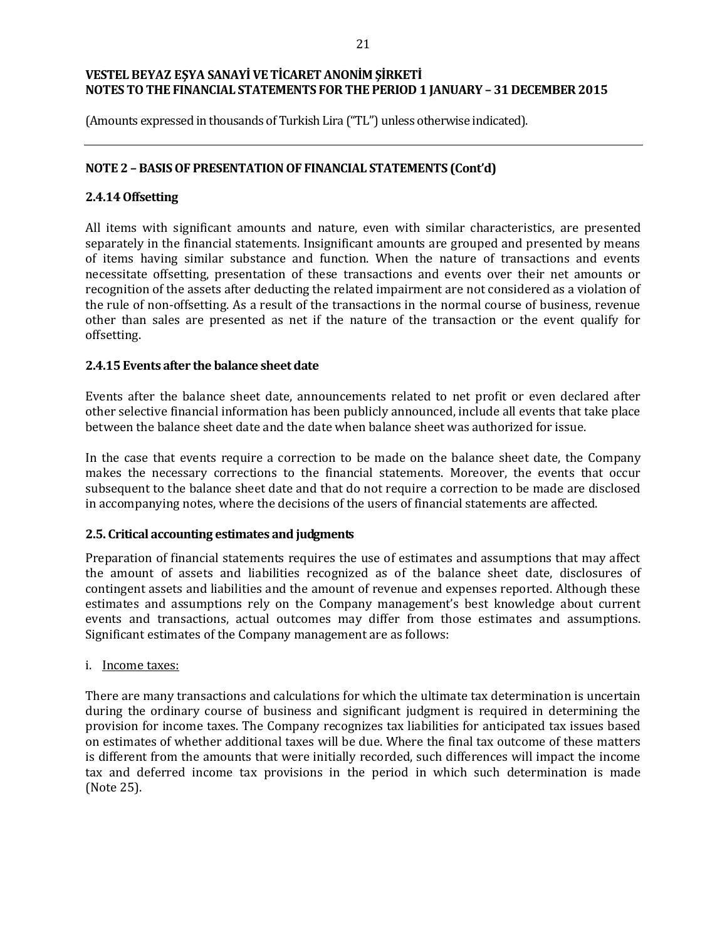(Amounts expressed in thousands of Turkish Lira ("TL") unless otherwise indicated).

### **NOTE 2 – BASIS OF PRESENTATION OF FINANCIAL STATEMENTS (Cont'd)**

### **2.4.14Offsetting**

All items with significant amounts and nature, even with similar characteristics, are presented separately in the financial statements. Insignificant amounts are grouped and presented by means of items having similar substance and function. When the nature of transactions and events necessitate offsetting, presentation of these transactions and events over their net amounts or recognition of the assets after deducting the related impairment are not considered as a violation of the rule of non-offsetting. As a result of the transactions in the normal course of business, revenue other than sales are presented as net if the nature of the transaction or the event qualify for offsetting.

## **2.4.15 Events after the balance sheet date**

Events after the balance sheet date, announcements related to net profit or even declared after other selective financial information has been publicly announced, include all events that take place between the balance sheet date and the date when balance sheet was authorized for issue.

In the case that events require a correction to be made on the balance sheet date, the Company makes the necessary corrections to the financial statements. Moreover, the events that occur subsequent to the balance sheet date and that do not require a correction to be made are disclosed in accompanying notes, where the decisions of the users of financial statements are affected.

#### **2.5. Critical accounting estimates and judgments**

Preparation of financial statements requires the use of estimates and assumptions that may affect the amount of assets and liabilities recognized as of the balance sheet date, disclosures of contingent assets and liabilities and the amount of revenue and expenses reported. Although these estimates and assumptions rely on the Company management's best knowledge about current events and transactions, actual outcomes may differ from those estimates and assumptions. Significant estimates of the Company management are as follows:

#### i. Income taxes:

There are many transactions and calculations for which the ultimate tax determination is uncertain during the ordinary course of business and significant judgment is required in determining the provision for income taxes. The Company recognizes tax liabilities for anticipated tax issues based on estimates of whether additional taxes will be due. Where the final tax outcome of these matters is different from the amounts that were initially recorded, such differences will impact the income tax and deferred income tax provisions in the period in which such determination is made (Note 25).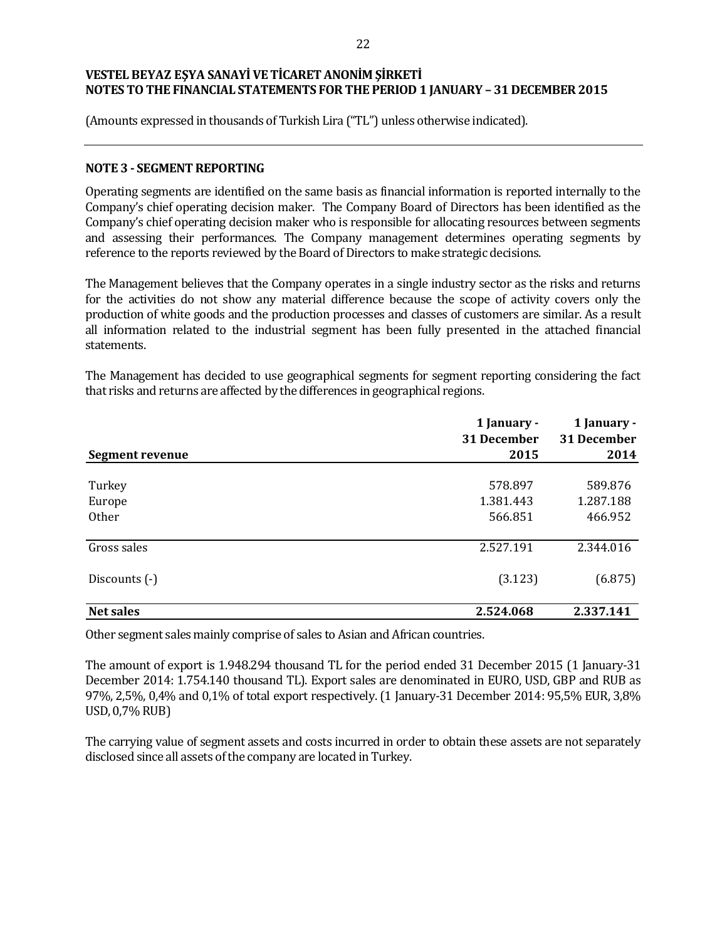(Amounts expressed in thousands of Turkish Lira ("TL") unless otherwise indicated).

# **NOTE 3 - SEGMENT REPORTING**

Operating segments are identified on the same basis as financial information is reported internally to the Company's chief operating decision maker. The Company Board of Directors has been identified as the Company's chief operating decision maker who is responsible for allocating resources between segments and assessing their performances. The Company management determines operating segments by reference to the reports reviewed by the Board of Directors to make strategic decisions.

The Management believes that the Company operates in a single industry sector as the risks and returns for the activities do not show any material difference because the scope of activity covers only the production of white goods and the production processes and classes of customers are similar. As a result all information related to the industrial segment has been fully presented in the attached financial statements.

The Management has decided to use geographical segments for segment reporting considering the fact that risks and returns are affected by the differences in geographical regions.

| <b>Segment revenue</b> | 1 January -<br>31 December<br>2015 | 1 January -<br>31 December<br>2014 |
|------------------------|------------------------------------|------------------------------------|
| Turkey                 | 578.897                            | 589.876                            |
| Europe                 | 1.381.443                          | 1.287.188                          |
| Other                  | 566.851                            | 466.952                            |
| Gross sales            | 2.527.191                          | 2.344.016                          |
| Discounts (-)          | (3.123)                            | (6.875)                            |
| Net sales              | 2.524.068                          | 2.337.141                          |

Other segment sales mainly comprise of sales to Asian and African countries.

The amount of export is 1.948.294 thousand TL for the period ended 31 December 2015 (1 January-31 December 2014: 1.754.140 thousand TL). Export sales are denominated in EURO, USD, GBP and RUB as 97%, 2,5%, 0,4% and 0,1% of total export respectively. (1 January-31 December 2014: 95,5% EUR, 3,8% USD, 0,7% RUB)

The carrying value of segment assets and costs incurred in order to obtain these assets are not separately disclosed since all assets of the company are located in Turkey.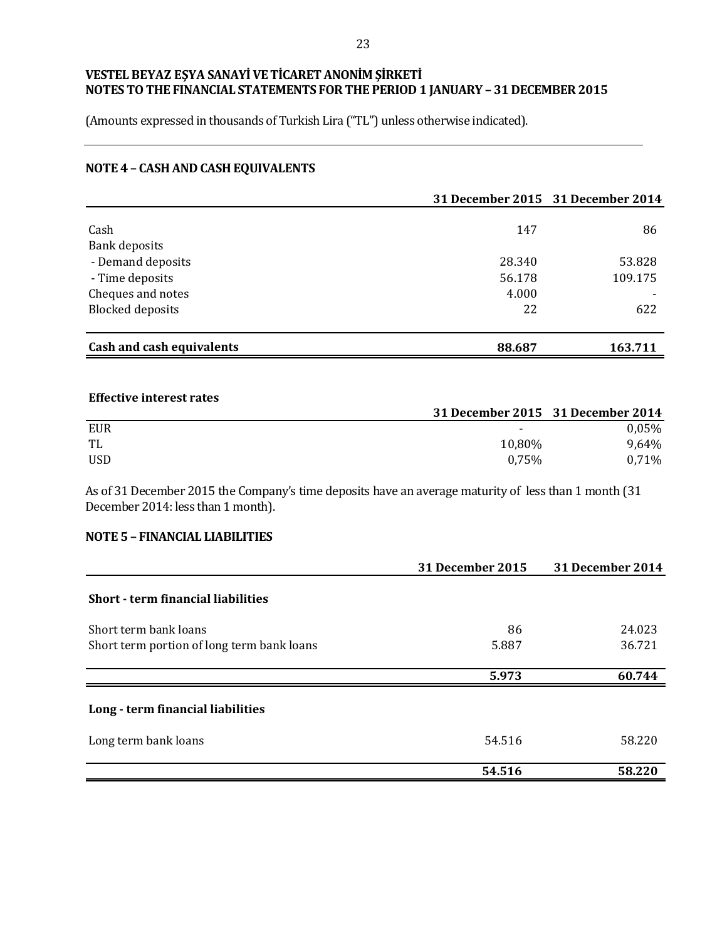(Amounts expressed in thousands of Turkish Lira ("TL") unless otherwise indicated).

# **NOTE 4 – CASH AND CASH EQUIVALENTS**

|                           |        | 31 December 2015 31 December 2014 |
|---------------------------|--------|-----------------------------------|
|                           |        |                                   |
| Cash                      | 147    | 86                                |
| <b>Bank deposits</b>      |        |                                   |
| - Demand deposits         | 28.340 | 53.828                            |
| - Time deposits           | 56.178 | 109.175                           |
| Cheques and notes         | 4.000  |                                   |
| <b>Blocked deposits</b>   | 22     | 622                               |
|                           |        |                                   |
| Cash and cash equivalents | 88.687 | 163.711                           |

#### **Effective interest rates**

|            | 31 December 2015 31 December 2014 |       |
|------------|-----------------------------------|-------|
| EUR        | $\overline{\phantom{a}}$          | 0,05% |
| TL         | 10,80%                            | 9,64% |
| <b>USD</b> | 0.75%                             | 0,71% |

As of 31 December 2015 the Company's time deposits have an average maturity of less than 1 month (31 December 2014: less than 1 month).

## **NOTE 5 – FINANCIAL LIABILITIES**

|                                            | <b>31 December 2015</b> | <b>31 December 2014</b> |
|--------------------------------------------|-------------------------|-------------------------|
| Short - term financial liabilities         |                         |                         |
| Short term bank loans                      | 86                      | 24.023                  |
| Short term portion of long term bank loans | 5.887                   | 36.721                  |
|                                            | 5.973                   | 60.744                  |
| Long - term financial liabilities          |                         |                         |
| Long term bank loans                       | 54.516                  | 58.220                  |
|                                            | 54.516                  | 58.220                  |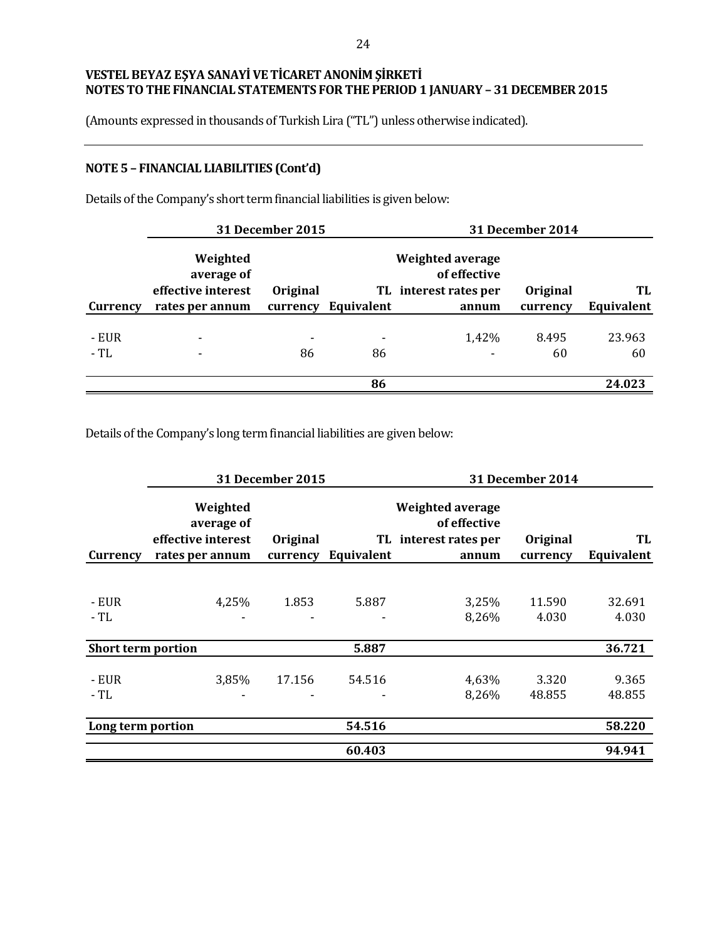(Amounts expressed in thousands of Turkish Lira ("TL") unless otherwise indicated).

# **NOTE 5 – FINANCIAL LIABILITIES (Cont'd)**

Details of the Company's short term financial liabilities is given below:

|          |                                                                 | <b>31 December 2015</b> |            |                                                                    | <b>31 December 2014</b> |                  |
|----------|-----------------------------------------------------------------|-------------------------|------------|--------------------------------------------------------------------|-------------------------|------------------|
| Currency | Weighted<br>average of<br>effective interest<br>rates per annum | Original<br>currency    | Equivalent | Weighted average<br>of effective<br>TL interest rates per<br>annum | Original<br>currency    | TL<br>Equivalent |
|          |                                                                 |                         |            |                                                                    |                         |                  |
| - EUR    |                                                                 |                         |            | 1,42%                                                              | 8.495                   | 23.963           |
| - TL     |                                                                 | 86                      | 86         |                                                                    | 60                      | 60               |
|          |                                                                 |                         |            |                                                                    |                         |                  |
|          |                                                                 |                         | 86         |                                                                    |                         | 24.023           |

Details of the Company's long term financial liabilities are given below:

|                           |                                                                 | <b>31 December 2015</b> |            |                                                                           | <b>31 December 2014</b> |                  |
|---------------------------|-----------------------------------------------------------------|-------------------------|------------|---------------------------------------------------------------------------|-------------------------|------------------|
| Currency                  | Weighted<br>average of<br>effective interest<br>rates per annum | Original<br>currency    | Equivalent | <b>Weighted average</b><br>of effective<br>TL interest rates per<br>annum | Original<br>currency    | TL<br>Equivalent |
| - EUR<br>- TL             | 4,25%                                                           | 1.853                   | 5.887      | 3,25%<br>8,26%                                                            | 11.590<br>4.030         | 32.691<br>4.030  |
| <b>Short term portion</b> |                                                                 |                         | 5.887      |                                                                           |                         | 36.721           |
| - EUR<br>- TL             | 3,85%                                                           | 17.156                  | 54.516     | 4,63%<br>8,26%                                                            | 3.320<br>48.855         | 9.365<br>48.855  |
| Long term portion         |                                                                 |                         | 54.516     |                                                                           |                         | 58.220           |
|                           |                                                                 |                         | 60.403     |                                                                           |                         | 94.941           |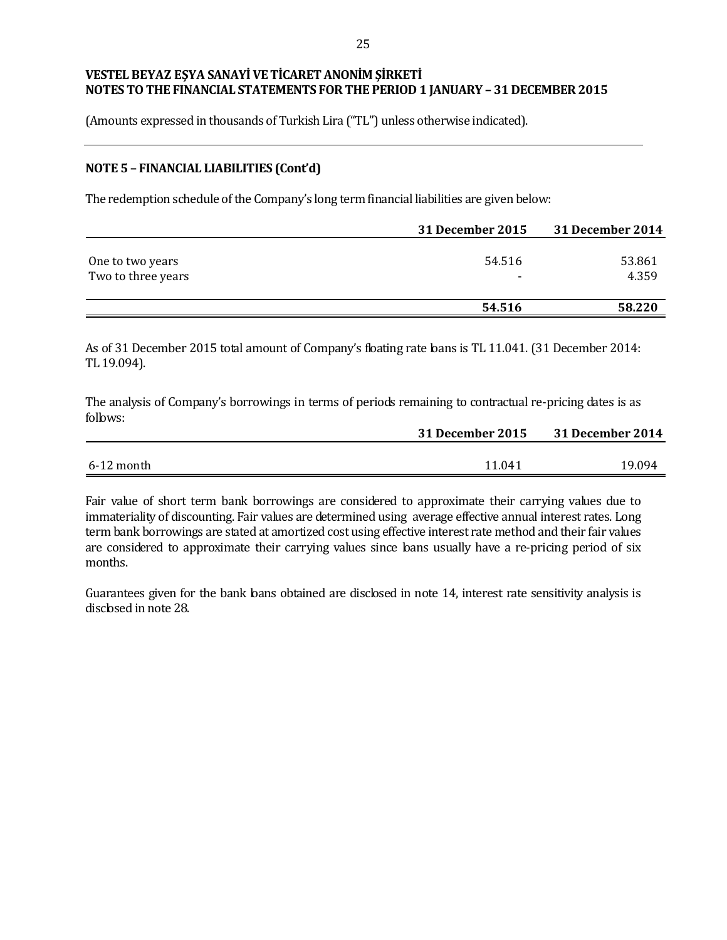(Amounts expressed in thousands of Turkish Lira ("TL") unless otherwise indicated).

#### **NOTE 5 – FINANCIAL LIABILITIES (Cont'd)**

The redemption schedule of the Company's long term financial liabilities are given below:

|                                        | <b>31 December 2015</b> | 31 December 2014 |
|----------------------------------------|-------------------------|------------------|
| One to two years<br>Two to three years | 54.516<br>۰             | 53.861<br>4.359  |
|                                        | 54.516                  | 58.220           |

As of 31 December 2015 total amount of Company's floating rate loans is TL 11.041. (31 December 2014: TL 19.094).

The analysis of Company's borrowings in terms of periods remaining to contractual re-pricing dates is as follows:

|            | 31 December 2015 | 31 December 2014 |
|------------|------------------|------------------|
|            |                  |                  |
| 6-12 month | 11.041           | 19.094           |

Fair value of short term bank borrowings are considered to approximate their carrying values due to immateriality of discounting. Fair values are determined using average effective annual interest rates. Long term bank borrowings are stated at amortized cost using effective interest rate method and their fair values are considered to approximate their carrying values since loans usually have a re-pricing period of six months.

Guarantees given for the bank bans obtained are disclosed in note 14, interest rate sensitivity analysis is disclosed in note 28.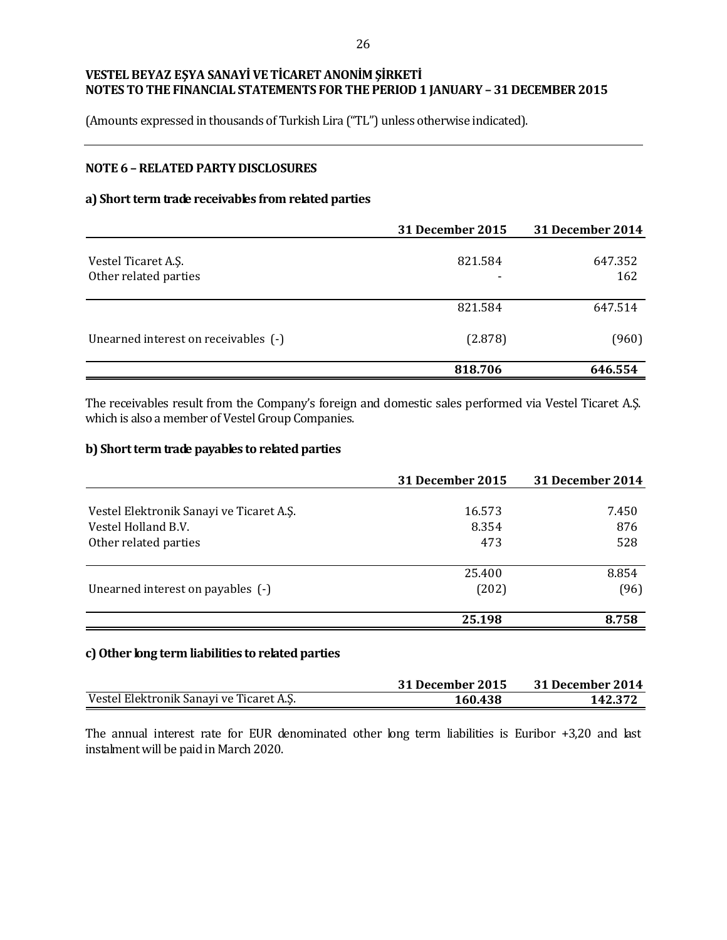(Amounts expressed in thousands of Turkish Lira ("TL") unless otherwise indicated).

#### **NOTE 6 –RELATED PARTY DISCLOSURES**

#### **a) Short term trade receivables from related parties**

|                                      | <b>31 December 2015</b> | 31 December 2014 |
|--------------------------------------|-------------------------|------------------|
|                                      |                         |                  |
| Vestel Ticaret A.S.                  | 821.584                 | 647.352          |
| Other related parties                |                         | 162              |
|                                      | 821.584                 | 647.514          |
| Unearned interest on receivables (-) | (2.878)                 | (960)            |
|                                      | 818.706                 | 646.554          |

The receivables result from the Company's foreign and domestic sales performed via Vestel Ticaret A.Ş. which is also a member of Vestel Group Companies.

#### **b) Short term trade payables to related parties**

|                                          | <b>31 December 2015</b> | 31 December 2014 |
|------------------------------------------|-------------------------|------------------|
|                                          |                         |                  |
| Vestel Elektronik Sanayi ve Ticaret A.S. | 16.573                  | 7.450            |
| Vestel Holland B.V.                      | 8.354                   | 876              |
| Other related parties                    | 473                     | 528              |
|                                          | 25.400                  | 8.854            |
| Unearned interest on payables (-)        | (202)                   | (96)             |
|                                          | 25.198                  | 8.758            |

## **c) Other long term liabilities to related parties**

|                                          | 31 December 2015 | 31 December 2014 |
|------------------------------------------|------------------|------------------|
| Vestel Elektronik Sanayi ve Ticaret A.Ş. | 160.438          | 142.372          |

The annual interest rate for EUR denominated other long term liabilities is Euribor +3,20 and last instalment will be paid in March 2020.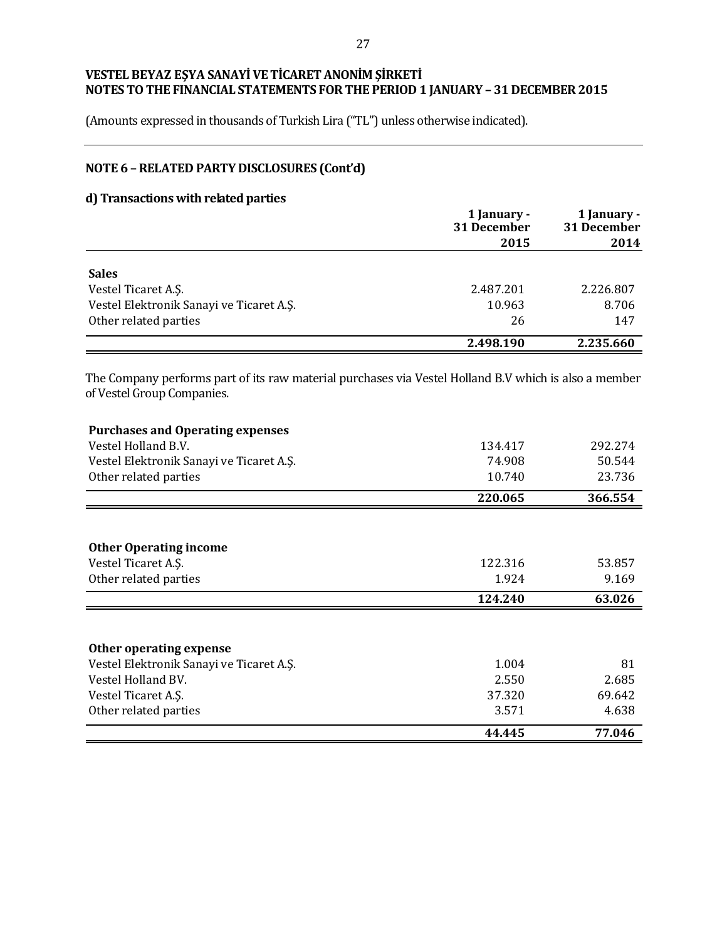(Amounts expressed in thousands of Turkish Lira ("TL") unless otherwise indicated).

# **NOTE 6 –RELATED PARTY DISCLOSURES (Cont'd)**

#### **d) Transactions with related parties**

|                                          | 1 January -<br>31 December | 1 January -<br>31 December |
|------------------------------------------|----------------------------|----------------------------|
|                                          | 2015                       | 2014                       |
| <b>Sales</b>                             |                            |                            |
| Vestel Ticaret A.Ş.                      | 2.487.201                  | 2.226.807                  |
| Vestel Elektronik Sanayi ve Ticaret A.Ş. | 10.963                     | 8.706                      |
| Other related parties                    | 26                         | 147                        |
|                                          | 2.498.190                  | 2.235.660                  |

The Company performs part of its raw material purchases via Vestel Holland B.V which is also a member of Vestel Group Companies.

| <b>Purchases and Operating expenses</b>  |         |         |
|------------------------------------------|---------|---------|
| Vestel Holland B.V.                      | 134.417 | 292.274 |
| Vestel Elektronik Sanayi ve Ticaret A.Ş. | 74.908  | 50.544  |
| Other related parties                    | 10.740  | 23.736  |
|                                          | 220.065 | 366.554 |
|                                          |         |         |
| <b>Other Operating income</b>            |         |         |
| Vestel Ticaret A.Ş.                      | 122.316 | 53.857  |
| Other related parties                    | 1.924   | 9.169   |
|                                          | 124.240 | 63.026  |
|                                          |         |         |
| Other operating expense                  |         |         |
| Vestel Elektronik Sanayi ve Ticaret A.Ş. | 1.004   | 81      |
| Vestel Holland BV.                       | 2.550   | 2.685   |
| Vestel Ticaret A.S.                      | 37.320  | 69.642  |
| Other related parties                    | 3.571   | 4.638   |
|                                          | 44.445  | 77.046  |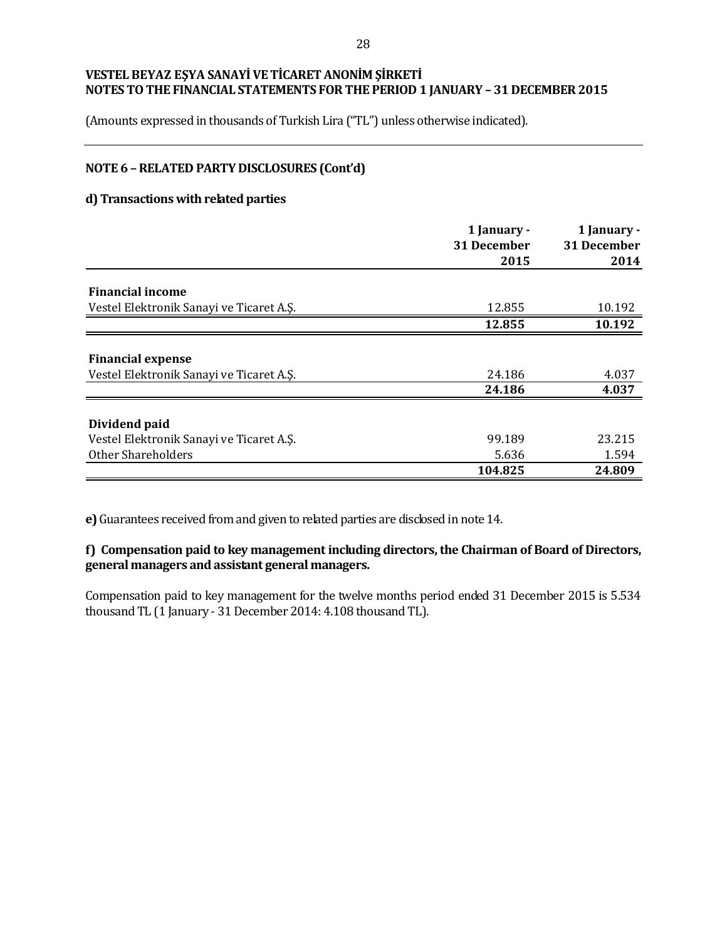(Amounts expressed in thousands of Turkish Lira ("TL") unless otherwise indicated).

### **NOTE 6 –RELATED PARTY DISCLOSURES (Cont'd)**

#### **d) Transactions with related parties**

|                                          | 1 January - | 1 January - |
|------------------------------------------|-------------|-------------|
|                                          | 31 December | 31 December |
|                                          | 2015        | 2014        |
|                                          |             |             |
| <b>Financial income</b>                  |             |             |
| Vestel Elektronik Sanayi ve Ticaret A.Ş. | 12.855      | 10.192      |
|                                          | 12.855      | 10.192      |
|                                          |             |             |
| <b>Financial expense</b>                 |             |             |
| Vestel Elektronik Sanayi ve Ticaret A.Ş. | 24.186      | 4.037       |
|                                          | 24.186      | 4.037       |
|                                          |             |             |
| Dividend paid                            |             |             |
| Vestel Elektronik Sanayi ve Ticaret A.Ş. | 99.189      | 23.215      |
| Other Shareholders                       | 5.636       | 1.594       |
|                                          | 104.825     | 24.809      |

**e)** Guarantees received from and given to related parties are disclosed in note 14.

## **f) Compensation paid to key management including directors, the Chairman of Board of Directors, general managers and assistant general managers.**

Compensation paid to key management for the twelve months period ended 31 December 2015 is 5.534 thousand TL (1 January - 31 December 2014: 4.108 thousand TL).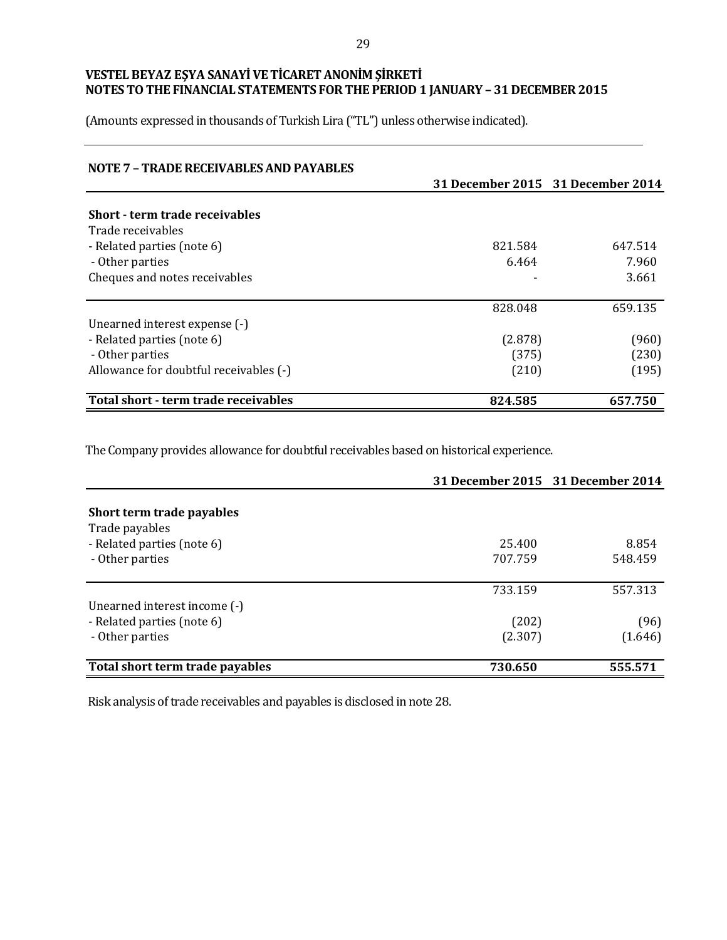(Amounts expressed in thousands of Turkish Lira ("TL") unless otherwise indicated).

| <b>NOTE 7 - TRADE RECEIVABLES AND PAYABLES</b> |         |                                   |
|------------------------------------------------|---------|-----------------------------------|
|                                                |         | 31 December 2015 31 December 2014 |
| Short - term trade receivables                 |         |                                   |
| Trade receivables                              |         |                                   |
| - Related parties (note 6)                     | 821.584 | 647.514                           |
|                                                |         |                                   |
| - Other parties                                | 6.464   | 7.960                             |
| Cheques and notes receivables                  |         | 3.661                             |
|                                                | 828.048 | 659.135                           |
| Unearned interest expense (-)                  |         |                                   |
| - Related parties (note 6)                     | (2.878) | (960)                             |
| - Other parties                                | (375)   | (230)                             |
| Allowance for doubtful receivables (-)         | (210)   | (195)                             |
| Total short - term trade receivables           | 824.585 | 657.750                           |

The Company provides allowance for doubtful receivables based on historical experience.

|                                               |                  | 31 December 2015 31 December 2014 |
|-----------------------------------------------|------------------|-----------------------------------|
| Short term trade payables<br>Trade payables   |                  |                                   |
| - Related parties (note 6)                    | 25.400           | 8.854                             |
| - Other parties                               | 707.759          | 548.459                           |
|                                               | 733.159          | 557.313                           |
| Unearned interest income (-)                  |                  |                                   |
| - Related parties (note 6)<br>- Other parties | (202)<br>(2.307) | (96)<br>(1.646)                   |
| Total short term trade payables               | 730.650          | 555.571                           |

Risk analysis of trade receivables and payables is disclosed in note 28.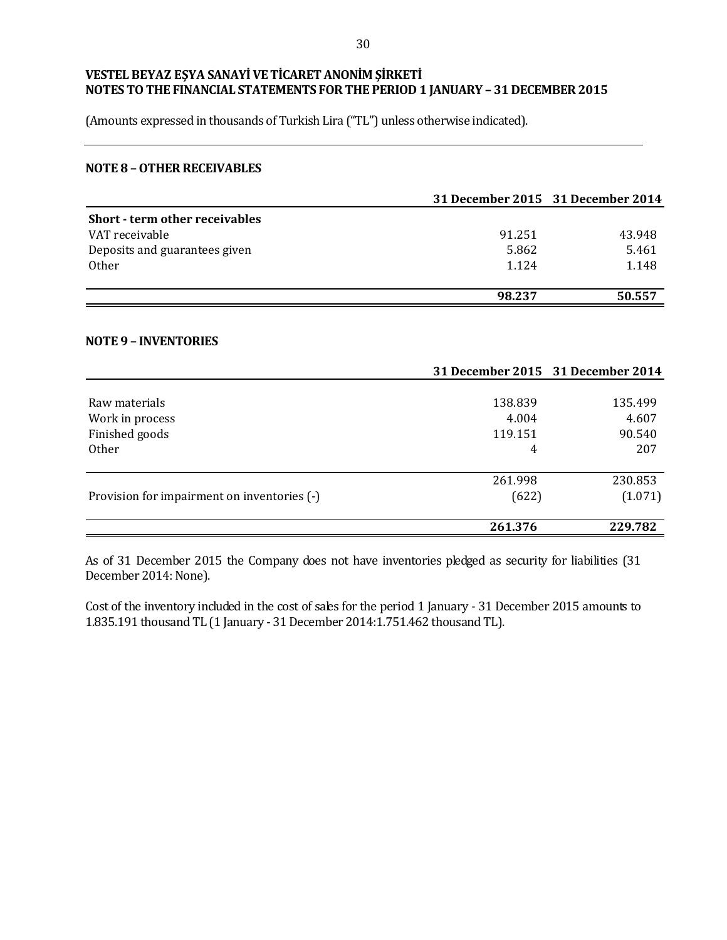(Amounts expressed in thousands of Turkish Lira ("TL") unless otherwise indicated).

#### **NOTE 8 –OTHER RECEIVABLES**

|                                       |        | 31 December 2015 31 December 2014 |
|---------------------------------------|--------|-----------------------------------|
| <b>Short - term other receivables</b> |        |                                   |
| VAT receivable                        | 91.251 | 43.948                            |
| Deposits and guarantees given         | 5.862  | 5.461                             |
| <b>Other</b>                          | 1.124  | 1.148                             |
|                                       |        |                                   |
|                                       | 98.237 | 50.557                            |

#### **NOTE 9 – INVENTORIES**

|                                             |         | 31 December 2015 31 December 2014 |
|---------------------------------------------|---------|-----------------------------------|
|                                             |         |                                   |
| Raw materials                               | 138.839 | 135.499                           |
| Work in process                             | 4.004   | 4.607                             |
| Finished goods                              | 119.151 | 90.540                            |
| <b>Other</b>                                | 4       | 207                               |
|                                             | 261.998 | 230.853                           |
| Provision for impairment on inventories (-) | (622)   | (1.071)                           |
|                                             | 261.376 | 229.782                           |

As of 31 December 2015 the Company does not have inventories pledged as security for liabilities (31 December 2014: None).

Cost of the inventory included in the cost of sales for the period 1 January - 31 December 2015 amounts to 1.835.191 thousand TL (1 January - 31 December 2014:1.751.462 thousand TL).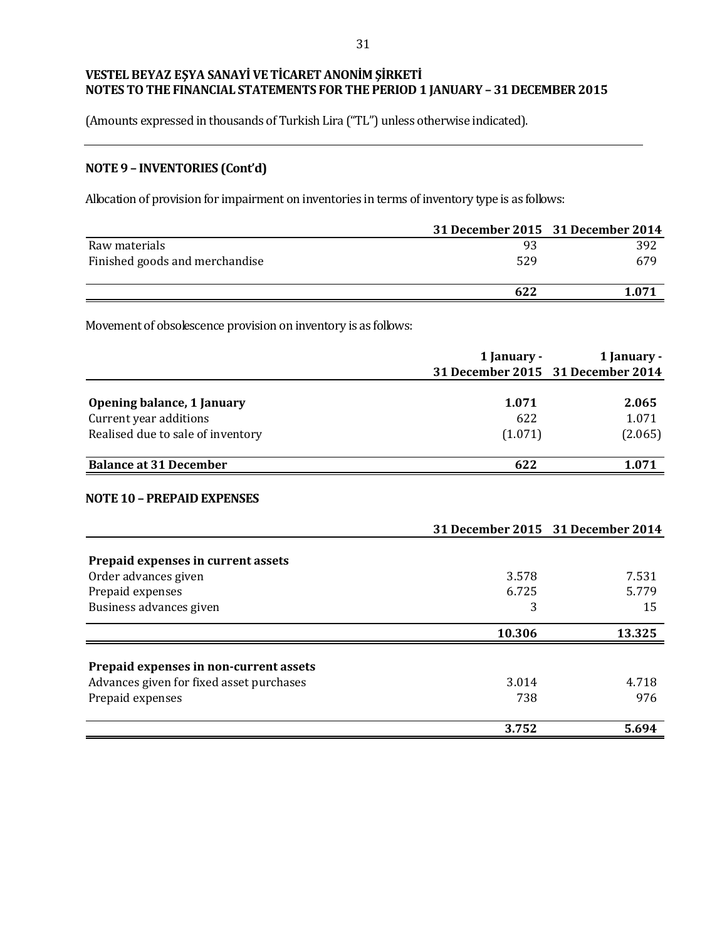(Amounts expressed in thousands of Turkish Lira ("TL") unless otherwise indicated).

# **NOTE 9 – INVENTORIES (Cont'd)**

Allocation of provision for impairment on inventories in terms of inventory type is as follows:

|                                                                | <b>31 December 2015</b> | 31 December 2014                                 |
|----------------------------------------------------------------|-------------------------|--------------------------------------------------|
| Raw materials                                                  | 93                      | 392                                              |
| Finished goods and merchandise                                 | 529                     | 679                                              |
|                                                                | 622                     | 1.071                                            |
| Movement of obsolescence provision on inventory is as follows: |                         |                                                  |
|                                                                | 1 January -             | 1 January -<br>31 December 2015 31 December 2014 |
| <b>Opening balance, 1 January</b>                              | 1.071                   | 2.065                                            |
| Current year additions                                         | 622                     | 1.071                                            |
| Realised due to sale of inventory                              | (1.071)                 | (2.065)                                          |
| <b>Balance at 31 December</b>                                  | 622                     | 1.071                                            |
| <b>NOTE 10 - PREPAID EXPENSES</b>                              |                         |                                                  |
|                                                                |                         | 31 December 2015 31 December 2014                |
| Prepaid expenses in current assets                             |                         |                                                  |
| Order advances given                                           | 3.578                   | 7.531                                            |
| Prepaid expenses                                               | 6.725                   | 5.779                                            |
| Business advances given                                        | 3                       | 15                                               |
|                                                                | 10.306                  | 13.325                                           |
| Prepaid expenses in non-current assets                         |                         |                                                  |
| Advances given for fixed asset purchases                       | 3.014                   | 4.718                                            |
| Prepaid expenses                                               | 738                     | 976                                              |
|                                                                | 3.752                   | 5.694                                            |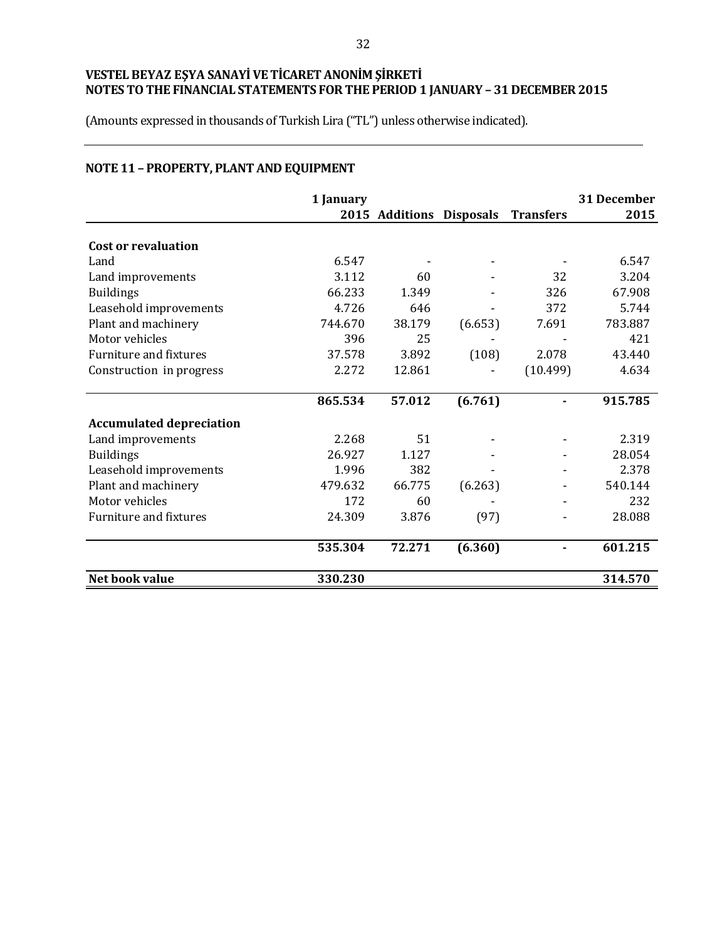(Amounts expressed in thousands of Turkish Lira ("TL") unless otherwise indicated).

# **NOTE 11 – PROPERTY, PLANT AND EQUIPMENT**

|                                 | 1 January |        |                                    |                | 31 December |
|---------------------------------|-----------|--------|------------------------------------|----------------|-------------|
|                                 |           |        | 2015 Additions Disposals Transfers |                | 2015        |
| <b>Cost or revaluation</b>      |           |        |                                    |                |             |
| Land                            | 6.547     |        |                                    |                | 6.547       |
| Land improvements               | 3.112     | 60     |                                    | 32             | 3.204       |
| <b>Buildings</b>                | 66.233    | 1.349  |                                    | 326            | 67.908      |
| Leasehold improvements          | 4.726     | 646    |                                    | 372            | 5.744       |
| Plant and machinery             | 744.670   | 38.179 | (6.653)                            | 7.691          | 783.887     |
| Motor vehicles                  | 396       | 25     |                                    |                | 421         |
| Furniture and fixtures          | 37.578    | 3.892  | (108)                              | 2.078          | 43.440      |
| Construction in progress        | 2.272     | 12.861 |                                    | (10.499)       | 4.634       |
|                                 | 865.534   | 57.012 | (6.761)                            |                | 915.785     |
| <b>Accumulated depreciation</b> |           |        |                                    |                |             |
| Land improvements               | 2.268     | 51     |                                    |                | 2.319       |
| <b>Buildings</b>                | 26.927    | 1.127  |                                    |                | 28.054      |
| Leasehold improvements          | 1.996     | 382    |                                    |                | 2.378       |
| Plant and machinery             | 479.632   | 66.775 | (6.263)                            |                | 540.144     |
| Motor vehicles                  | 172       | 60     |                                    |                | 232         |
| Furniture and fixtures          | 24.309    | 3.876  | (97)                               |                | 28.088      |
|                                 | 535.304   | 72.271 | (6.360)                            | $\blacksquare$ | 601.215     |
| Net book value                  | 330.230   |        |                                    |                | 314.570     |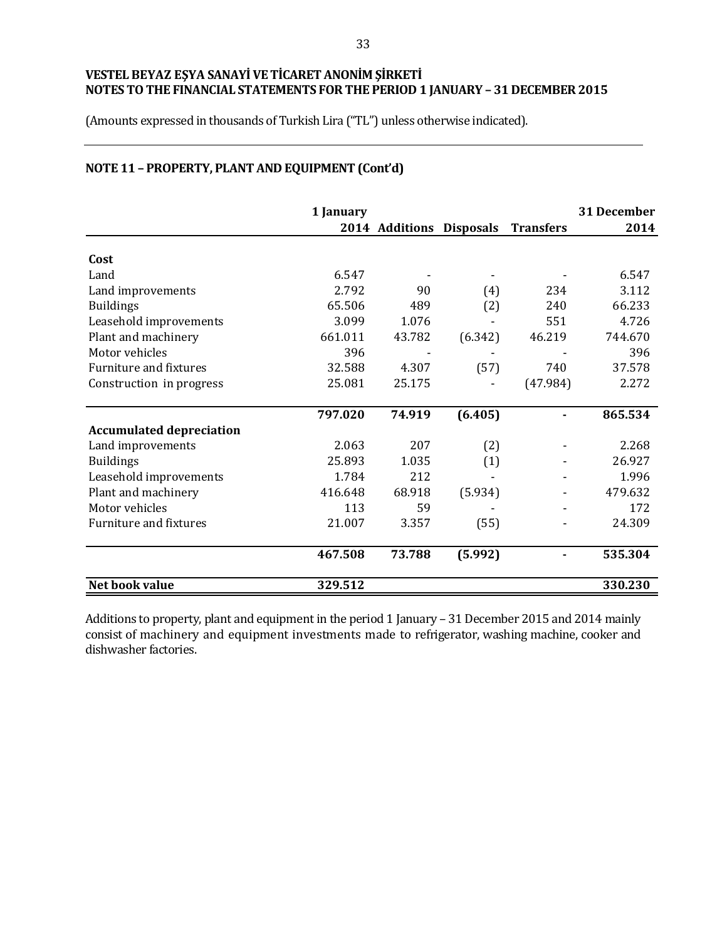(Amounts expressed in thousands of Turkish Lira ("TL") unless otherwise indicated).

# **NOTE 11 – PROPERTY, PLANT AND EQUIPMENT (Cont'd)**

|                                 | 1 January |                          |         |                  | <b>31 December</b> |
|---------------------------------|-----------|--------------------------|---------|------------------|--------------------|
|                                 |           | 2014 Additions Disposals |         | <b>Transfers</b> | 2014               |
| Cost                            |           |                          |         |                  |                    |
| Land                            | 6.547     |                          |         |                  | 6.547              |
| Land improvements               | 2.792     | 90                       | (4)     | 234              | 3.112              |
| <b>Buildings</b>                | 65.506    | 489                      | (2)     | 240              | 66.233             |
|                                 | 3.099     | 1.076                    |         | 551              | 4.726              |
| Leasehold improvements          |           |                          |         |                  |                    |
| Plant and machinery             | 661.011   | 43.782                   | (6.342) | 46.219           | 744.670            |
| Motor vehicles                  | 396       |                          |         |                  | 396                |
| Furniture and fixtures          | 32.588    | 4.307                    | (57)    | 740              | 37.578             |
| Construction in progress        | 25.081    | 25.175                   |         | (47.984)         | 2.272              |
|                                 | 797.020   | 74.919                   | (6.405) |                  | 865.534            |
| <b>Accumulated depreciation</b> |           |                          |         |                  |                    |
| Land improvements               | 2.063     | 207                      | (2)     |                  | 2.268              |
| <b>Buildings</b>                | 25.893    | 1.035                    | (1)     |                  | 26.927             |
| Leasehold improvements          | 1.784     | 212                      |         |                  | 1.996              |
| Plant and machinery             | 416.648   | 68.918                   | (5.934) |                  | 479.632            |
| Motor vehicles                  | 113       | 59                       |         |                  | 172                |
| Furniture and fixtures          | 21.007    | 3.357                    | (55)    |                  | 24.309             |
|                                 | 467.508   | 73.788                   | (5.992) |                  | 535.304            |
| Net book value                  | 329.512   |                          |         |                  | 330.230            |

Additions to property, plant and equipment in the period 1 January – 31 December 2015 and 2014 mainly consist of machinery and equipment investments made to refrigerator, washing machine, cooker and dishwasher factories.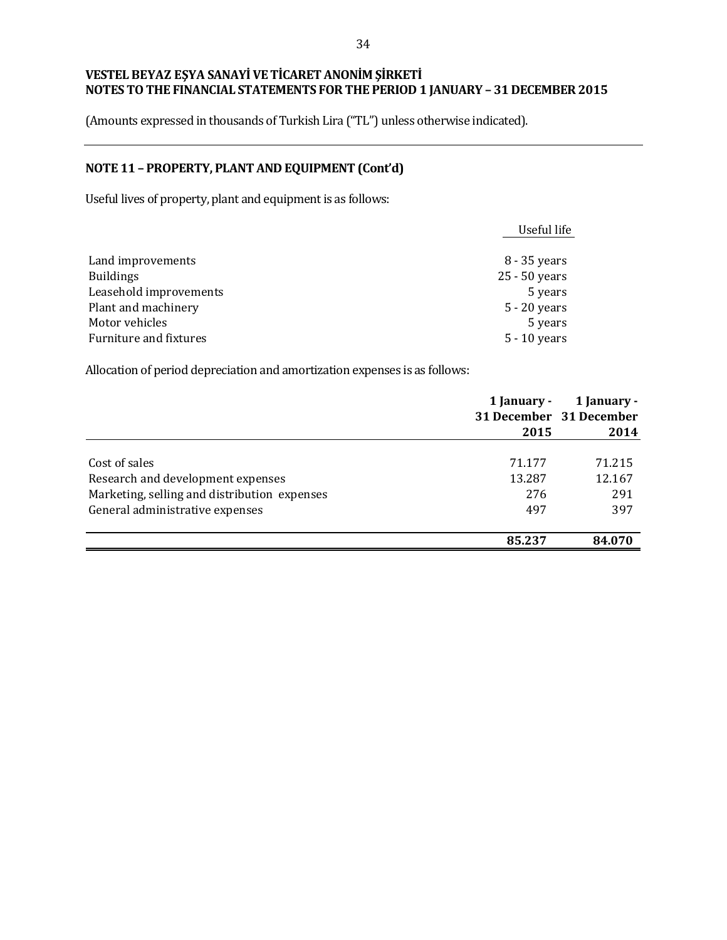(Amounts expressed in thousands of Turkish Lira ("TL") unless otherwise indicated).

# **NOTE 11 – PROPERTY, PLANT AND EQUIPMENT (Cont'd)**

Useful lives of property, plant and equipment is as follows:

|                        | Useful life    |
|------------------------|----------------|
| Land improvements      | 8 - 35 years   |
| <b>Buildings</b>       | 25 - 50 years  |
| Leasehold improvements | 5 years        |
| Plant and machinery    | $5 - 20$ years |
| Motor vehicles         | 5 years        |
| Furniture and fixtures | $5 - 10$ years |

Allocation of period depreciation and amortization expenses is as follows:

|                                              | 1 January - | 1 January -<br>31 December 31 December |  |
|----------------------------------------------|-------------|----------------------------------------|--|
|                                              | 2015        | 2014                                   |  |
| Cost of sales                                | 71.177      | 71.215                                 |  |
| Research and development expenses            | 13.287      | 12.167                                 |  |
| Marketing, selling and distribution expenses | 276         | 291                                    |  |
| General administrative expenses              | 497         | 397                                    |  |
|                                              | 85.237      | 84.070                                 |  |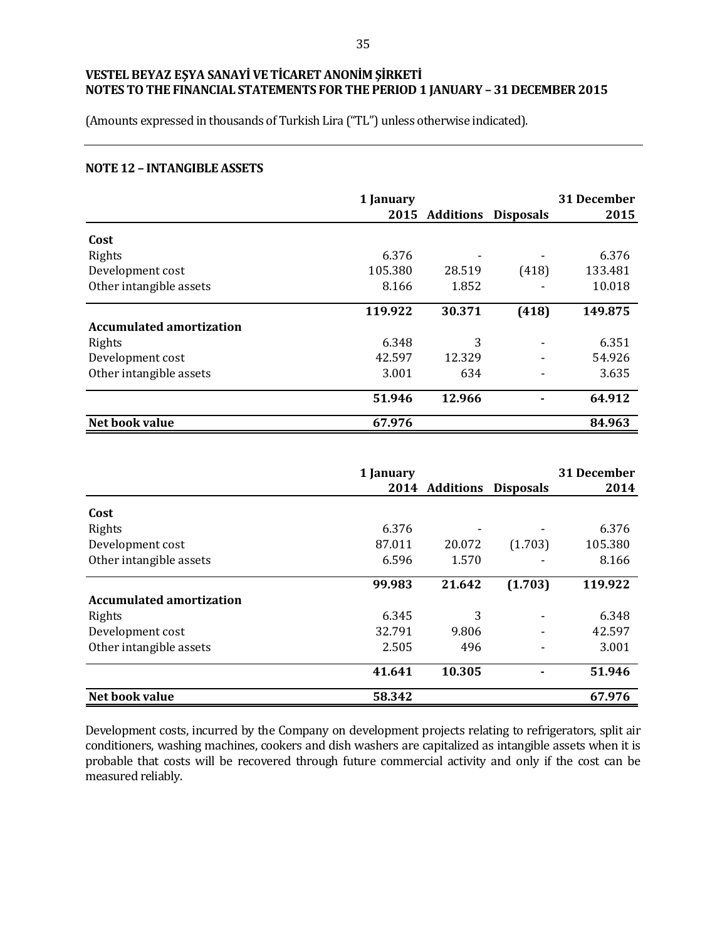(Amounts expressed in thousands of Turkish Lira ("TL") unless otherwise indicated).

#### **NOTE 12 – INTANGIBLE ASSETS**

|                                 | 1 January |                  |                  | 31 December |
|---------------------------------|-----------|------------------|------------------|-------------|
|                                 | 2015      | <b>Additions</b> | <b>Disposals</b> | 2015        |
| Cost                            |           |                  |                  |             |
| Rights                          | 6.376     |                  |                  | 6.376       |
| Development cost                | 105.380   | 28.519           | (418)            | 133.481     |
| Other intangible assets         | 8.166     | 1.852            |                  | 10.018      |
|                                 | 119.922   | 30.371           | (418)            | 149.875     |
| <b>Accumulated amortization</b> |           |                  |                  |             |
| Rights                          | 6.348     | 3                |                  | 6.351       |
| Development cost                | 42.597    | 12.329           |                  | 54.926      |
| Other intangible assets         | 3.001     | 634              |                  | 3.635       |
|                                 | 51.946    | 12.966           |                  | 64.912      |
| Net book value                  | 67.976    |                  |                  | 84.963      |

|                                 | 1 January |                |                  | 31 December |
|---------------------------------|-----------|----------------|------------------|-------------|
|                                 |           | 2014 Additions | <b>Disposals</b> | 2014        |
| Cost                            |           |                |                  |             |
| Rights                          | 6.376     |                |                  | 6.376       |
| Development cost                | 87.011    | 20.072         | (1.703)          | 105.380     |
| Other intangible assets         | 6.596     | 1.570          |                  | 8.166       |
|                                 | 99.983    | 21.642         | (1.703)          | 119.922     |
| <b>Accumulated amortization</b> |           |                |                  |             |
| Rights                          | 6.345     | 3              |                  | 6.348       |
| Development cost                | 32.791    | 9.806          |                  | 42.597      |
| Other intangible assets         | 2.505     | 496            |                  | 3.001       |
|                                 | 41.641    | 10.305         |                  | 51.946      |
| Net book value                  | 58.342    |                |                  | 67.976      |

Development costs, incurred by the Company on development projects relating to refrigerators, split air conditioners, washing machines, cookers and dish washers are capitalized as intangible assets when it is probable that costs will be recovered through future commercial activity and only if the cost can be measured reliably.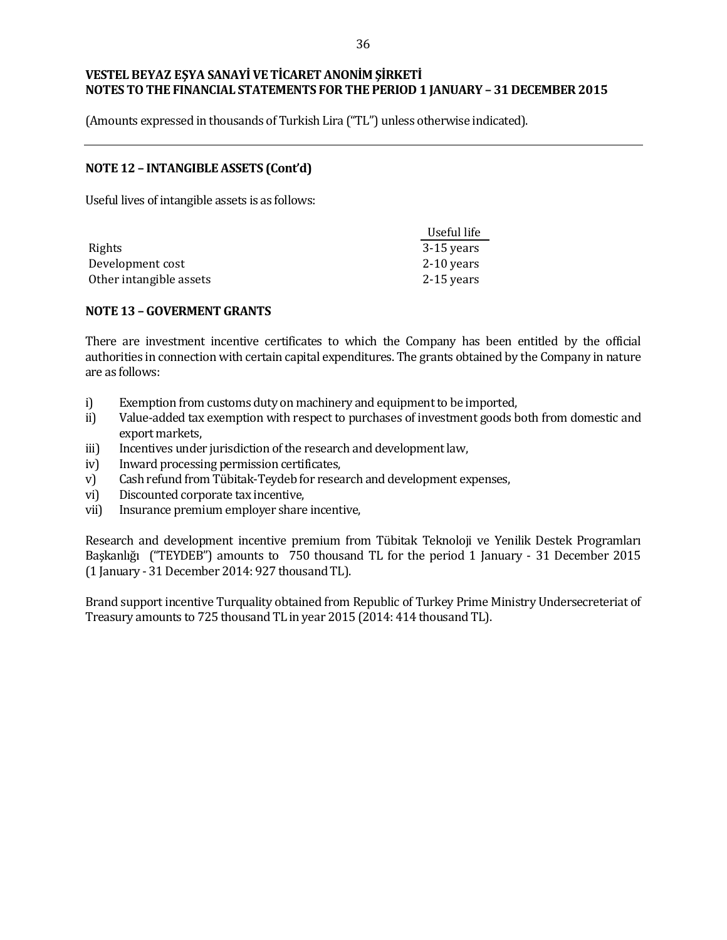(Amounts expressed in thousands of Turkish Lira ("TL") unless otherwise indicated).

#### **NOTE 12 – INTANGIBLE ASSETS (Cont'd)**

Useful lives of intangible assets is as follows:

|                         | Useful life  |
|-------------------------|--------------|
| Rights                  | 3-15 years   |
| Development cost        | $2-10$ years |
| Other intangible assets | 2-15 years   |

#### **NOTE 13 – GOVERMENT GRANTS**

There are investment incentive certificates to which the Company has been entitled by the official authorities in connection with certain capital expenditures. The grants obtained by the Company in nature are as follows:

- i) Exemption from customs duty on machinery and equipment to be imported,
- ii) Value-added tax exemption with respect to purchases of investment goods both from domestic and export markets,
- iii) Incentives under jurisdiction of the research and development law,
- iv) Inward processing permission certificates,
- v) Cash refund from Tübitak-Teydeb for research and development expenses,
- vi) Discounted corporate tax incentive,
- vii) Insurance premium employer share incentive,

Research and development incentive premium from Tübitak Teknoloji ve Yenilik Destek Programları Başkanlığı ("TEYDEB") amounts to 750 thousand TL for the period 1 January - 31 December 2015 (1 January - 31 December 2014: 927 thousand TL).

Brand support incentive Turquality obtained from Republic of Turkey Prime Ministry Undersecreteriat of Treasury amounts to 725 thousand TL in year 2015 (2014: 414 thousand TL).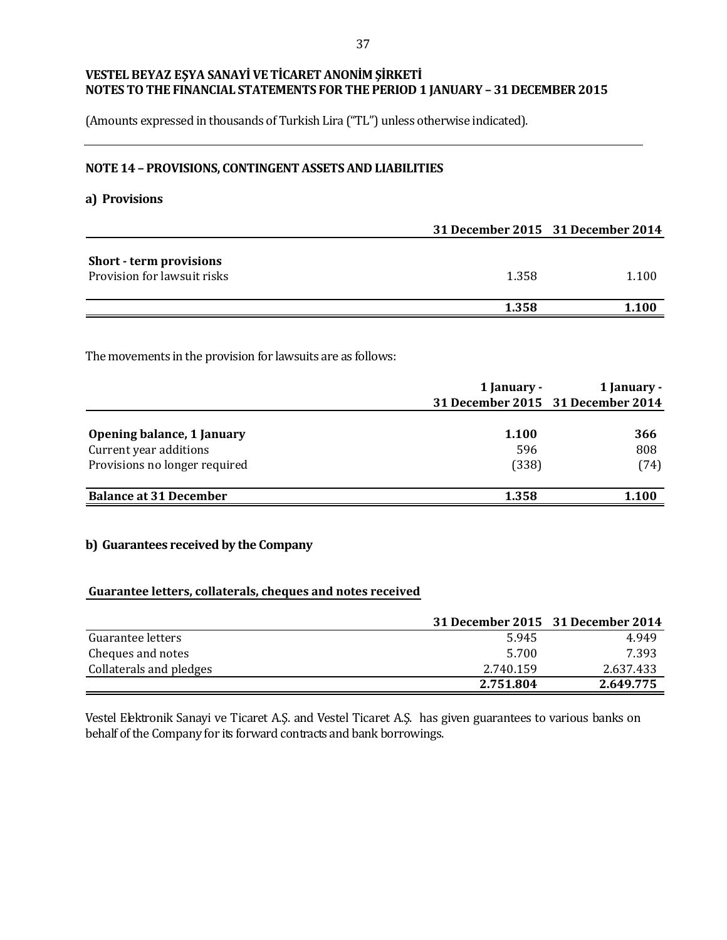(Amounts expressed in thousands of Turkish Lira ("TL") unless otherwise indicated).

#### **NOTE 14 – PROVISIONS, CONTINGENT ASSETS AND LIABILITIES**

#### **a) Provisions**

|                                                               | 31 December 2015 31 December 2014 |       |
|---------------------------------------------------------------|-----------------------------------|-------|
| <b>Short - term provisions</b><br>Provision for lawsuit risks | 1.358                             | 1.100 |
|                                                               | 1.358                             | 1.100 |

The movements in the provision for lawsuits are as follows:

|                               | 1 January -                       | 1 January - |  |
|-------------------------------|-----------------------------------|-------------|--|
|                               | 31 December 2015 31 December 2014 |             |  |
|                               |                                   |             |  |
| Opening balance, 1 January    | 1.100                             | 366         |  |
| Current year additions        | 596                               | 808         |  |
| Provisions no longer required | (338)                             | (74)        |  |
|                               |                                   |             |  |
| <b>Balance at 31 December</b> | 1.358                             | 1.100       |  |

## **b) Guarantees received by the Company**

## **Guarantee letters, collaterals, cheques and notes received**

|                         | 31 December 2015 31 December 2014 |           |
|-------------------------|-----------------------------------|-----------|
| Guarantee letters       | 5.945                             | 4.949     |
| Cheques and notes       | 5.700                             | 7.393     |
| Collaterals and pledges | 2.740.159                         | 2.637.433 |
|                         | 2.751.804                         | 2.649.775 |

Vestel Elektronik Sanayi ve Ticaret A.Ş. and Vestel Ticaret A.Ş. has given guarantees to various banks on behalf of the Company for its forward contracts and bank borrowings.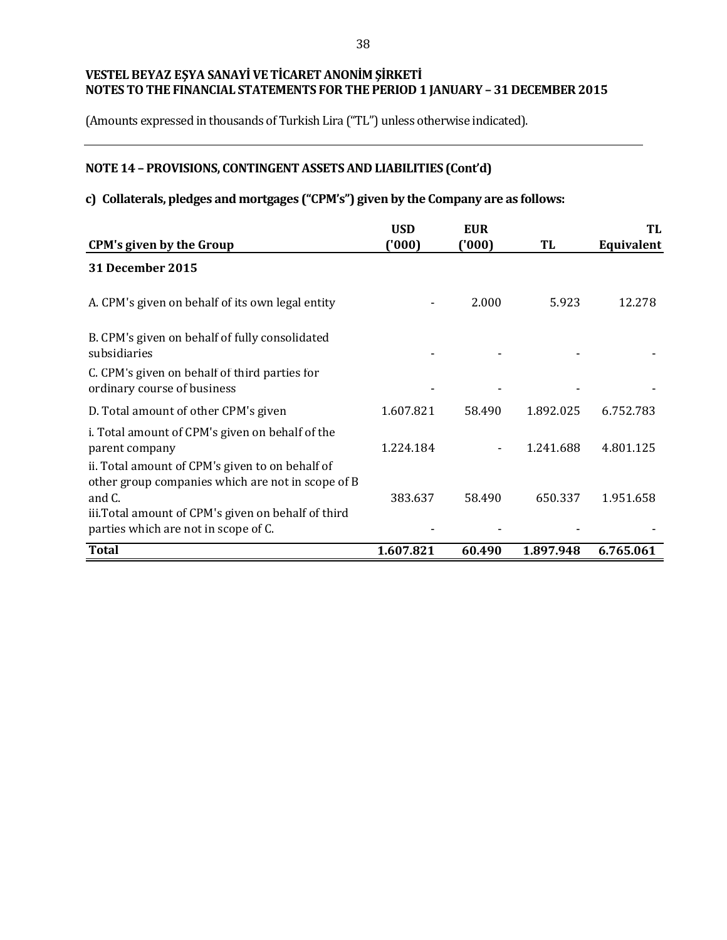(Amounts expressed in thousands of Turkish Lira ("TL") unless otherwise indicated).

# **NOTE 14 – PROVISIONS, CONTINGENT ASSETS AND LIABILITIES (Cont'd)**

# **c) Collaterals, pledges and mortgages ("CPM's") given by the Company are as follows:**

|                                                                                                                | <b>USD</b> | <b>EUR</b> |           | TL         |
|----------------------------------------------------------------------------------------------------------------|------------|------------|-----------|------------|
| <b>CPM's given by the Group</b>                                                                                | (000)      | ('000)     | TL        | Equivalent |
| <b>31 December 2015</b>                                                                                        |            |            |           |            |
| A. CPM's given on behalf of its own legal entity                                                               |            | 2.000      | 5.923     | 12.278     |
| B. CPM's given on behalf of fully consolidated<br>subsidiaries                                                 |            |            |           |            |
| C. CPM's given on behalf of third parties for<br>ordinary course of business                                   |            |            |           |            |
| D. Total amount of other CPM's given                                                                           | 1.607.821  | 58.490     | 1.892.025 | 6.752.783  |
| i. Total amount of CPM's given on behalf of the<br>parent company                                              | 1.224.184  |            | 1.241.688 | 4.801.125  |
| ii. Total amount of CPM's given to on behalf of<br>other group companies which are not in scope of B<br>and C. | 383.637    | 58.490     | 650.337   | 1.951.658  |
| iii. Total amount of CPM's given on behalf of third<br>parties which are not in scope of C.                    |            |            |           |            |
| <b>Total</b>                                                                                                   | 1.607.821  | 60.490     | 1.897.948 | 6.765.061  |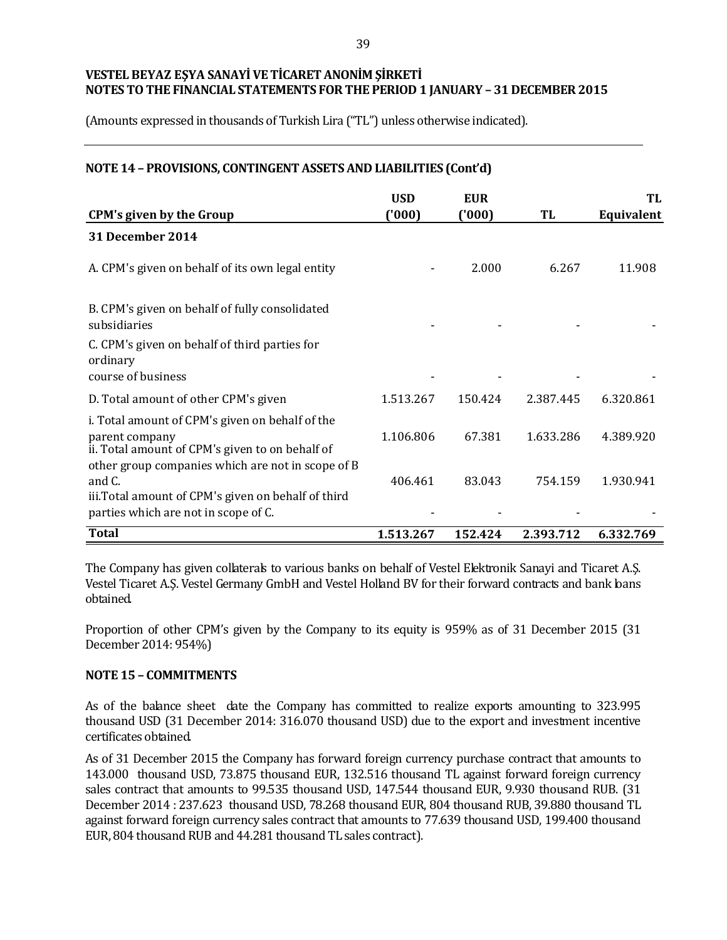(Amounts expressed in thousands of Turkish Lira ("TL") unless otherwise indicated).

#### **NOTE 14 – PROVISIONS, CONTINGENT ASSETS AND LIABILITIES (Cont'd)**

| <b>CPM's given by the Group</b>                                                                                                                                           | <b>USD</b><br>(000) | <b>EUR</b><br>('000) | TL        | TI.<br>Equivalent |
|---------------------------------------------------------------------------------------------------------------------------------------------------------------------------|---------------------|----------------------|-----------|-------------------|
| <b>31 December 2014</b>                                                                                                                                                   |                     |                      |           |                   |
| A. CPM's given on behalf of its own legal entity                                                                                                                          |                     | 2.000                | 6.267     | 11.908            |
| B. CPM's given on behalf of fully consolidated<br>subsidiaries                                                                                                            |                     |                      |           |                   |
| C. CPM's given on behalf of third parties for<br>ordinary<br>course of business                                                                                           |                     |                      |           |                   |
| D. Total amount of other CPM's given                                                                                                                                      | 1.513.267           | 150.424              | 2.387.445 | 6.320.861         |
| i. Total amount of CPM's given on behalf of the<br>parent company<br>ii. Total amount of CPM's given to on behalf of<br>other group companies which are not in scope of B | 1.106.806           | 67.381               | 1.633.286 | 4.389.920         |
| and C.<br>iii. Total amount of CPM's given on behalf of third<br>parties which are not in scope of C.                                                                     | 406.461             | 83.043               | 754.159   | 1.930.941         |
| <b>Total</b>                                                                                                                                                              | 1.513.267           | 152.424              | 2.393.712 | 6.332.769         |

The Company has given collaterals to various banks on behalf of Vestel Elektronik Sanayi and Ticaret A.Ş. Vestel Ticaret A.Ş. Vestel Germany GmbH and Vestel Holland BV for their forward contracts and bank loans obtained.

Proportion of other CPM's given by the Company to its equity is 959% as of 31 December 2015 (31 December 2014: 954%)

#### **NOTE 15 – COMMITMENTS**

As of the balance sheet date the Company has committed to realize exports amounting to 323.995 thousand USD (31 December 2014: 316.070 thousand USD) due to the export and investment incentive certificates obtained.

As of 31 December 2015 the Company has forward foreign currency purchase contract that amounts to 143.000 thousand USD, 73.875 thousand EUR, 132.516 thousand TL against forward foreign currency sales contract that amounts to 99.535 thousand USD, 147.544 thousand EUR, 9.930 thousand RUB. (31 December 2014 : 237.623 thousand USD, 78.268 thousand EUR, 804 thousand RUB, 39.880 thousand TL against forward foreign currency sales contract that amounts to 77.639 thousand USD, 199.400 thousand EUR, 804 thousand RUB and 44.281 thousand TL sales contract).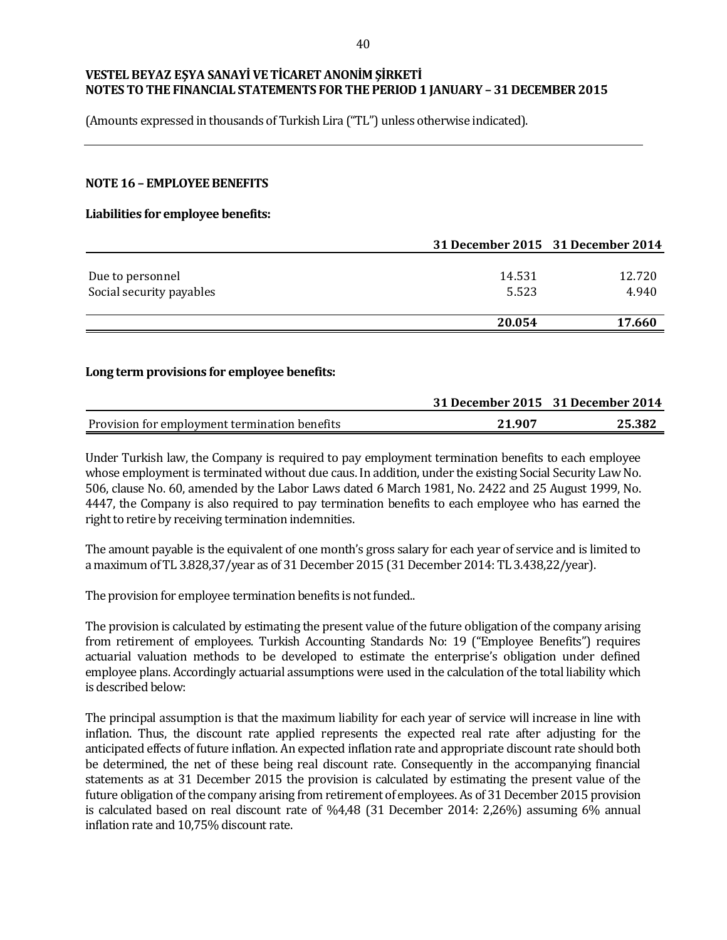(Amounts expressed in thousands of Turkish Lira ("TL") unless otherwise indicated).

#### **NOTE 16 – EMPLOYEE BENEFITS**

#### **Liabilities for employee benefits:**

|                          | 31 December 2015 31 December 2014 |        |
|--------------------------|-----------------------------------|--------|
|                          |                                   |        |
| Due to personnel         | 14.531                            | 12.720 |
| Social security payables | 5.523                             | 4.940  |
|                          |                                   |        |
|                          | 20.054                            | 17.660 |

#### **Long term provisions for employee benefits:**

|                                               |        | 31 December 2015 31 December 2014 |
|-----------------------------------------------|--------|-----------------------------------|
| Provision for employment termination benefits | 21.907 | 25.382                            |

Under Turkish law, the Company is required to pay employment termination benefits to each employee whose employment is terminated without due caus. In addition, under the existing Social Security Law No. 506, clause No. 60, amended by the Labor Laws dated 6 March 1981, No. 2422 and 25 August 1999, No. 4447, the Company is also required to pay termination benefits to each employee who has earned the right to retire by receiving termination indemnities.

The amount payable is the equivalent of one month's gross salary for each year of service and is limited to a maximum of TL 3.828,37/year as of 31 December 2015 (31 December 2014: TL 3.438,22/year).

The provision for employee termination benefits is not funded..

The provision is calculated by estimating the present value of the future obligation of the company arising from retirement of employees. Turkish Accounting Standards No: 19 ("Employee Benefits") requires actuarial valuation methods to be developed to estimate the enterprise's obligation under defined employee plans. Accordingly actuarial assumptions were used in the calculation of the total liability which is described below:

The principal assumption is that the maximum liability for each year of service will increase in line with inflation. Thus, the discount rate applied represents the expected real rate after adjusting for the anticipated effects of future inflation. An expected inflation rate and appropriate discount rate should both be determined, the net of these being real discount rate. Consequently in the accompanying financial statements as at 31 December 2015 the provision is calculated by estimating the present value of the future obligation of the company arising from retirement of employees. As of 31 December 2015 provision is calculated based on real discount rate of %4,48 (31 December 2014: 2,26%) assuming 6% annual inflation rate and 10,75% discount rate.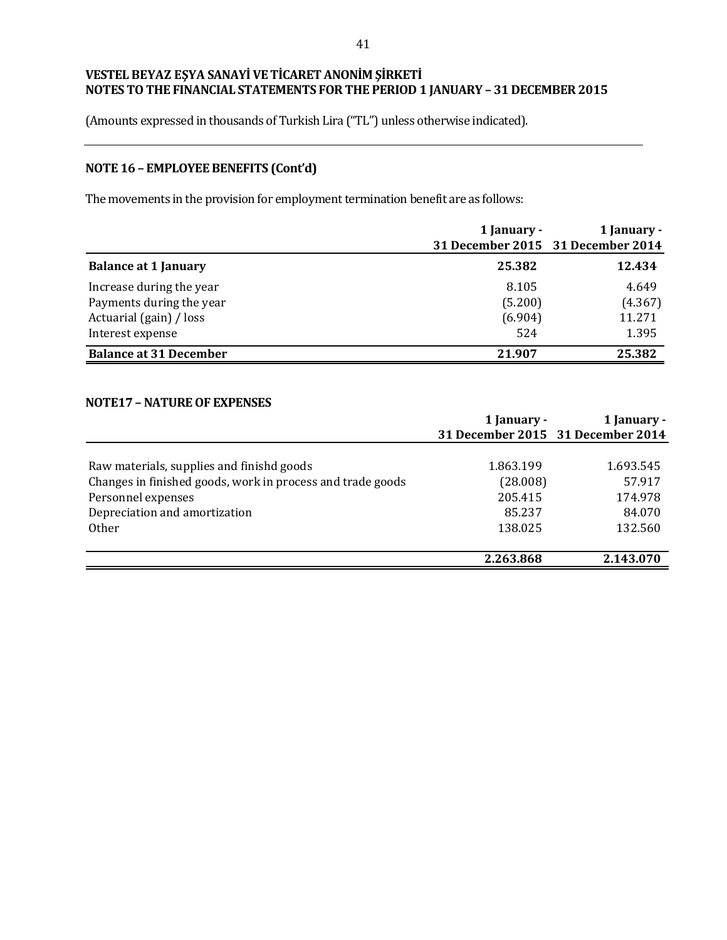(Amounts expressed in thousands of Turkish Lira ("TL") unless otherwise indicated).

# **NOTE 16 – EMPLOYEE BENEFITS (Cont'd)**

The movements in the provision for employment termination benefit are as follows:

|                               | 1 January -<br>31 December 2015 31 December 2014 | 1 January - |
|-------------------------------|--------------------------------------------------|-------------|
| <b>Balance at 1 January</b>   | 25.382                                           | 12.434      |
| Increase during the year      | 8.105                                            | 4.649       |
| Payments during the year      | (5.200)                                          | (4.367)     |
| Actuarial (gain) / loss       | (6.904)                                          | 11.271      |
| Interest expense              | 524                                              | 1.395       |
| <b>Balance at 31 December</b> | 21.907                                           | 25.382      |

## **NOTE17 – NATURE OF EXPENSES**

|                                                            | 1 January - | 1 January -                       |  |
|------------------------------------------------------------|-------------|-----------------------------------|--|
|                                                            |             | 31 December 2015 31 December 2014 |  |
|                                                            |             |                                   |  |
| Raw materials, supplies and finishd goods                  | 1.863.199   | 1.693.545                         |  |
| Changes in finished goods, work in process and trade goods | (28.008)    | 57.917                            |  |
| Personnel expenses                                         | 205.415     | 174.978                           |  |
| Depreciation and amortization                              | 85.237      | 84.070                            |  |
| Other                                                      | 138.025     | 132.560                           |  |
|                                                            |             |                                   |  |
|                                                            | 2.263.868   | 2.143.070                         |  |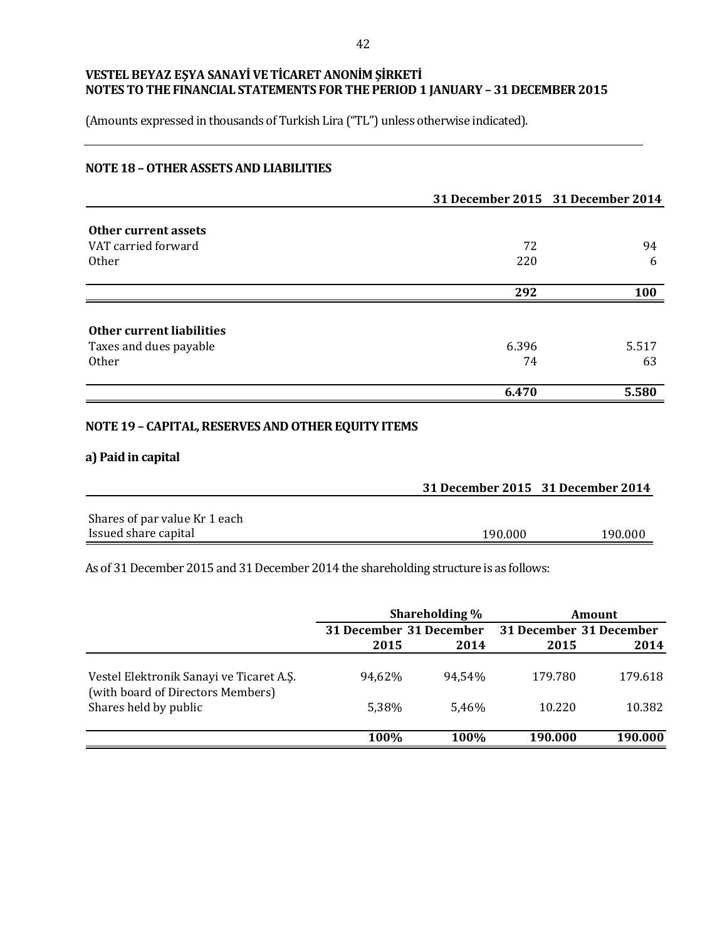(Amounts expressed in thousands of Turkish Lira ("TL") unless otherwise indicated).

#### **NOTE 18 –OTHER ASSETS AND LIABILITIES**

|                           |       | 31 December 2015 31 December 2014 |
|---------------------------|-------|-----------------------------------|
| Other current assets      |       |                                   |
| VAT carried forward       | 72    | 94                                |
| <b>Other</b>              | 220   | 6                                 |
|                           | 292   | 100                               |
|                           |       |                                   |
| Other current liabilities |       |                                   |
| Taxes and dues payable    | 6.396 | 5.517                             |
| <b>Other</b>              | 74    | 63                                |
|                           | 6.470 | 5.580                             |

# **NOTE 19 – CAPITAL, RESERVES AND OTHER EQUITY ITEMS**

## **a) Paid in capital**

|                                                       | 31 December 2015 31 December 2014 |         |
|-------------------------------------------------------|-----------------------------------|---------|
| Shares of par value Kr 1 each<br>Issued share capital | 190.000                           | 190.000 |
|                                                       |                                   |         |

As of 31 December 2015 and 31 December 2014 the shareholding structure is as follows:

|                                                                               |                         | <b>Shareholding</b> % |                         | Amount  |
|-------------------------------------------------------------------------------|-------------------------|-----------------------|-------------------------|---------|
|                                                                               | 31 December 31 December |                       | 31 December 31 December |         |
|                                                                               | 2015                    | 2014                  | 2015                    | 2014    |
| Vestel Elektronik Sanayi ve Ticaret A.S.<br>(with board of Directors Members) | 94,62%                  | 94.54%                | 179.780                 | 179.618 |
| Shares held by public                                                         | 5,38%                   | 5.46%                 | 10.220                  | 10.382  |
|                                                                               | 100%                    | 100%                  | 190.000                 | 190.000 |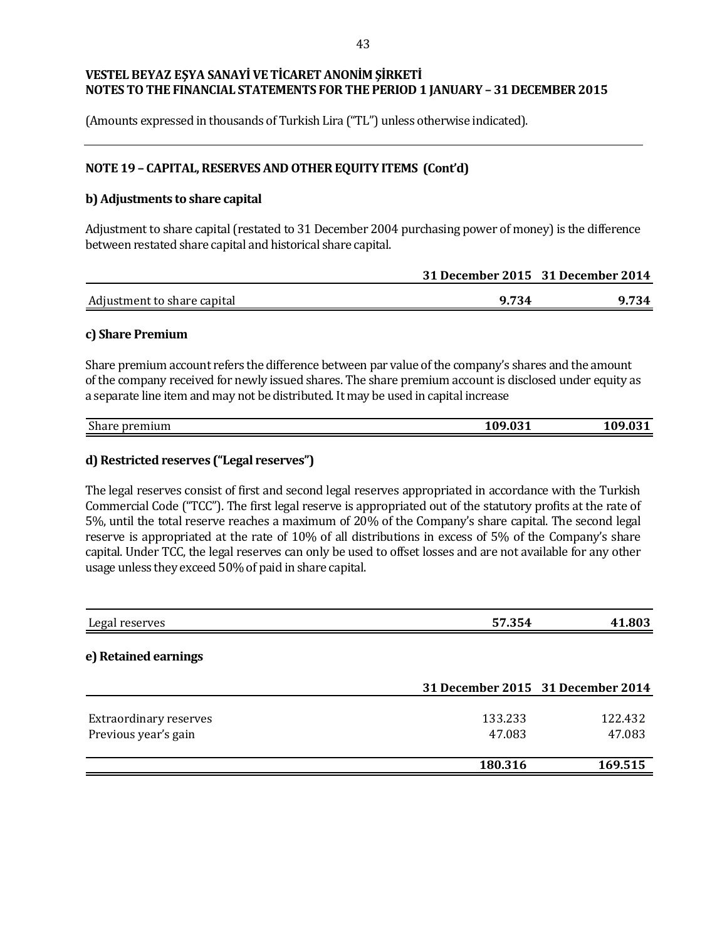(Amounts expressed in thousands of Turkish Lira ("TL") unless otherwise indicated).

### **NOTE 19 – CAPITAL, RESERVES AND OTHER EQUITY ITEMS (Cont'd)**

#### **b) Adjustments to share capital**

Adjustment to share capital (restated to 31 December 2004 purchasing power of money) is the difference between restated share capital and historical share capital.

|                             | 31 December 2015 31 December 2014 |       |
|-----------------------------|-----------------------------------|-------|
| Adjustment to share capital | 9.734                             | 9.734 |

#### **c) Share Premium**

Share premium account refers the difference between par value of the company's shares and the amount of the company received for newly issued shares. The share premium account is disclosed under equity as a separate line item and may not be distributed. It may be used in capital increase

| $\sim$<br>premium<br>Share | <b>031</b><br>.<br>⊥v · | $\sim$<br>$\mathbf{u}$<br>лn.<br>−י טי |
|----------------------------|-------------------------|----------------------------------------|
|                            |                         |                                        |

#### **d) Restricted reserves ("Legal reserves")**

The legal reserves consist of first and second legal reserves appropriated in accordance with the Turkish Commercial Code ("TCC"). The first legal reserve is appropriated out of the statutory profits at the rate of 5%, until the total reserve reaches a maximum of 20% of the Company's share capital. The second legal reserve is appropriated at the rate of 10% of all distributions in excess of 5% of the Company's share capital. Under TCC, the legal reserves can only be used to offset losses and are not available for any other usage unless they exceed 50% of paid in share capital.

| Legal reserves                | 57.354                            | 41.803  |
|-------------------------------|-----------------------------------|---------|
| e) Retained earnings          |                                   |         |
|                               | 31 December 2015 31 December 2014 |         |
| <b>Extraordinary reserves</b> | 133.233                           | 122.432 |
| Previous year's gain          | 47.083                            | 47.083  |
|                               | 180.316                           | 169.515 |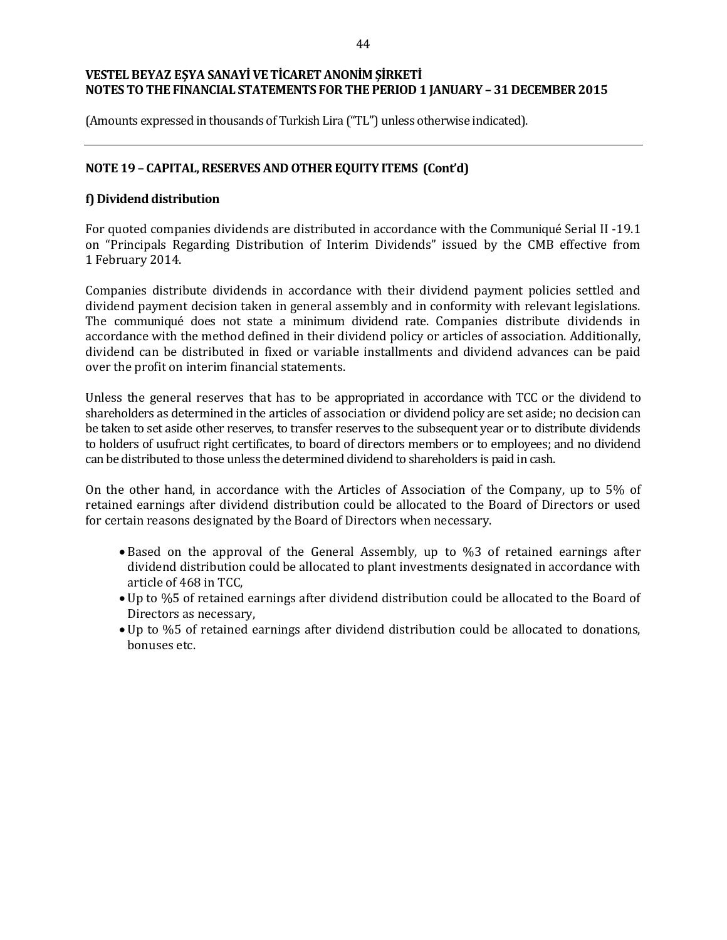(Amounts expressed in thousands of Turkish Lira ("TL") unless otherwise indicated).

## **NOTE 19 – CAPITAL, RESERVES AND OTHER EQUITY ITEMS (Cont'd)**

#### **f) Dividend distribution**

For quoted companies dividends are distributed in accordance with the Communiqué Serial II -19.1 on "Principals Regarding Distribution of Interim Dividends" issued by the CMB effective from 1 February 2014.

Companies distribute dividends in accordance with their dividend payment policies settled and dividend payment decision taken in general assembly and in conformity with relevant legislations. The communiqué does not state a minimum dividend rate. Companies distribute dividends in accordance with the method defined in their dividend policy or articles of association. Additionally, dividend can be distributed in fixed or variable installments and dividend advances can be paid over the profit on interim financial statements.

Unless the general reserves that has to be appropriated in accordance with TCC or the dividend to shareholders as determined in the articles of association or dividend policy are set aside; no decision can be taken to set aside other reserves, to transfer reserves to the subsequent year or to distribute dividends to holders of usufruct right certificates, to board of directors members or to employees; and no dividend can be distributed to those unless the determined dividend to shareholders is paid in cash.

On the other hand, in accordance with the Articles of Association of the Company, up to 5% of retained earnings after dividend distribution could be allocated to the Board of Directors or used for certain reasons designated by the Board of Directors when necessary.

- Based on the approval of the General Assembly, up to %3 of retained earnings after dividend distribution could be allocated to plant investments designated in accordance with article of 468 in TCC,
- Up to %5 of retained earnings after dividend distribution could be allocated to the Board of Directors as necessary,
- Up to %5 of retained earnings after dividend distribution could be allocated to donations, bonuses etc.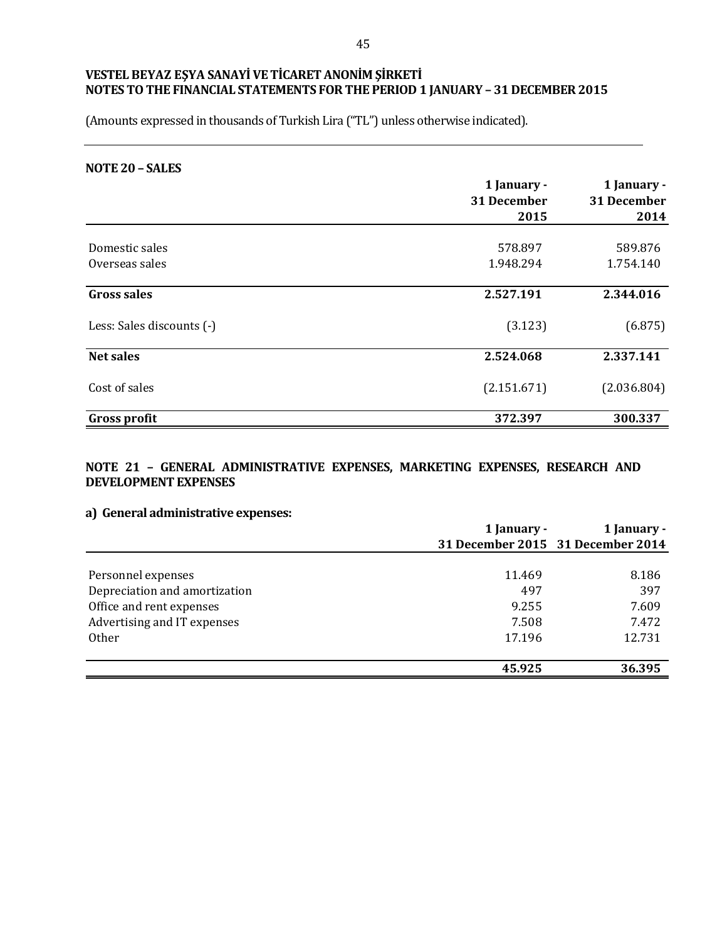(Amounts expressed in thousands of Turkish Lira ("TL") unless otherwise indicated).

#### **NOTE 20 – SALES**

|                           | 1 January -<br>31 December<br>2015 | 1 January -<br>31 December<br>2014 |
|---------------------------|------------------------------------|------------------------------------|
|                           |                                    |                                    |
| Domestic sales            | 578.897                            | 589.876                            |
| Overseas sales            | 1.948.294                          | 1.754.140                          |
| <b>Gross sales</b>        | 2.527.191                          | 2.344.016                          |
| Less: Sales discounts (-) | (3.123)                            | (6.875)                            |
| <b>Net sales</b>          | 2.524.068                          | 2.337.141                          |
| Cost of sales             | (2.151.671)                        | (2.036.804)                        |
| <b>Gross profit</b>       | 372.397                            | 300.337                            |

#### **NOTE 21 – GENERAL ADMINISTRATIVE EXPENSES, MARKETING EXPENSES, RESEARCH AND DEVELOPMENT EXPENSES**

## **a) General administrative expenses:**

|                               | 1 January - | 1 January -                       |
|-------------------------------|-------------|-----------------------------------|
|                               |             | 31 December 2015 31 December 2014 |
|                               |             |                                   |
| Personnel expenses            | 11.469      | 8.186                             |
| Depreciation and amortization | 497         | 397                               |
| Office and rent expenses      | 9.255       | 7.609                             |
| Advertising and IT expenses   | 7.508       | 7.472                             |
| <b>Other</b>                  | 17.196      | 12.731                            |
|                               |             |                                   |
|                               | 45.925      | 36.395                            |
|                               |             |                                   |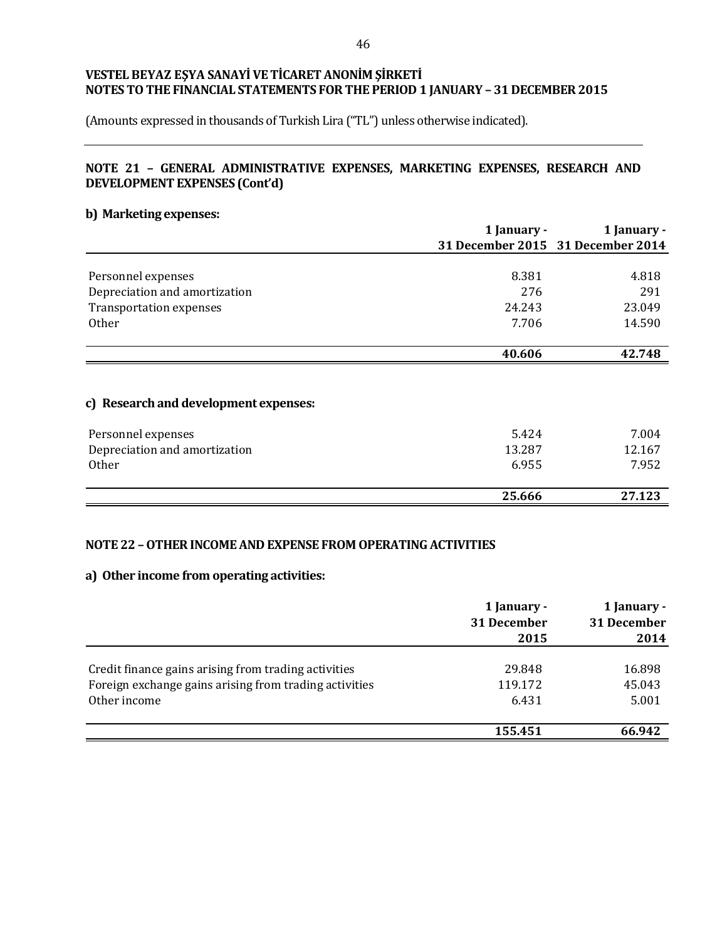(Amounts expressed in thousands of Turkish Lira ("TL") unless otherwise indicated).

## **NOTE 21 – GENERAL ADMINISTRATIVE EXPENSES, MARKETING EXPENSES, RESEARCH AND DEVELOPMENT EXPENSES (Cont'd)**

#### **b) Marketing expenses:**

|                                       | 1 January - | 1 January -                       |
|---------------------------------------|-------------|-----------------------------------|
|                                       |             | 31 December 2015 31 December 2014 |
|                                       |             |                                   |
| Personnel expenses                    | 8.381       | 4.818                             |
| Depreciation and amortization         | 276         | 291                               |
| <b>Transportation expenses</b>        | 24.243      | 23.049                            |
| <b>Other</b>                          | 7.706       | 14.590                            |
|                                       | 40.606      | 42.748                            |
|                                       |             |                                   |
| c) Research and development expenses: |             |                                   |
| Personnel expenses                    | 5.424       | 7.004                             |
| Depreciation and amortization         | 13.287      | 12.167                            |
| 0ther                                 | 6.955       | 7.952                             |
|                                       | 25.666      | 27.123                            |

## **NOTE 22 –OTHER INCOME AND EXPENSE FROM OPERATING ACTIVITIES**

## **a) Other income from operating activities:**

|                                                        | 1 January -<br>31 December<br>2015 | 1 January -<br>31 December<br>2014 |
|--------------------------------------------------------|------------------------------------|------------------------------------|
|                                                        |                                    |                                    |
| Credit finance gains arising from trading activities   | 29.848                             | 16.898                             |
| Foreign exchange gains arising from trading activities | 119.172                            | 45.043                             |
| Other income                                           | 6.431                              | 5.001                              |
|                                                        | 155.451                            | 66.942                             |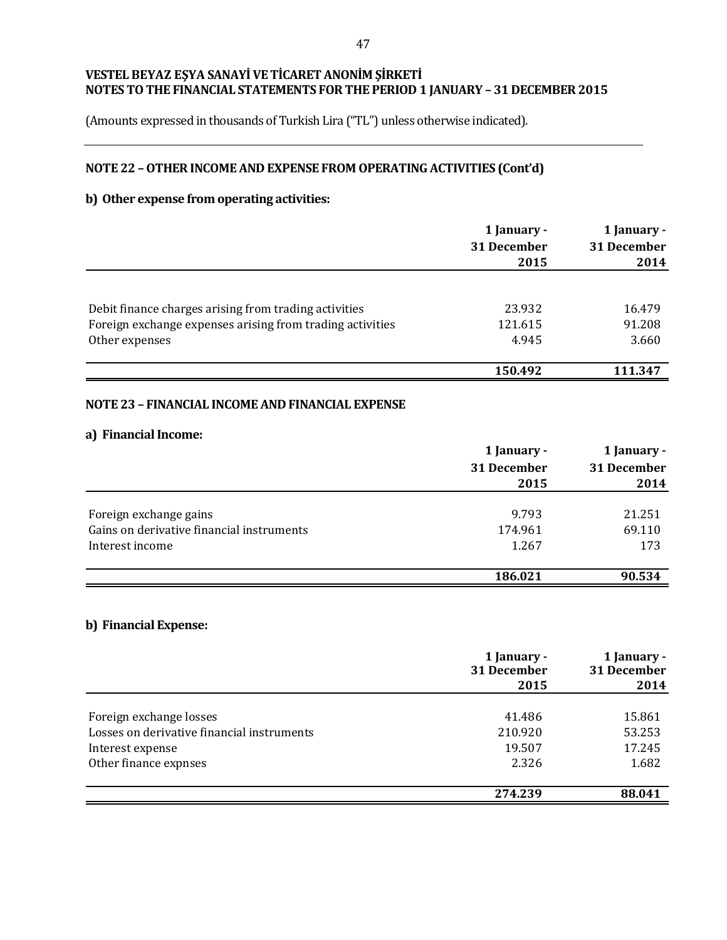(Amounts expressed in thousands of Turkish Lira ("TL") unless otherwise indicated).

# **NOTE 22 –OTHER INCOME AND EXPENSE FROM OPERATING ACTIVITIES (Cont'd)**

## **b) Other expense from operating activities:**

|                                                           | 1 January -<br>31 December<br>2015 | 1 January -<br>31 December<br>2014 |
|-----------------------------------------------------------|------------------------------------|------------------------------------|
|                                                           |                                    |                                    |
| Debit finance charges arising from trading activities     | 23.932                             | 16.479                             |
| Foreign exchange expenses arising from trading activities | 121.615                            | 91.208                             |
| Other expenses                                            | 4.945                              | 3.660                              |
|                                                           | 150.492                            | 111.347                            |

### **NOTE 23 – FINANCIAL INCOME AND FINANCIAL EXPENSE**

## **a) Financial Income:**

|                                           | 1 January -<br>31 December | 1 January -<br>31 December |
|-------------------------------------------|----------------------------|----------------------------|
|                                           |                            |                            |
|                                           | 2015                       | 2014                       |
|                                           |                            |                            |
| Foreign exchange gains                    | 9.793                      | 21.251                     |
| Gains on derivative financial instruments | 174.961                    | 69.110                     |
| Interest income                           | 1.267                      | 173                        |
|                                           | 186.021                    | 90.534                     |

#### **b) Financial Expense:**

|                                            | 1 January -<br>31 December | 1 January -<br>31 December |
|--------------------------------------------|----------------------------|----------------------------|
|                                            | 2015                       | 2014                       |
| Foreign exchange losses                    | 41.486                     | 15.861                     |
| Losses on derivative financial instruments | 210.920                    | 53.253                     |
| Interest expense                           | 19.507                     | 17.245                     |
| Other finance expnses                      | 2.326                      | 1.682                      |
|                                            | 274.239                    | 88.041                     |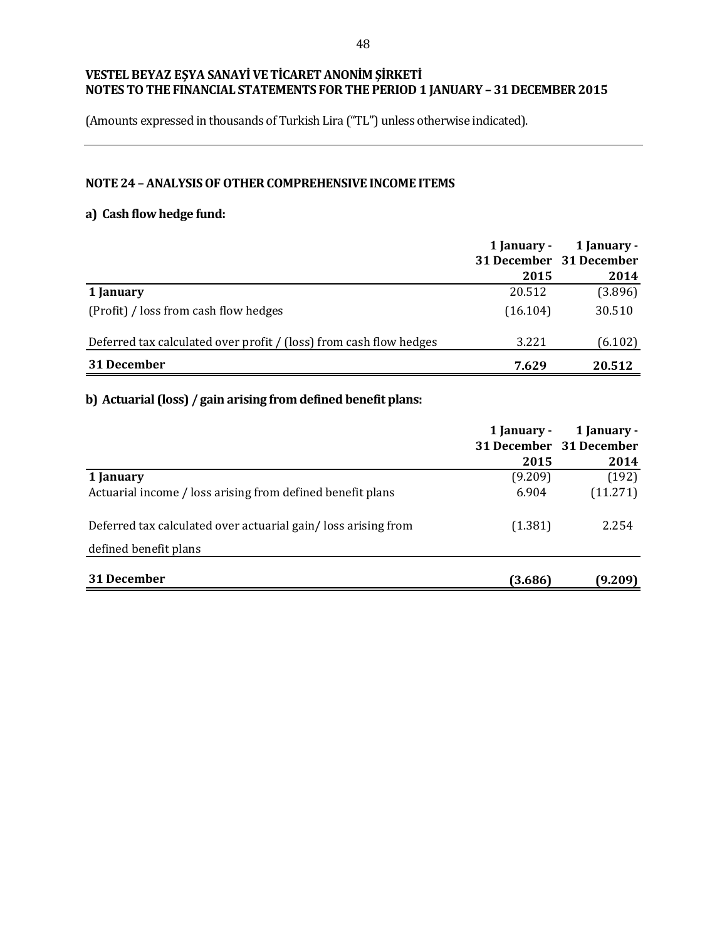(Amounts expressed in thousands of Turkish Lira ("TL") unless otherwise indicated).

## **NOTE 24 – ANALYSIS OF OTHER COMPREHENSIVE INCOME ITEMS**

# **a) Cash flow hedge fund:**

|                                                                    | 1 January - | 1 January -             |
|--------------------------------------------------------------------|-------------|-------------------------|
|                                                                    |             | 31 December 31 December |
|                                                                    | 2015        | 2014                    |
| 1 January                                                          | 20.512      | (3.896)                 |
| (Profit) / loss from cash flow hedges                              | (16.104)    | 30.510                  |
| Deferred tax calculated over profit / (loss) from cash flow hedges | 3.221       | (6.102)                 |
| 31 December                                                        | 7.629       | 20.512                  |

## **b) Actuarial (loss) / gain arising from defined benefit plans:**

|                                                               | 1 January - | 1 January -<br>31 December 31 December |
|---------------------------------------------------------------|-------------|----------------------------------------|
|                                                               | 2015        | 2014                                   |
| 1 January                                                     | (9.209)     | (192)                                  |
| Actuarial income / loss arising from defined benefit plans    | 6.904       | (11.271)                               |
| Deferred tax calculated over actuarial gain/loss arising from | (1.381)     | 2.254                                  |
| defined benefit plans                                         |             |                                        |
| 31 December                                                   | (3.686)     | (9.209)                                |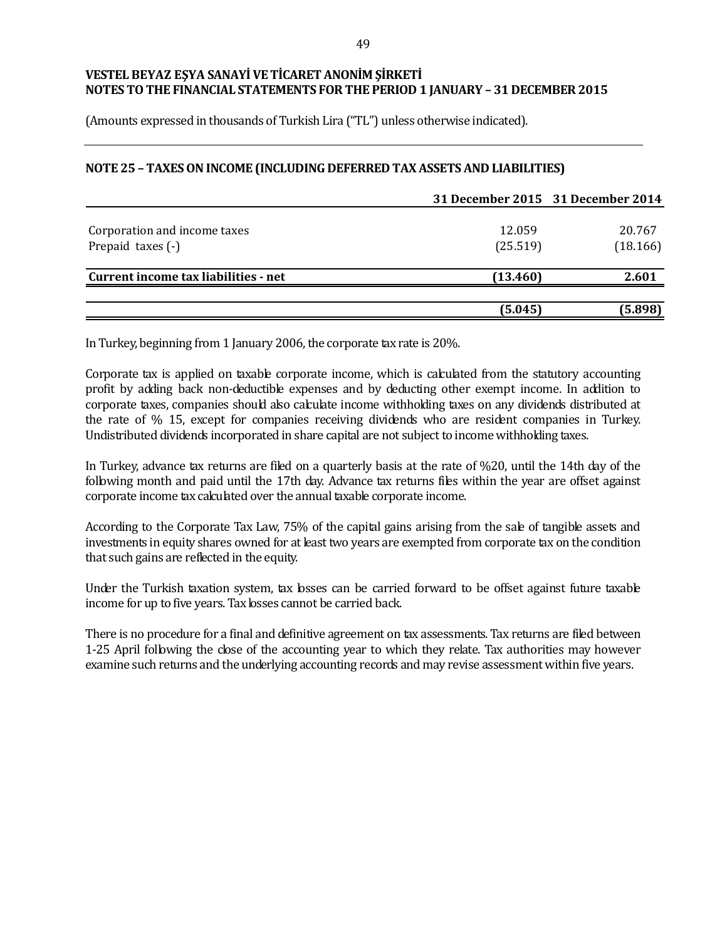(Amounts expressed in thousands of Turkish Lira ("TL") unless otherwise indicated).

#### **NOTE 25 – TAXES ON INCOME (INCLUDING DEFERRED TAX ASSETS AND LIABILITIES)**

|                                      | 31 December 2015 31 December 2014 |          |
|--------------------------------------|-----------------------------------|----------|
|                                      |                                   |          |
| Corporation and income taxes         | 12.059                            | 20.767   |
| Prepaid taxes (-)                    | (25.519)                          | (18.166) |
| Current income tax liabilities - net | (13.460)                          | 2.601    |
|                                      |                                   |          |
|                                      | (5.045)                           | (5.898)  |

In Turkey, beginning from 1 January 2006, the corporate tax rate is 20%.

Corporate tax is applied on taxable corporate income, which is calculated from the statutory accounting profit by adding back non-deductible expenses and by deducting other exempt income. In addition to corporate taxes, companies should also calculate income withholding taxes on any dividends distributed at the rate of % 15, except for companies receiving dividends who are resident companies in Turkey. Undistributed dividends incorporated in share capital are not subject to income withholding taxes.

In Turkey, advance tax returns are filed on a quarterly basis at the rate of %20, until the 14th day of the following month and paid until the 17th day. Advance tax returns files within the year are offset against corporate income tax calculated over the annual taxable corporate income.

According to the Corporate Tax Law, 75% of the capital gains arising from the sale of tangible assets and investments in equity shares owned for at least two years are exempted from corporate tax on the condition that such gains are reflected in the equity.

Under the Turkish taxation system, tax losses can be carried forward to be offset against future taxable income for up to five years. Tax losses cannot be carried back.

There is no procedure for a final and definitive agreement on tax assessments. Tax returns are filed between 1-25 April following the close of the accounting year to which they relate. Tax authorities may however examine such returns and the underlying accounting records and may revise assessment within five years.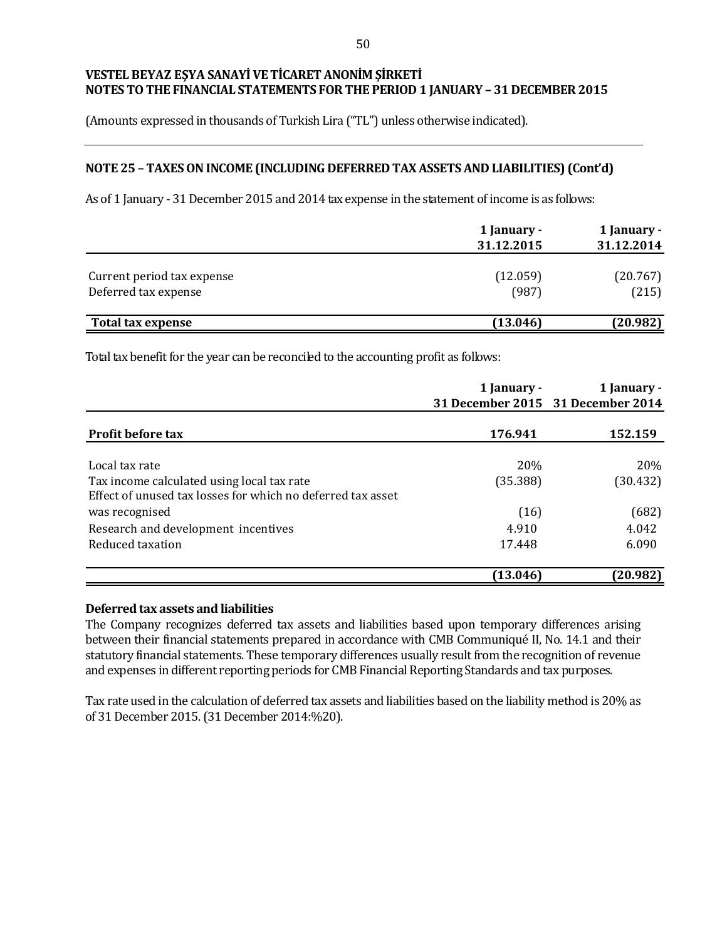(Amounts expressed in thousands of Turkish Lira ("TL") unless otherwise indicated).

#### **NOTE 25 – TAXES ON INCOME (INCLUDING DEFERRED TAX ASSETS AND LIABILITIES) (Cont'd)**

As of 1 January - 31 December 2015 and 2014 tax expense in the statement of income is as follows:

|                                                    | 1 January -<br>31.12.2015 | 1 January -<br>31.12.2014 |  |
|----------------------------------------------------|---------------------------|---------------------------|--|
| Current period tax expense<br>Deferred tax expense | (12.059)<br>(987)         | (20.767)<br>(215)         |  |
| Total tax expense                                  | (13.046)                  | (20.982)                  |  |

Total tax benefit for the year can be reconciled to the accounting profit as follows:

|                                                             | 1 January - | 1 January -<br>31 December 2015 31 December 2014 |
|-------------------------------------------------------------|-------------|--------------------------------------------------|
|                                                             |             |                                                  |
| <b>Profit before tax</b>                                    | 176.941     | 152.159                                          |
| Local tax rate                                              | 20%         | 20%                                              |
| Tax income calculated using local tax rate                  | (35.388)    | (30.432)                                         |
| Effect of unused tax losses for which no deferred tax asset |             |                                                  |
| was recognised                                              | (16)        | (682)                                            |
| Research and development incentives                         | 4.910       | 4.042                                            |
| Reduced taxation                                            | 17.448      | 6.090                                            |
|                                                             | (13.046)    | (20.982)                                         |

#### **Deferred tax assets and liabilities**

The Company recognizes deferred tax assets and liabilities based upon temporary differences arising between their financial statements prepared in accordance with CMB Communiqué II, No. 14.1 and their statutory financial statements. These temporary differences usually result from the recognition of revenue and expenses in different reporting periods for CMB Financial Reporting Standards and tax purposes.

Tax rate used in the calculation of deferred tax assets and liabilities based on the liability method is 20% as of 31 December 2015. (31 December 2014:%20).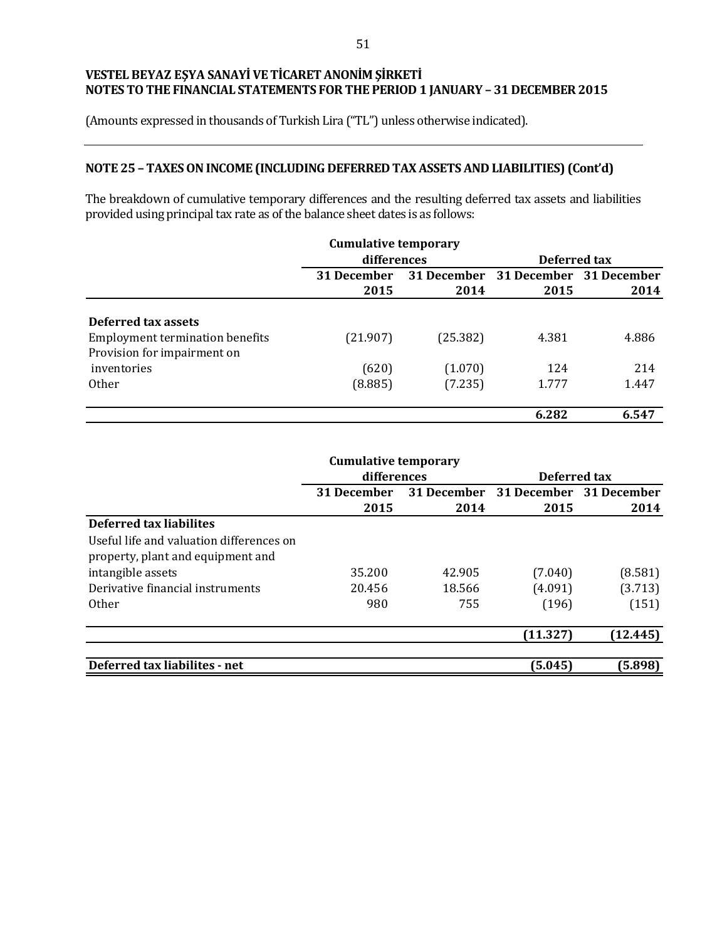(Amounts expressed in thousands of Turkish Lira ("TL") unless otherwise indicated).

# **NOTE 25 – TAXES ON INCOME (INCLUDING DEFERRED TAX ASSETS AND LIABILITIES) (Cont'd)**

The breakdown of cumulative temporary differences and the resulting deferred tax assets and liabilities provided using principal tax rate as of the balance sheet dates is as follows:

|                                        | <b>Cumulative temporary</b> |             |                         |       |
|----------------------------------------|-----------------------------|-------------|-------------------------|-------|
|                                        | differences                 |             | Deferred tax            |       |
|                                        | 31 December                 | 31 December | 31 December 31 December |       |
|                                        | 2015                        | 2014        | 2015                    | 2014  |
|                                        |                             |             |                         |       |
| Deferred tax assets                    |                             |             |                         |       |
| <b>Employment termination benefits</b> | (21.907)                    | (25.382)    | 4.381                   | 4.886 |
| Provision for impairment on            |                             |             |                         |       |
| inventories                            | (620)                       | (1.070)     | 124                     | 214   |
| <b>Other</b>                           | (8.885)                     | (7.235)     | 1.777                   | 1.447 |
|                                        |                             |             | 6.282                   | 6.547 |

|                                          | <b>Cumulative temporary</b> |             |                         |          |
|------------------------------------------|-----------------------------|-------------|-------------------------|----------|
|                                          | differences                 |             | Deferred tax            |          |
|                                          | 31 December                 | 31 December | 31 December 31 December |          |
|                                          | 2015                        | 2014        | 2015                    | 2014     |
| Deferred tax liabilites                  |                             |             |                         |          |
| Useful life and valuation differences on |                             |             |                         |          |
| property, plant and equipment and        |                             |             |                         |          |
| intangible assets                        | 35.200                      | 42.905      | (7.040)                 | (8.581)  |
| Derivative financial instruments         | 20.456                      | 18.566      | (4.091)                 | (3.713)  |
| <b>Other</b>                             | 980                         | 755         | (196)                   | (151)    |
|                                          |                             |             | (11.327)                | (12.445) |
| Deferred tax liabilites - net            |                             |             | (5.045)                 | (5.898)  |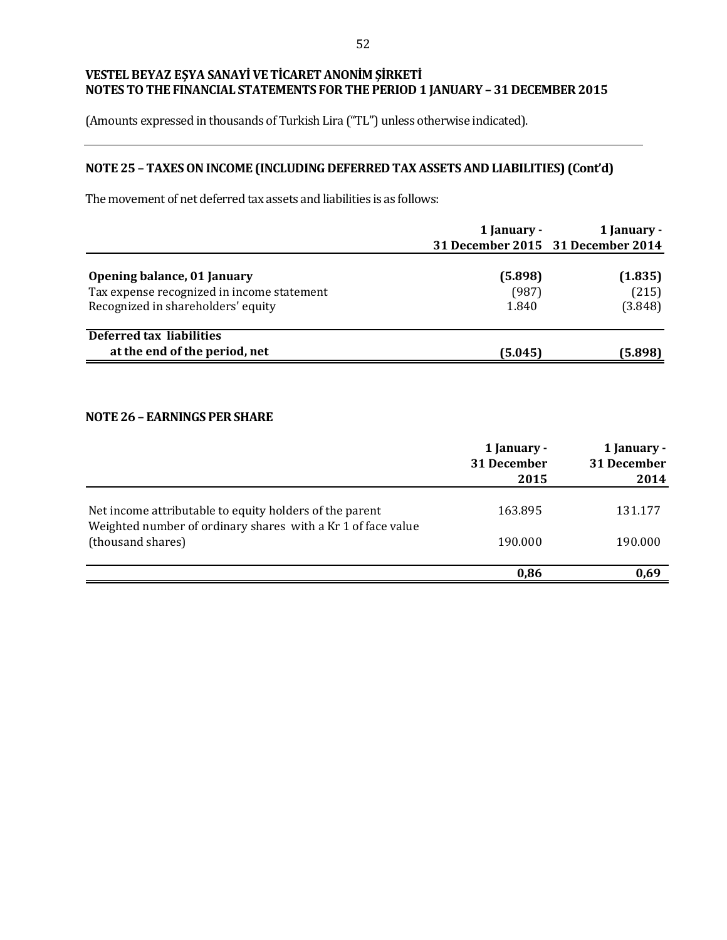(Amounts expressed in thousands of Turkish Lira ("TL") unless otherwise indicated).

# **NOTE 25 – TAXES ON INCOME (INCLUDING DEFERRED TAX ASSETS AND LIABILITIES) (Cont'd)**

The movement of net deferred tax assets and liabilities is as follows:

|                                            | 1 January - | 1 January -<br>31 December 2015 31 December 2014 |
|--------------------------------------------|-------------|--------------------------------------------------|
|                                            |             |                                                  |
| Opening balance, 01 January                | (5.898)     | (1.835)                                          |
| Tax expense recognized in income statement | (987)       | (215)                                            |
| Recognized in shareholders' equity         | 1.840       | (3.848)                                          |
| Deferred tax liabilities                   |             |                                                  |
| at the end of the period, net              | (5.045)     | (5.898)                                          |

#### **NOTE 26 – EARNINGS PER SHARE**

|                                                                                                                         | 1 January -<br>31 December<br>2015 | 1 January -<br>31 December<br>2014 |
|-------------------------------------------------------------------------------------------------------------------------|------------------------------------|------------------------------------|
| Net income attributable to equity holders of the parent<br>Weighted number of ordinary shares with a Kr 1 of face value | 163.895                            | 131.177                            |
| (thousand shares)                                                                                                       | 190.000                            | 190.000                            |
|                                                                                                                         | 0,86                               | 0,69                               |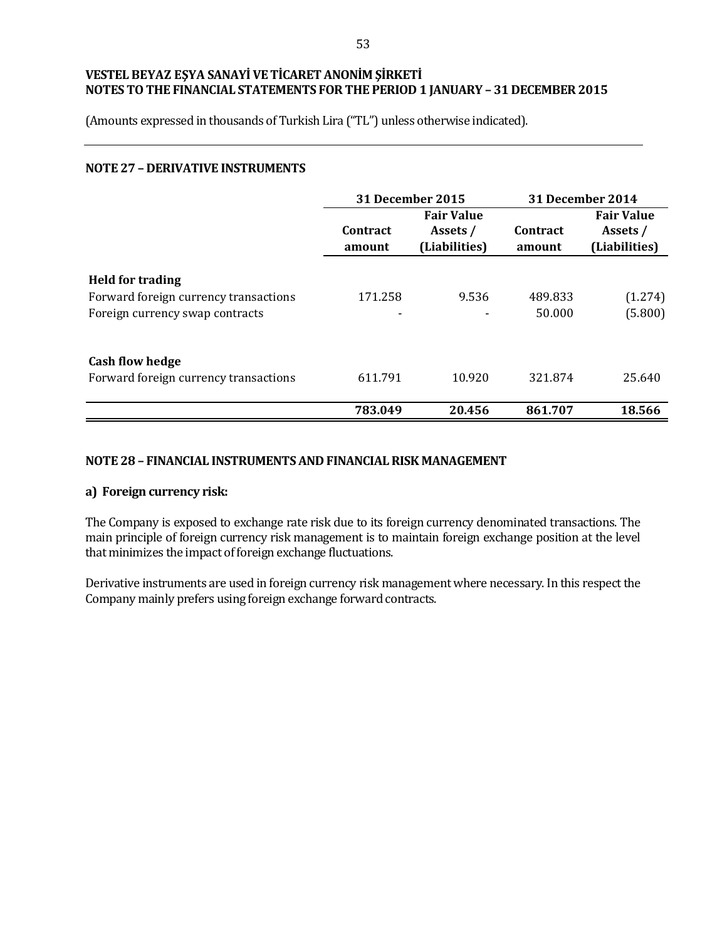(Amounts expressed in thousands of Turkish Lira ("TL") unless otherwise indicated).

#### **NOTE 27 – DERIVATIVE INSTRUMENTS**

|                                                                                                     | 31 December 2015          |                                                |                    | 31 December 2014                               |  |
|-----------------------------------------------------------------------------------------------------|---------------------------|------------------------------------------------|--------------------|------------------------------------------------|--|
|                                                                                                     | <b>Contract</b><br>amount | <b>Fair Value</b><br>Assets /<br>(Liabilities) | Contract<br>amount | <b>Fair Value</b><br>Assets /<br>(Liabilities) |  |
| <b>Held for trading</b><br>Forward foreign currency transactions<br>Foreign currency swap contracts | 171.258<br>-              | 9.536                                          | 489.833<br>50.000  | (1.274)<br>(5.800)                             |  |
| Cash flow hedge<br>Forward foreign currency transactions                                            | 611.791                   | 10.920                                         | 321.874            | 25.640                                         |  |
|                                                                                                     | 783.049                   | 20.456                                         | 861.707            | 18.566                                         |  |

#### **NOTE 28 – FINANCIAL INSTRUMENTS AND FINANCIAL RISK MANAGEMENT**

#### **a) Foreign currency risk:**

The Company is exposed to exchange rate risk due to its foreign currency denominated transactions. The main principle of foreign currency risk management is to maintain foreign exchange position at the level that minimizes the impact of foreign exchange fluctuations.

Derivative instruments are used in foreign currency risk management where necessary. In this respect the Company mainly prefers using foreign exchange forward contracts.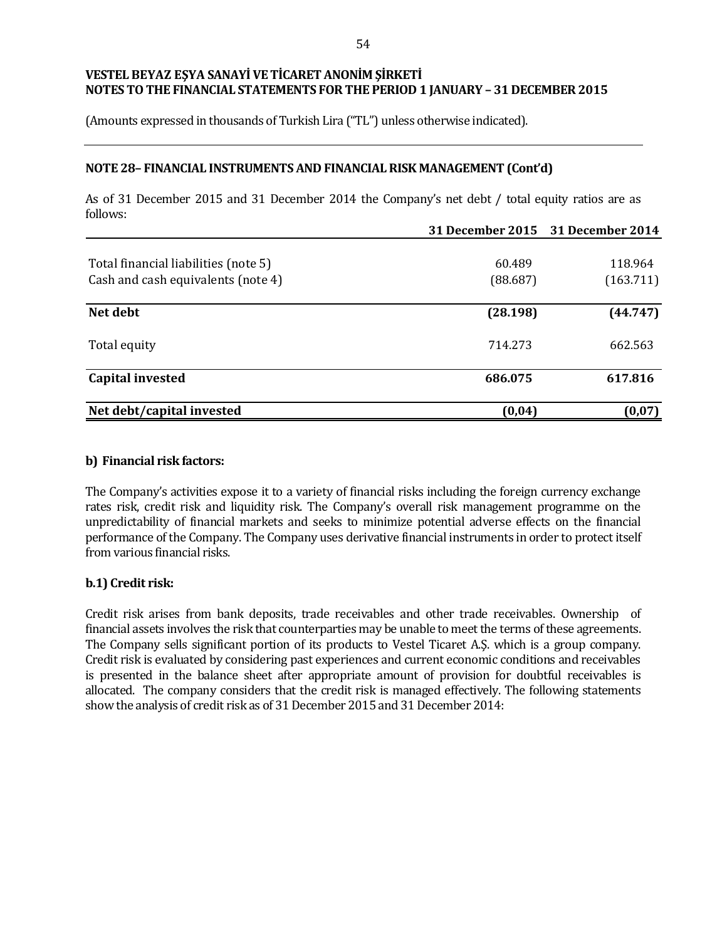(Amounts expressed in thousands of Turkish Lira ("TL") unless otherwise indicated).

#### **NOTE 28– FINANCIAL INSTRUMENTS AND FINANCIAL RISK MANAGEMENT (Cont'd)**

As of 31 December 2015 and 31 December 2014 the Company's net debt / total equity ratios are as follows:

|                                      |          | 31 December 2015 31 December 2014 |
|--------------------------------------|----------|-----------------------------------|
| Total financial liabilities (note 5) | 60.489   | 118.964                           |
| Cash and cash equivalents (note 4)   | (88.687) | (163.711)                         |
| Net debt                             | (28.198) | (44.747)                          |
| Total equity                         | 714.273  | 662.563                           |
| <b>Capital invested</b>              | 686.075  | 617.816                           |
| Net debt/capital invested            | (0, 04)  | (0,07)                            |

#### **b) Financial risk factors:**

The Company's activities expose it to a variety of financial risks including the foreign currency exchange rates risk, credit risk and liquidity risk. The Company's overall risk management programme on the unpredictability of financial markets and seeks to minimize potential adverse effects on the financial performance of the Company. The Company uses derivative financial instruments in order to protect itself from various financial risks.

#### **b.1) Credit risk:**

Credit risk arises from bank deposits, trade receivables and other trade receivables. Ownership of financial assets involves the risk that counterparties may be unable to meet the terms of these agreements. The Company sells significant portion of its products to Vestel Ticaret A.Ş. which is a group company. Credit risk is evaluated by considering past experiences and current economic conditions and receivables is presented in the balance sheet after appropriate amount of provision for doubtful receivables is allocated. The company considers that the credit risk is managed effectively. The following statements show the analysis of credit risk as of 31 December 2015 and 31 December 2014: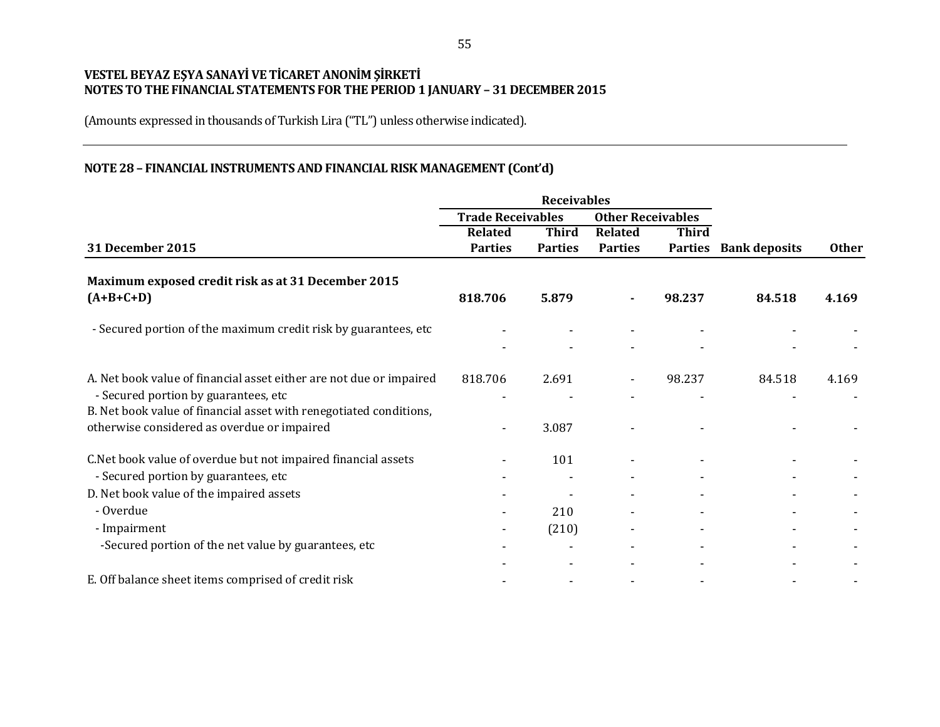(Amounts expressed in thousands of Turkish Lira ("TL") unless otherwise indicated).

# **NOTE 28 – FINANCIAL INSTRUMENTS AND FINANCIAL RISK MANAGEMENT (Cont'd)**

|                                                                                                            | <b>Receivables</b>       |                |                          |                |                      |              |
|------------------------------------------------------------------------------------------------------------|--------------------------|----------------|--------------------------|----------------|----------------------|--------------|
|                                                                                                            | <b>Trade Receivables</b> |                | <b>Other Receivables</b> |                |                      |              |
|                                                                                                            | <b>Related</b>           | <b>Third</b>   | <b>Related</b>           | <b>Third</b>   |                      |              |
| 31 December 2015                                                                                           | <b>Parties</b>           | <b>Parties</b> | <b>Parties</b>           | <b>Parties</b> | <b>Bank deposits</b> | <b>Other</b> |
| Maximum exposed credit risk as at 31 December 2015<br>$(A+B+C+D)$                                          | 818.706                  | 5.879          |                          | 98.237         | 84.518               | 4.169        |
| - Secured portion of the maximum credit risk by guarantees, etc                                            |                          |                |                          |                |                      |              |
|                                                                                                            |                          |                |                          |                |                      |              |
| A. Net book value of financial asset either are not due or impaired                                        | 818.706                  | 2.691          | $\overline{\phantom{a}}$ | 98.237         | 84.518               | 4.169        |
| - Secured portion by guarantees, etc<br>B. Net book value of financial asset with renegotiated conditions, |                          |                |                          |                |                      |              |
| otherwise considered as overdue or impaired                                                                |                          | 3.087          |                          |                |                      |              |
| C. Net book value of overdue but not impaired financial assets                                             |                          | 101            |                          |                |                      |              |
| - Secured portion by guarantees, etc                                                                       |                          |                |                          |                |                      |              |
| D. Net book value of the impaired assets                                                                   |                          |                |                          |                |                      |              |
| - Overdue                                                                                                  | $\overline{\phantom{a}}$ | 210            |                          |                |                      |              |
| - Impairment                                                                                               |                          | (210)          |                          |                |                      |              |
| -Secured portion of the net value by guarantees, etc                                                       |                          |                |                          |                |                      |              |
|                                                                                                            |                          |                |                          |                |                      |              |
| E. Off balance sheet items comprised of credit risk                                                        |                          |                |                          |                |                      |              |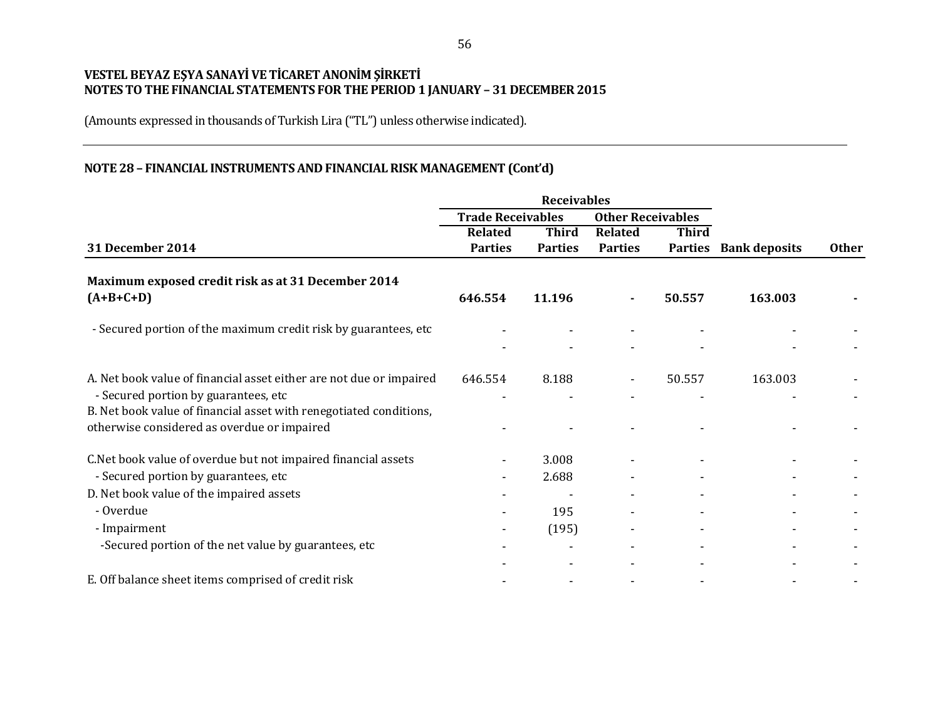(Amounts expressed in thousands of Turkish Lira ("TL") unless otherwise indicated).

# **NOTE 28 – FINANCIAL INSTRUMENTS AND FINANCIAL RISK MANAGEMENT (Cont'd)**

|                                                                                                                   | <b>Receivables</b>       |                |                          |                |                      |              |
|-------------------------------------------------------------------------------------------------------------------|--------------------------|----------------|--------------------------|----------------|----------------------|--------------|
|                                                                                                                   | <b>Trade Receivables</b> |                | <b>Other Receivables</b> |                |                      |              |
|                                                                                                                   | <b>Related</b>           | <b>Third</b>   | <b>Related</b>           | <b>Third</b>   |                      |              |
| <b>31 December 2014</b>                                                                                           | <b>Parties</b>           | <b>Parties</b> | <b>Parties</b>           | <b>Parties</b> | <b>Bank deposits</b> | <b>Other</b> |
| Maximum exposed credit risk as at 31 December 2014                                                                |                          |                |                          |                |                      |              |
| $(A+B+C+D)$                                                                                                       | 646.554                  | 11.196         | $\blacksquare$           | 50.557         | 163.003              |              |
| - Secured portion of the maximum credit risk by guarantees, etc                                                   |                          |                |                          |                |                      |              |
|                                                                                                                   |                          |                |                          |                |                      |              |
| A. Net book value of financial asset either are not due or impaired                                               | 646.554                  | 8.188          | $\blacksquare$           | 50.557         | 163.003              |              |
| - Secured portion by guarantees, etc                                                                              |                          |                |                          |                |                      |              |
| B. Net book value of financial asset with renegotiated conditions,<br>otherwise considered as overdue or impaired |                          |                |                          |                |                      |              |
| C. Net book value of overdue but not impaired financial assets                                                    |                          | 3.008          |                          |                |                      |              |
| - Secured portion by guarantees, etc                                                                              |                          | 2.688          |                          |                |                      |              |
| D. Net book value of the impaired assets                                                                          |                          |                |                          |                |                      |              |
| - Overdue                                                                                                         | ۰                        | 195            |                          |                |                      |              |
| - Impairment                                                                                                      |                          | (195)          |                          |                |                      |              |
| -Secured portion of the net value by guarantees, etc                                                              |                          |                |                          |                |                      |              |
|                                                                                                                   |                          |                |                          |                |                      |              |
| E. Off balance sheet items comprised of credit risk                                                               |                          |                |                          |                |                      |              |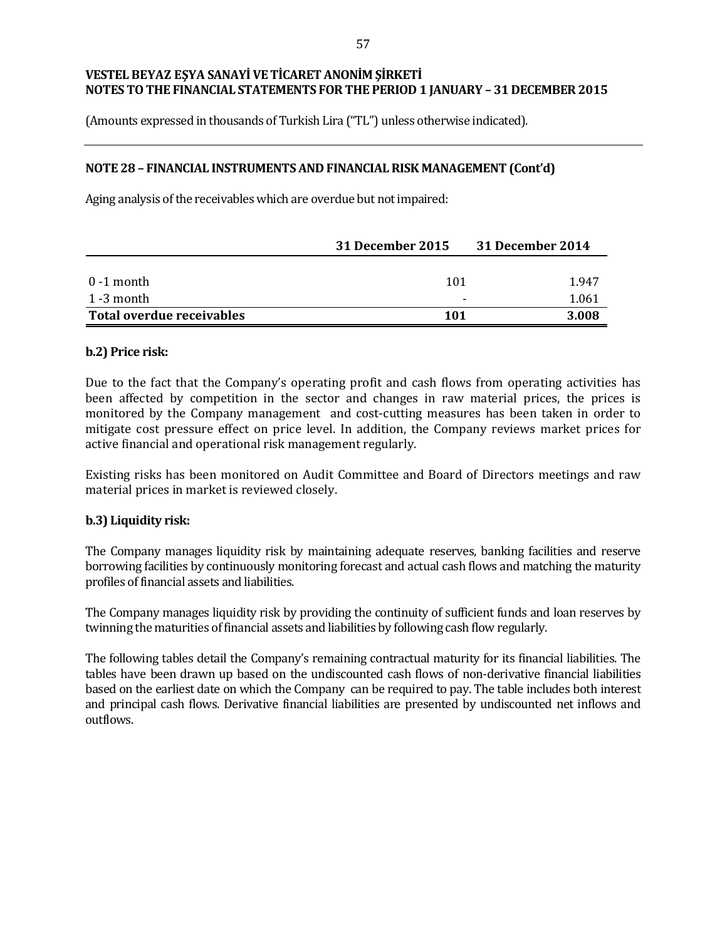(Amounts expressed in thousands of Turkish Lira ("TL") unless otherwise indicated).

#### **NOTE 28 – FINANCIAL INSTRUMENTS AND FINANCIAL RISK MANAGEMENT (Cont'd)**

Aging analysis of the receivables which are overdue but not impaired:

|                           | <b>31 December 2015</b>  | 31 December 2014 |  |
|---------------------------|--------------------------|------------------|--|
|                           |                          |                  |  |
| 0 -1 month                | 101                      | 1.947            |  |
| 1 -3 month                | $\overline{\phantom{a}}$ | 1.061            |  |
| Total overdue receivables | 101                      | 3.008            |  |

#### **b.2) Price risk:**

Due to the fact that the Company's operating profit and cash flows from operating activities has been affected by competition in the sector and changes in raw material prices, the prices is monitored by the Company management and cost-cutting measures has been taken in order to mitigate cost pressure effect on price level. In addition, the Company reviews market prices for active financial and operational risk management regularly.

Existing risks has been monitored on Audit Committee and Board of Directors meetings and raw material prices in market is reviewed closely.

#### **b.3) Liquidity risk:**

The Company manages liquidity risk by maintaining adequate reserves, banking facilities and reserve borrowing facilities by continuously monitoring forecast and actual cash flows and matching the maturity profiles of financial assets and liabilities.

The Company manages liquidity risk by providing the continuity of sufficient funds and loan reserves by twinning the maturities of financial assets and liabilities by following cash flow regularly.

The following tables detail the Company's remaining contractual maturity for its financial liabilities. The tables have been drawn up based on the undiscounted cash flows of non-derivative financial liabilities based on the earliest date on which the Company can be required to pay. The table includes both interest and principal cash flows. Derivative financial liabilities are presented by undiscounted net inflows and outflows.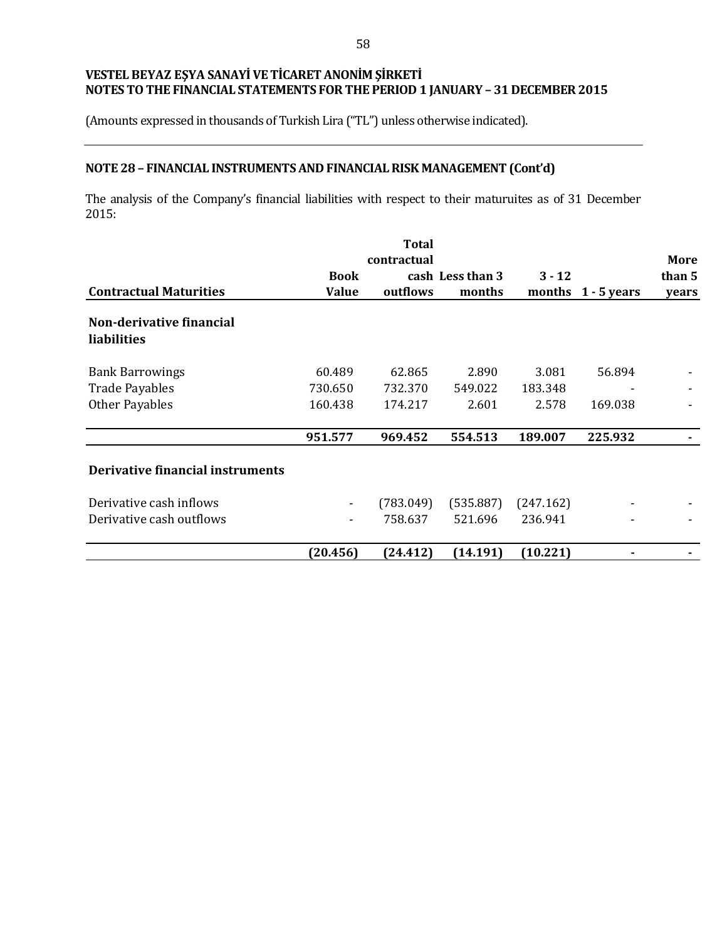(Amounts expressed in thousands of Turkish Lira ("TL") unless otherwise indicated).

# **NOTE 28 – FINANCIAL INSTRUMENTS AND FINANCIAL RISK MANAGEMENT (Cont'd)**

The analysis of the Company's financial liabilities with respect to their maturuites as of 31 December 2015:

|                                                |                          | <b>Total</b> |                  |           |                          |                          |
|------------------------------------------------|--------------------------|--------------|------------------|-----------|--------------------------|--------------------------|
|                                                |                          | contractual  |                  |           |                          | <b>More</b>              |
|                                                | <b>Book</b>              |              | cash Less than 3 | $3 - 12$  |                          | than 5                   |
| <b>Contractual Maturities</b>                  | <b>Value</b>             | outflows     | months           |           | months $1 - 5$ years     | years                    |
| Non-derivative financial<br><b>liabilities</b> |                          |              |                  |           |                          |                          |
| <b>Bank Barrowings</b>                         | 60.489                   | 62.865       | 2.890            | 3.081     | 56.894                   |                          |
| <b>Trade Payables</b>                          | 730.650                  | 732.370      | 549.022          | 183.348   | $\overline{\phantom{a}}$ | $\overline{\phantom{0}}$ |
| Other Payables                                 | 160.438                  | 174.217      | 2.601            | 2.578     | 169.038                  |                          |
|                                                | 951.577                  | 969.452      | 554.513          | 189.007   | 225.932                  |                          |
| Derivative financial instruments               |                          |              |                  |           |                          |                          |
| Derivative cash inflows                        |                          | (783.049)    | (535.887)        | (247.162) |                          |                          |
| Derivative cash outflows                       | $\overline{\phantom{a}}$ | 758.637      | 521.696          | 236.941   | $\overline{\phantom{a}}$ |                          |
|                                                | (20.456)                 | (24.412)     | (14.191)         | (10.221)  |                          |                          |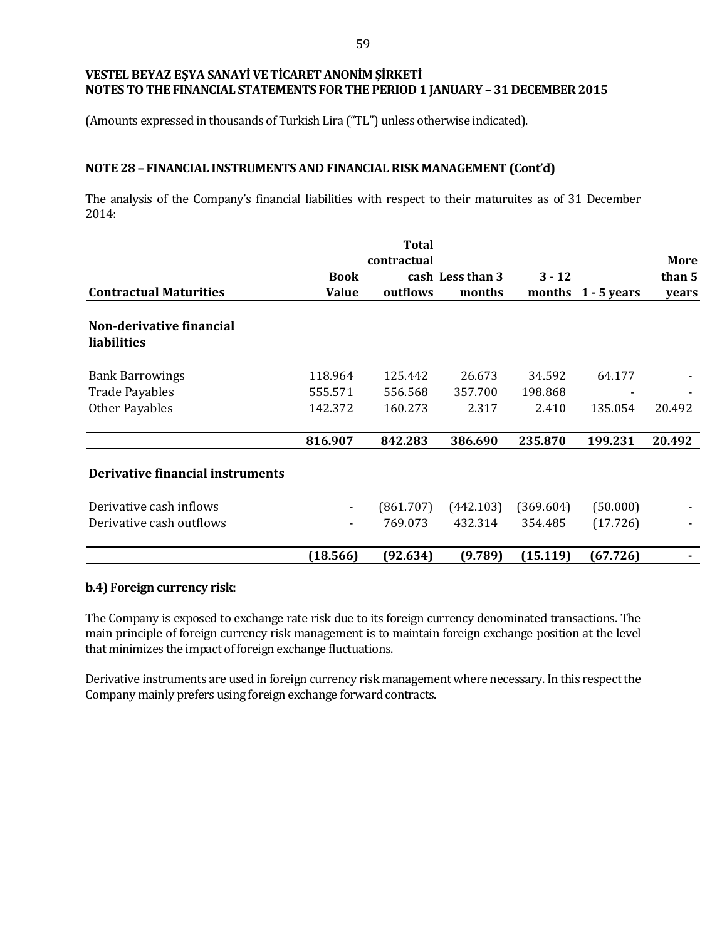(Amounts expressed in thousands of Turkish Lira ("TL") unless otherwise indicated).

#### **NOTE 28 – FINANCIAL INSTRUMENTS AND FINANCIAL RISK MANAGEMENT (Cont'd)**

The analysis of the Company's financial liabilities with respect to their maturuites as of 31 December 2014:

|                                                |                | <b>Total</b> |                  |           |               |        |
|------------------------------------------------|----------------|--------------|------------------|-----------|---------------|--------|
|                                                |                | contractual  |                  |           |               | More   |
|                                                | <b>Book</b>    |              | cash Less than 3 | $3 - 12$  |               | than 5 |
| <b>Contractual Maturities</b>                  | <b>Value</b>   | outflows     | months           | months    | $1 - 5$ years | years  |
| Non-derivative financial<br><b>liabilities</b> |                |              |                  |           |               |        |
| <b>Bank Barrowings</b>                         | 118.964        | 125.442      | 26.673           | 34.592    | 64.177        |        |
| <b>Trade Payables</b>                          | 555.571        | 556.568      | 357.700          | 198.868   |               |        |
| <b>Other Payables</b>                          | 142.372        | 160.273      | 2.317            | 2.410     | 135.054       | 20.492 |
|                                                | 816.907        | 842.283      | 386.690          | 235.870   | 199.231       | 20.492 |
| Derivative financial instruments               |                |              |                  |           |               |        |
| Derivative cash inflows                        |                | (861.707)    | (442.103)        | (369.604) | (50.000)      |        |
| Derivative cash outflows                       | $\blacksquare$ | 769.073      | 432.314          | 354.485   | (17.726)      |        |
|                                                | (18.566)       | (92.634)     | (9.789)          | (15.119)  | (67.726)      |        |
|                                                |                |              |                  |           |               |        |

#### **b.4) Foreign currency risk:**

The Company is exposed to exchange rate risk due to its foreign currency denominated transactions. The main principle of foreign currency risk management is to maintain foreign exchange position at the level that minimizes the impact of foreign exchange fluctuations.

Derivative instruments are used in foreign currency risk management where necessary. In this respect the Company mainly prefers using foreign exchange forward contracts.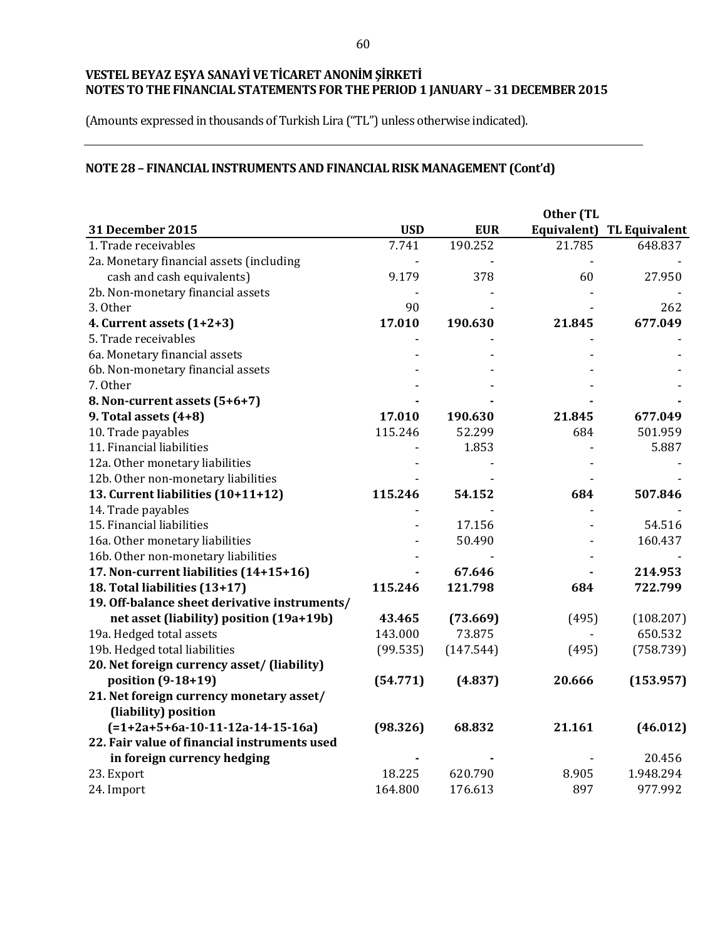(Amounts expressed in thousands of Turkish Lira ("TL") unless otherwise indicated).

# **NOTE 28 – FINANCIAL INSTRUMENTS AND FINANCIAL RISK MANAGEMENT (Cont'd)**

|                                               |                    |            | Other (TL   |                      |
|-----------------------------------------------|--------------------|------------|-------------|----------------------|
| <b>31 December 2015</b>                       | <b>USD</b>         | <b>EUR</b> | Equivalent) | <b>TL Equivalent</b> |
| 1. Trade receivables                          | $\overline{7.741}$ | 190.252    | 21.785      | 648.837              |
| 2a. Monetary financial assets (including      |                    |            |             |                      |
| cash and cash equivalents)                    | 9.179              | 378        | 60          | 27.950               |
| 2b. Non-monetary financial assets             |                    |            |             |                      |
| 3. Other                                      | 90                 |            |             | 262                  |
| 4. Current assets (1+2+3)                     | 17.010             | 190.630    | 21.845      | 677.049              |
| 5. Trade receivables                          |                    |            |             |                      |
| 6a. Monetary financial assets                 |                    |            |             |                      |
| 6b. Non-monetary financial assets             |                    |            |             |                      |
| 7. Other                                      |                    |            |             |                      |
| 8. Non-current assets (5+6+7)                 |                    |            |             |                      |
| 9. Total assets (4+8)                         | 17.010             | 190.630    | 21.845      | 677.049              |
| 10. Trade payables                            | 115.246            | 52.299     | 684         | 501.959              |
| 11. Financial liabilities                     |                    | 1.853      |             | 5.887                |
| 12a. Other monetary liabilities               |                    |            |             |                      |
| 12b. Other non-monetary liabilities           |                    |            |             |                      |
| 13. Current liabilities (10+11+12)            | 115.246            | 54.152     | 684         | 507.846              |
| 14. Trade payables                            |                    |            |             |                      |
| 15. Financial liabilities                     |                    | 17.156     |             | 54.516               |
| 16a. Other monetary liabilities               |                    | 50.490     |             | 160.437              |
| 16b. Other non-monetary liabilities           |                    |            |             |                      |
| 17. Non-current liabilities (14+15+16)        |                    | 67.646     |             | 214.953              |
| 18. Total liabilities (13+17)                 | 115.246            | 121.798    | 684         | 722.799              |
| 19. Off-balance sheet derivative instruments/ |                    |            |             |                      |
| net asset (liability) position (19a+19b)      | 43.465             | (73.669)   | (495)       | (108.207)            |
| 19a. Hedged total assets                      | 143.000            | 73.875     |             | 650.532              |
| 19b. Hedged total liabilities                 | (99.535)           | (147.544)  | (495)       | (758.739)            |
| 20. Net foreign currency asset/ (liability)   |                    |            |             |                      |
| position (9-18+19)                            | (54.771)           | (4.837)    | 20.666      | (153.957)            |
| 21. Net foreign currency monetary asset/      |                    |            |             |                      |
| (liability) position                          |                    |            |             |                      |
| $(=1+2a+5+6a-10-11-12a-14-15-16a)$            | (98.326)           | 68.832     | 21.161      | (46.012)             |
| 22. Fair value of financial instruments used  |                    |            |             |                      |
| in foreign currency hedging                   |                    |            |             | 20.456               |
| 23. Export                                    | 18.225             | 620.790    | 8.905       | 1.948.294            |
| 24. Import                                    | 164.800            | 176.613    | 897         | 977.992              |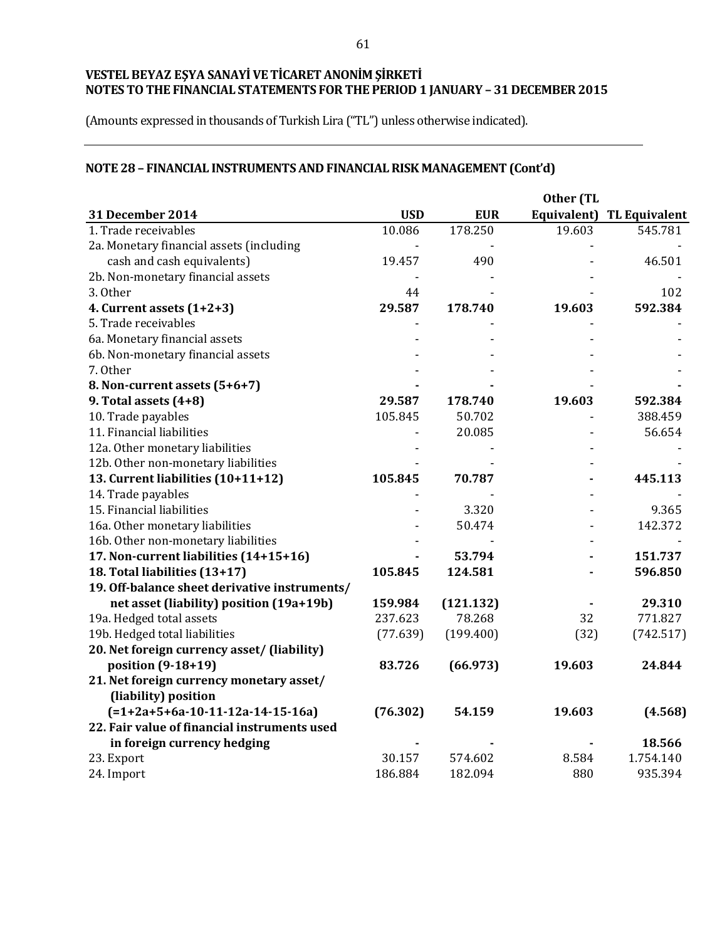(Amounts expressed in thousands of Turkish Lira ("TL") unless otherwise indicated).

# **NOTE 28 – FINANCIAL INSTRUMENTS AND FINANCIAL RISK MANAGEMENT (Cont'd)**

|                                               |            |            | Other (TL   |                      |
|-----------------------------------------------|------------|------------|-------------|----------------------|
| <b>31 December 2014</b>                       | <b>USD</b> | <b>EUR</b> | Equivalent) | <b>TL Equivalent</b> |
| 1. Trade receivables                          | 10.086     | 178.250    | 19.603      | 545.781              |
| 2a. Monetary financial assets (including      |            |            |             |                      |
| cash and cash equivalents)                    | 19.457     | 490        |             | 46.501               |
| 2b. Non-monetary financial assets             |            |            |             |                      |
| 3. Other                                      | 44         |            |             | 102                  |
| 4. Current assets $(1+2+3)$                   | 29.587     | 178.740    | 19.603      | 592.384              |
| 5. Trade receivables                          |            |            |             |                      |
| 6a. Monetary financial assets                 |            |            |             |                      |
| 6b. Non-monetary financial assets             |            |            |             |                      |
| 7. Other                                      |            |            |             |                      |
| 8. Non-current assets (5+6+7)                 |            |            |             |                      |
| 9. Total assets $(4+8)$                       | 29.587     | 178.740    | 19.603      | 592.384              |
| 10. Trade payables                            | 105.845    | 50.702     |             | 388.459              |
| 11. Financial liabilities                     |            | 20.085     |             | 56.654               |
| 12a. Other monetary liabilities               |            |            |             |                      |
| 12b. Other non-monetary liabilities           |            |            |             |                      |
| 13. Current liabilities (10+11+12)            | 105.845    | 70.787     |             | 445.113              |
| 14. Trade payables                            |            |            |             |                      |
| 15. Financial liabilities                     |            | 3.320      |             | 9.365                |
| 16a. Other monetary liabilities               |            | 50.474     |             | 142.372              |
| 16b. Other non-monetary liabilities           |            |            |             |                      |
| 17. Non-current liabilities (14+15+16)        |            | 53.794     |             | 151.737              |
| 18. Total liabilities (13+17)                 | 105.845    | 124.581    |             | 596.850              |
| 19. Off-balance sheet derivative instruments/ |            |            |             |                      |
| net asset (liability) position (19a+19b)      | 159.984    | (121.132)  |             | 29.310               |
| 19a. Hedged total assets                      | 237.623    | 78.268     | 32          | 771.827              |
| 19b. Hedged total liabilities                 | (77.639)   | (199.400)  | (32)        | (742.517)            |
| 20. Net foreign currency asset/ (liability)   |            |            |             |                      |
| position (9-18+19)                            | 83.726     | (66.973)   | 19.603      | 24.844               |
| 21. Net foreign currency monetary asset/      |            |            |             |                      |
| (liability) position                          |            |            |             |                      |
| $(=1+2a+5+6a-10-11-12a-14-15-16a)$            | (76.302)   | 54.159     | 19.603      | (4.568)              |
| 22. Fair value of financial instruments used  |            |            |             |                      |
| in foreign currency hedging                   |            |            |             | 18.566               |
| 23. Export                                    | 30.157     | 574.602    | 8.584       | 1.754.140            |
| 24. Import                                    | 186.884    | 182.094    | 880         | 935.394              |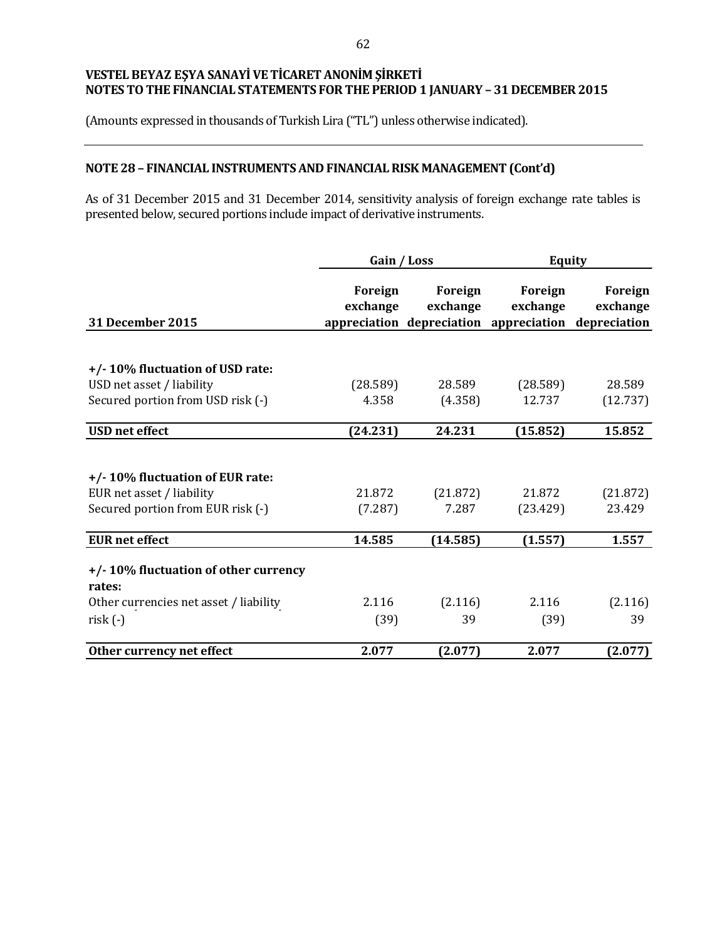(Amounts expressed in thousands of Turkish Lira ("TL") unless otherwise indicated).

#### **NOTE 28 – FINANCIAL INSTRUMENTS AND FINANCIAL RISK MANAGEMENT (Cont'd)**

As of 31 December 2015 and 31 December 2014, sensitivity analysis of foreign exchange rate tables is presented below, secured portions include impact of derivative instruments.

|                                                              | Gain / Loss         |                     | <b>Equity</b>                                                              |                            |  |
|--------------------------------------------------------------|---------------------|---------------------|----------------------------------------------------------------------------|----------------------------|--|
| <b>31 December 2015</b>                                      | Foreign<br>exchange | Foreign<br>exchange | Foreign<br>exchange<br>appreciation depreciation appreciation depreciation | <b>Foreign</b><br>exchange |  |
|                                                              |                     |                     |                                                                            |                            |  |
| +/-10% fluctuation of USD rate:                              |                     |                     |                                                                            |                            |  |
| USD net asset / liability                                    | (28.589)            | 28.589              | (28.589)                                                                   | 28.589                     |  |
| Secured portion from USD risk (-)                            | 4.358               | (4.358)             | 12.737                                                                     | (12.737)                   |  |
|                                                              |                     |                     |                                                                            |                            |  |
| <b>USD</b> net effect                                        | (24.231)            | 24.231              | (15.852)                                                                   | 15.852                     |  |
| +/-10% fluctuation of EUR rate:<br>EUR net asset / liability | 21.872              | (21.872)            | 21.872                                                                     | (21.872)                   |  |
| Secured portion from EUR risk (-)                            | (7.287)             | 7.287               | (23.429)                                                                   | 23.429                     |  |
| <b>EUR</b> net effect                                        | 14.585              | (14.585)            | (1.557)                                                                    | 1.557                      |  |
| +/-10% fluctuation of other currency<br>rates:               |                     |                     |                                                                            |                            |  |
| Other currencies net asset / liability                       | 2.116               | (2.116)             | 2.116                                                                      | (2.116)                    |  |
| $risk(-)$                                                    | (39)                | 39                  | (39)                                                                       | 39                         |  |
|                                                              |                     |                     |                                                                            |                            |  |
| Other currency net effect                                    | 2.077               | (2.077)             | 2.077                                                                      | (2.077)                    |  |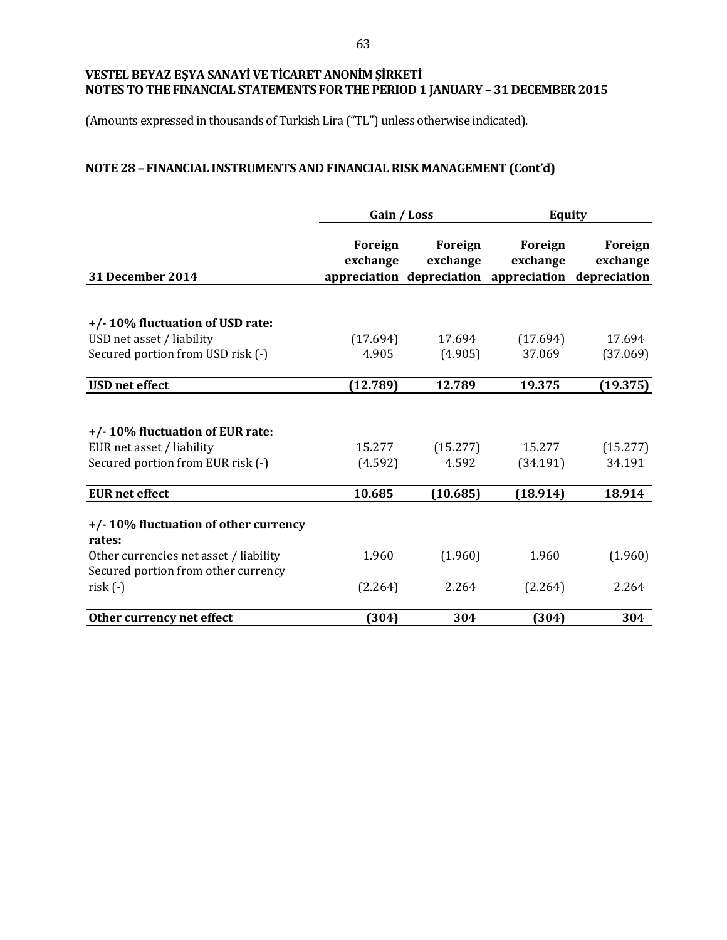(Amounts expressed in thousands of Turkish Lira ("TL") unless otherwise indicated).

# **NOTE 28 – FINANCIAL INSTRUMENTS AND FINANCIAL RISK MANAGEMENT (Cont'd)**

|                                                                                                   | Gain / Loss         |                     | <b>Equity</b>                                                              |                     |  |
|---------------------------------------------------------------------------------------------------|---------------------|---------------------|----------------------------------------------------------------------------|---------------------|--|
| 31 December 2014                                                                                  | Foreign<br>exchange | Foreign<br>exchange | Foreign<br>exchange<br>appreciation depreciation appreciation depreciation | Foreign<br>exchange |  |
|                                                                                                   |                     |                     |                                                                            |                     |  |
| +/-10% fluctuation of USD rate:                                                                   |                     |                     |                                                                            |                     |  |
| USD net asset / liability                                                                         | (17.694)            | 17.694              | (17.694)                                                                   | 17.694              |  |
| Secured portion from USD risk (-)                                                                 | 4.905               | (4.905)             | 37.069                                                                     | (37.069)            |  |
| <b>USD</b> net effect                                                                             | (12.789)            | 12.789              | 19.375                                                                     | (19.375)            |  |
| +/-10% fluctuation of EUR rate:<br>EUR net asset / liability<br>Secured portion from EUR risk (-) | 15.277<br>(4.592)   | (15.277)<br>4.592   | 15.277<br>(34.191)                                                         | (15.277)<br>34.191  |  |
| <b>EUR</b> net effect                                                                             | 10.685              | (10.685)            | (18.914)                                                                   | 18.914              |  |
| +/-10% fluctuation of other currency<br>rates:<br>Other currencies net asset / liability          | 1.960               | (1.960)             | 1.960                                                                      | (1.960)             |  |
| Secured portion from other currency                                                               |                     |                     |                                                                            |                     |  |
| $risk(-)$                                                                                         | (2.264)             | 2.264               | (2.264)                                                                    | 2.264               |  |
| Other currency net effect                                                                         | (304)               | 304                 | (304)                                                                      | 304                 |  |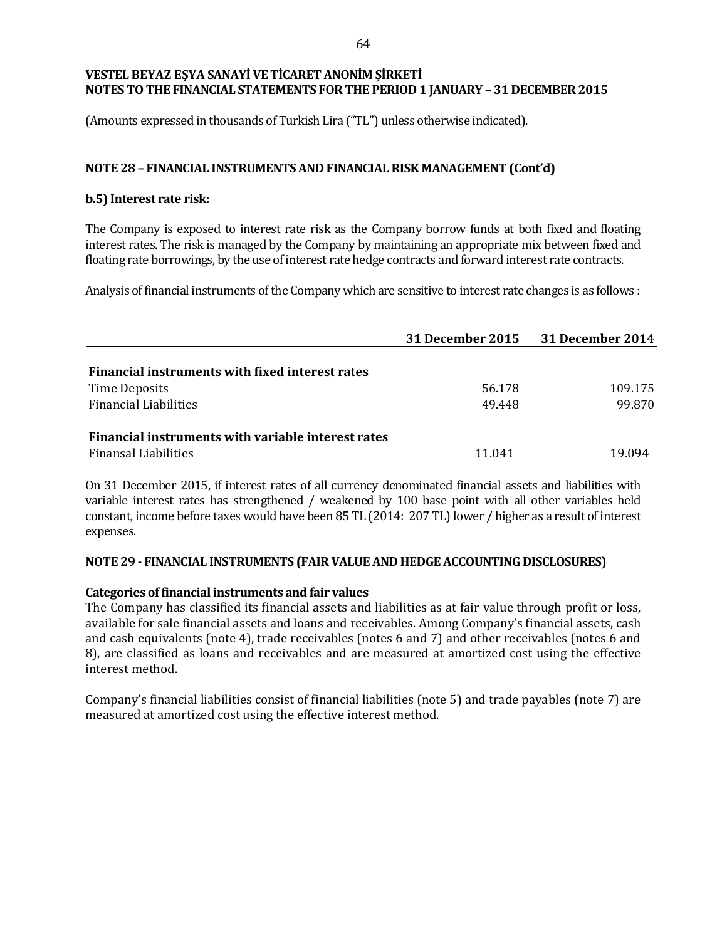(Amounts expressed in thousands of Turkish Lira ("TL") unless otherwise indicated).

#### **NOTE 28 – FINANCIAL INSTRUMENTS AND FINANCIAL RISK MANAGEMENT (Cont'd)**

#### **b.5) Interest rate risk:**

The Company is exposed to interest rate risk as the Company borrow funds at both fixed and floating interest rates. The risk is managed by the Company by maintaining an appropriate mix between fixed and floating rate borrowings, by the use of interest rate hedge contracts and forward interest rate contracts.

Analysis of financial instruments of the Company which are sensitive to interest rate changes is as follows :

|                                                    | <b>31 December 2015</b> | <b>31 December 2014</b> |
|----------------------------------------------------|-------------------------|-------------------------|
|                                                    |                         |                         |
| Financial instruments with fixed interest rates    |                         |                         |
| Time Deposits                                      | 56.178                  | 109.175                 |
| <b>Financial Liabilities</b>                       | 49.448                  | 99.870                  |
| Financial instruments with variable interest rates |                         |                         |
| <b>Finansal Liabilities</b>                        | 11.041                  | 19 094                  |

On 31 December 2015, if interest rates of all currency denominated financial assets and liabilities with variable interest rates has strengthened / weakened by 100 base point with all other variables held constant, income before taxes would have been 85 TL (2014: 207 TL) lower / higher as a result of interest expenses.

#### **NOTE 29 - FINANCIAL INSTRUMENTS (FAIR VALUE AND HEDGE ACCOUNTING DISCLOSURES)**

#### **Categories of financial instruments and fair values**

The Company has classified its financial assets and liabilities as at fair value through profit or loss, available for sale financial assets and loans and receivables. Among Company's financial assets, cash and cash equivalents (note 4), trade receivables (notes 6 and 7) and other receivables (notes 6 and 8), are classified as loans and receivables and are measured at amortized cost using the effective interest method.

Company's financial liabilities consist of financial liabilities (note 5) and trade payables (note 7) are measured at amortized cost using the effective interest method.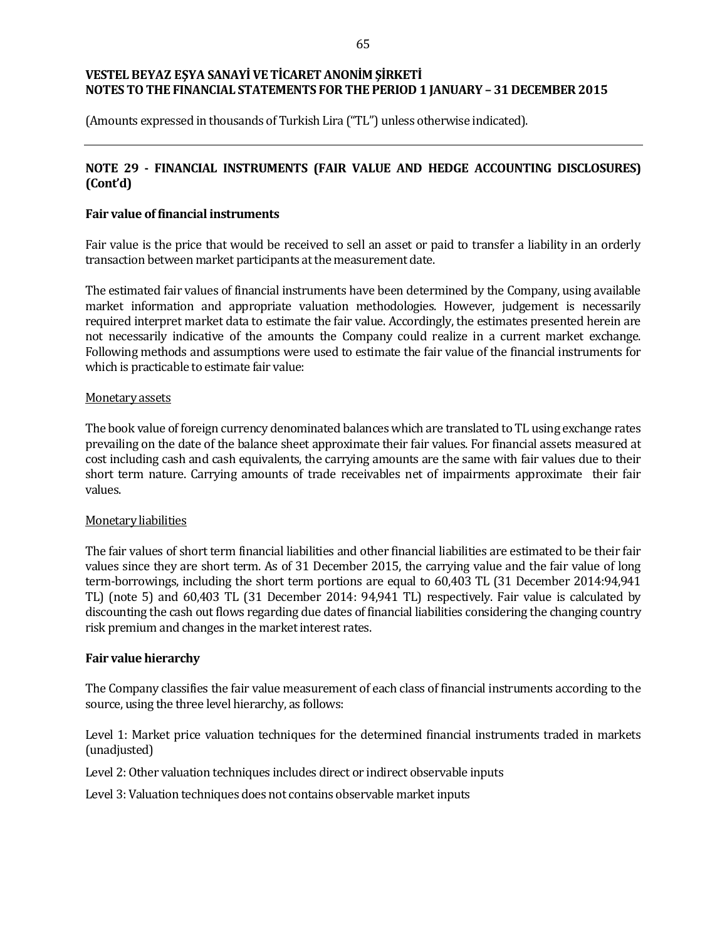(Amounts expressed in thousands of Turkish Lira ("TL") unless otherwise indicated).

## **NOTE 29 - FINANCIAL INSTRUMENTS (FAIR VALUE AND HEDGE ACCOUNTING DISCLOSURES) (Cont'd)**

#### **Fair value of financial instruments**

Fair value is the price that would be received to sell an asset or paid to transfer a liability in an orderly transaction between market participants at the measurement date.

The estimated fair values of financial instruments have been determined by the Company, using available market information and appropriate valuation methodologies. However, judgement is necessarily required interpret market data to estimate the fair value. Accordingly, the estimates presented herein are not necessarily indicative of the amounts the Company could realize in a current market exchange. Following methods and assumptions were used to estimate the fair value of the financial instruments for which is practicable to estimate fair value:

#### Monetary assets

The book value of foreign currency denominated balances which are translated to TL using exchange rates prevailing on the date of the balance sheet approximate their fair values. For financial assets measured at cost including cash and cash equivalents, the carrying amounts are the same with fair values due to their short term nature. Carrying amounts of trade receivables net of impairments approximate their fair values.

#### Monetary liabilities

The fair values of short term financial liabilities and other financial liabilities are estimated to be their fair values since they are short term. As of 31 December 2015, the carrying value and the fair value of long term-borrowings, including the short term portions are equal to 60,403 TL (31 December 2014:94,941 TL) (note 5) and 60,403 TL (31 December 2014: 94,941 TL) respectively. Fair value is calculated by discounting the cash out flows regarding due dates of financial liabilities considering the changing country risk premium and changes in the market interest rates.

#### **Fair value hierarchy**

The Company classifies the fair value measurement of each class of financial instruments according to the source, using the three level hierarchy, as follows:

Level 1: Market price valuation techniques for the determined financial instruments traded in markets (unadjusted)

Level 2: Other valuation techniques includes direct or indirect observable inputs

Level 3: Valuation techniques does not contains observable market inputs